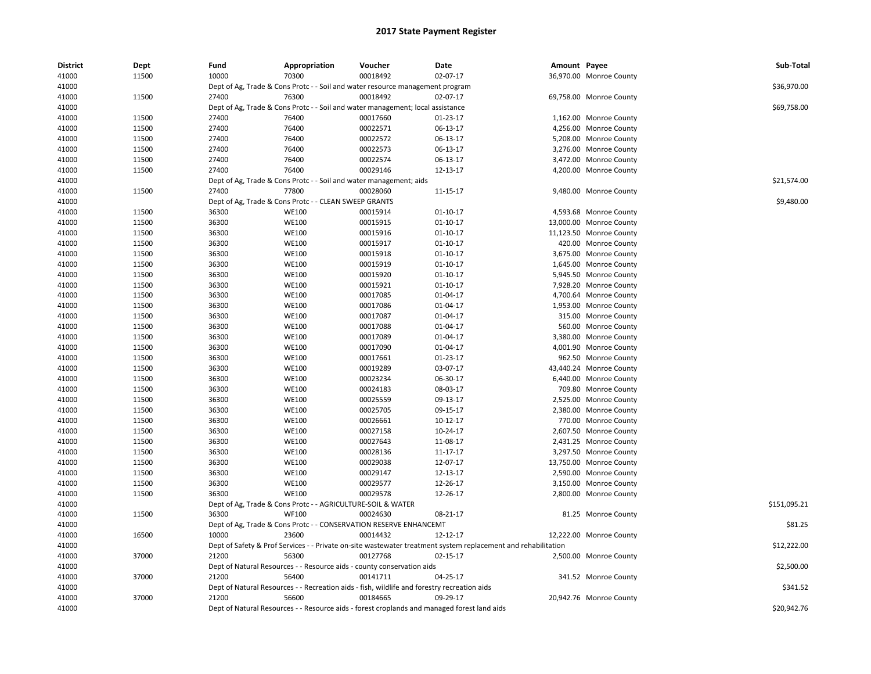| <b>District</b> | Dept  | Fund  | Appropriation                                                      | Voucher                                                                                     | Date                                                                                                          | Amount Payee |                         | Sub-Total    |
|-----------------|-------|-------|--------------------------------------------------------------------|---------------------------------------------------------------------------------------------|---------------------------------------------------------------------------------------------------------------|--------------|-------------------------|--------------|
| 41000           | 11500 | 10000 | 70300                                                              | 00018492                                                                                    | 02-07-17                                                                                                      |              | 36,970.00 Monroe County |              |
| 41000           |       |       |                                                                    | Dept of Ag, Trade & Cons Protc - - Soil and water resource management program               |                                                                                                               |              |                         | \$36.970.00  |
| 41000           | 11500 | 27400 | 76300                                                              | 00018492                                                                                    | 02-07-17                                                                                                      |              | 69,758.00 Monroe County |              |
| 41000           |       |       |                                                                    | Dept of Ag, Trade & Cons Protc - - Soil and water management; local assistance              |                                                                                                               |              |                         | \$69,758.00  |
| 41000           | 11500 | 27400 | 76400                                                              | 00017660                                                                                    | 01-23-17                                                                                                      |              | 1,162.00 Monroe County  |              |
| 41000           | 11500 | 27400 | 76400                                                              | 00022571                                                                                    | 06-13-17                                                                                                      |              | 4,256.00 Monroe County  |              |
| 41000           | 11500 | 27400 | 76400                                                              | 00022572                                                                                    | 06-13-17                                                                                                      |              | 5,208.00 Monroe County  |              |
| 41000           | 11500 | 27400 | 76400                                                              | 00022573                                                                                    | 06-13-17                                                                                                      |              | 3,276.00 Monroe County  |              |
| 41000           | 11500 | 27400 | 76400                                                              | 00022574                                                                                    | 06-13-17                                                                                                      |              | 3,472.00 Monroe County  |              |
| 41000           | 11500 | 27400 | 76400                                                              | 00029146                                                                                    | 12-13-17                                                                                                      |              | 4,200.00 Monroe County  |              |
| 41000           |       |       | Dept of Ag, Trade & Cons Protc - - Soil and water management; aids |                                                                                             |                                                                                                               |              |                         | \$21,574.00  |
| 41000           | 11500 | 27400 | 77800                                                              | 00028060                                                                                    | 11-15-17                                                                                                      |              | 9,480.00 Monroe County  |              |
| 41000           |       |       | Dept of Ag, Trade & Cons Protc - - CLEAN SWEEP GRANTS              |                                                                                             |                                                                                                               |              |                         | \$9,480.00   |
| 41000           | 11500 | 36300 | <b>WE100</b>                                                       | 00015914                                                                                    | $01 - 10 - 17$                                                                                                |              | 4,593.68 Monroe County  |              |
| 41000           | 11500 | 36300 | <b>WE100</b>                                                       | 00015915                                                                                    | $01 - 10 - 17$                                                                                                |              | 13,000.00 Monroe County |              |
| 41000           | 11500 | 36300 | <b>WE100</b>                                                       | 00015916                                                                                    | $01 - 10 - 17$                                                                                                |              | 11,123.50 Monroe County |              |
| 41000           | 11500 | 36300 | <b>WE100</b>                                                       | 00015917                                                                                    | $01 - 10 - 17$                                                                                                |              | 420.00 Monroe County    |              |
| 41000           | 11500 | 36300 | <b>WE100</b>                                                       | 00015918                                                                                    | 01-10-17                                                                                                      |              | 3,675.00 Monroe County  |              |
| 41000           | 11500 | 36300 | <b>WE100</b>                                                       | 00015919                                                                                    | $01 - 10 - 17$                                                                                                |              | 1,645.00 Monroe County  |              |
| 41000           | 11500 | 36300 | <b>WE100</b>                                                       | 00015920                                                                                    | $01 - 10 - 17$                                                                                                |              | 5,945.50 Monroe County  |              |
| 41000           | 11500 | 36300 | <b>WE100</b>                                                       | 00015921                                                                                    | $01 - 10 - 17$                                                                                                |              | 7,928.20 Monroe County  |              |
| 41000           | 11500 | 36300 | <b>WE100</b>                                                       | 00017085                                                                                    | 01-04-17                                                                                                      |              | 4,700.64 Monroe County  |              |
| 41000           | 11500 | 36300 | <b>WE100</b>                                                       | 00017086                                                                                    | 01-04-17                                                                                                      |              | 1,953.00 Monroe County  |              |
| 41000           | 11500 | 36300 | <b>WE100</b>                                                       | 00017087                                                                                    | $01 - 04 - 17$                                                                                                |              | 315.00 Monroe County    |              |
| 41000           | 11500 | 36300 | <b>WE100</b>                                                       | 00017088                                                                                    | 01-04-17                                                                                                      |              | 560.00 Monroe County    |              |
| 41000           | 11500 | 36300 | <b>WE100</b>                                                       | 00017089                                                                                    | 01-04-17                                                                                                      |              | 3,380.00 Monroe County  |              |
| 41000           | 11500 | 36300 | <b>WE100</b>                                                       | 00017090                                                                                    | 01-04-17                                                                                                      |              | 4,001.90 Monroe County  |              |
| 41000           | 11500 | 36300 | <b>WE100</b>                                                       | 00017661                                                                                    | 01-23-17                                                                                                      |              | 962.50 Monroe County    |              |
| 41000           | 11500 | 36300 | <b>WE100</b>                                                       | 00019289                                                                                    | 03-07-17                                                                                                      |              | 43,440.24 Monroe County |              |
| 41000           | 11500 | 36300 | <b>WE100</b>                                                       | 00023234                                                                                    | 06-30-17                                                                                                      |              | 6,440.00 Monroe County  |              |
| 41000           | 11500 | 36300 | <b>WE100</b>                                                       | 00024183                                                                                    | 08-03-17                                                                                                      |              | 709.80 Monroe County    |              |
| 41000           | 11500 | 36300 | <b>WE100</b>                                                       | 00025559                                                                                    | 09-13-17                                                                                                      |              | 2,525.00 Monroe County  |              |
| 41000           | 11500 | 36300 | <b>WE100</b>                                                       | 00025705                                                                                    | 09-15-17                                                                                                      |              | 2,380.00 Monroe County  |              |
| 41000           | 11500 | 36300 | <b>WE100</b>                                                       | 00026661                                                                                    | 10-12-17                                                                                                      |              | 770.00 Monroe County    |              |
| 41000           | 11500 | 36300 | <b>WE100</b>                                                       | 00027158                                                                                    | 10-24-17                                                                                                      |              | 2,607.50 Monroe County  |              |
| 41000           | 11500 | 36300 | <b>WE100</b>                                                       | 00027643                                                                                    | 11-08-17                                                                                                      |              | 2,431.25 Monroe County  |              |
| 41000           | 11500 | 36300 | <b>WE100</b>                                                       | 00028136                                                                                    | 11-17-17                                                                                                      |              | 3,297.50 Monroe County  |              |
| 41000           | 11500 | 36300 | <b>WE100</b>                                                       | 00029038                                                                                    | 12-07-17                                                                                                      |              | 13,750.00 Monroe County |              |
| 41000           | 11500 | 36300 | <b>WE100</b>                                                       | 00029147                                                                                    | 12-13-17                                                                                                      |              | 2,590.00 Monroe County  |              |
| 41000           | 11500 | 36300 | <b>WE100</b>                                                       | 00029577                                                                                    | 12-26-17                                                                                                      |              | 3,150.00 Monroe County  |              |
| 41000           | 11500 | 36300 | <b>WE100</b>                                                       | 00029578                                                                                    | 12-26-17                                                                                                      |              | 2,800.00 Monroe County  |              |
| 41000           |       |       | Dept of Ag, Trade & Cons Protc - - AGRICULTURE-SOIL & WATER        |                                                                                             |                                                                                                               |              |                         | \$151,095.21 |
| 41000           | 11500 | 36300 | <b>WF100</b>                                                       | 00024630                                                                                    | 08-21-17                                                                                                      |              | 81.25 Monroe County     |              |
| 41000           |       |       |                                                                    | Dept of Ag, Trade & Cons Protc - - CONSERVATION RESERVE ENHANCEMT                           |                                                                                                               |              |                         | \$81.25      |
| 41000           | 16500 | 10000 | 23600                                                              | 00014432                                                                                    | 12-12-17                                                                                                      |              | 12,222.00 Monroe County |              |
| 41000           |       |       |                                                                    |                                                                                             | Dept of Safety & Prof Services - - Private on-site wastewater treatment system replacement and rehabilitation |              |                         | \$12,222.00  |
| 41000           | 37000 | 21200 | 56300                                                              | 00127768                                                                                    | 02-15-17                                                                                                      |              | 2,500.00 Monroe County  |              |
| 41000           |       |       |                                                                    | Dept of Natural Resources - - Resource aids - county conservation aids                      |                                                                                                               |              |                         | \$2,500.00   |
| 41000           | 37000 | 21200 | 56400                                                              | 00141711                                                                                    | 04-25-17                                                                                                      |              | 341.52 Monroe County    |              |
| 41000           |       |       |                                                                    | Dept of Natural Resources - - Recreation aids - fish, wildlife and forestry recreation aids |                                                                                                               |              |                         | \$341.52     |
| 41000           | 37000 | 21200 | 56600                                                              | 00184665                                                                                    | 09-29-17                                                                                                      |              | 20,942.76 Monroe County |              |
| 41000           |       |       |                                                                    |                                                                                             | Dept of Natural Resources - - Resource aids - forest croplands and managed forest land aids                   |              |                         | \$20,942.76  |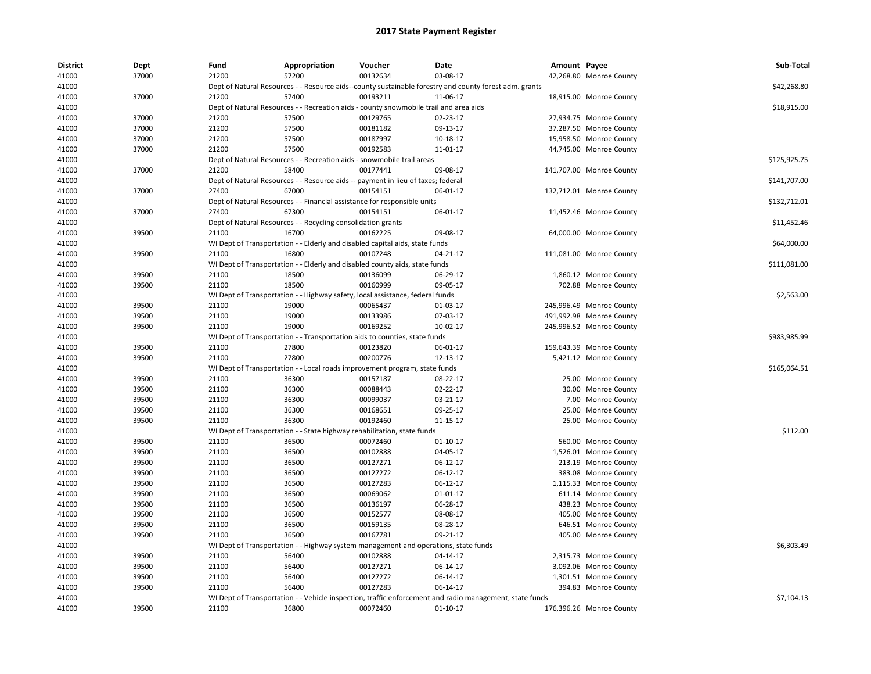| <b>District</b> | Dept  | Fund  | Appropriation                                                | Voucher                                                                               | Date                                                                                                    | Amount Payee |                          | Sub-Total    |
|-----------------|-------|-------|--------------------------------------------------------------|---------------------------------------------------------------------------------------|---------------------------------------------------------------------------------------------------------|--------------|--------------------------|--------------|
| 41000           | 37000 | 21200 | 57200                                                        | 00132634                                                                              | 03-08-17                                                                                                |              | 42,268.80 Monroe County  |              |
| 41000           |       |       |                                                              |                                                                                       | Dept of Natural Resources - - Resource aids--county sustainable forestry and county forest adm. grants  |              |                          | \$42,268.80  |
| 41000           | 37000 | 21200 | 57400                                                        | 00193211                                                                              | 11-06-17                                                                                                |              | 18,915.00 Monroe County  |              |
| 41000           |       |       |                                                              | Dept of Natural Resources - - Recreation aids - county snowmobile trail and area aids |                                                                                                         |              |                          | \$18,915.00  |
| 41000           | 37000 | 21200 | 57500                                                        | 00129765                                                                              | 02-23-17                                                                                                |              | 27,934.75 Monroe County  |              |
| 41000           | 37000 | 21200 | 57500                                                        | 00181182                                                                              | 09-13-17                                                                                                |              | 37,287.50 Monroe County  |              |
| 41000           | 37000 | 21200 | 57500                                                        | 00187997                                                                              | 10-18-17                                                                                                |              | 15,958.50 Monroe County  |              |
| 41000           | 37000 | 21200 | 57500                                                        | 00192583                                                                              | 11-01-17                                                                                                |              | 44,745.00 Monroe County  |              |
| 41000           |       |       |                                                              | Dept of Natural Resources - - Recreation aids - snowmobile trail areas                |                                                                                                         |              |                          | \$125,925.75 |
| 41000           | 37000 | 21200 | 58400                                                        | 00177441                                                                              | 09-08-17                                                                                                |              | 141,707.00 Monroe County |              |
| 41000           |       |       |                                                              | Dept of Natural Resources - - Resource aids -- payment in lieu of taxes; federal      |                                                                                                         |              |                          | \$141,707.00 |
| 41000           | 37000 | 27400 | 67000                                                        | 00154151                                                                              | 06-01-17                                                                                                |              | 132,712.01 Monroe County |              |
| 41000           |       |       |                                                              | Dept of Natural Resources - - Financial assistance for responsible units              |                                                                                                         |              |                          | \$132,712.01 |
| 41000           | 37000 | 27400 | 67300                                                        | 00154151                                                                              | 06-01-17                                                                                                |              | 11,452.46 Monroe County  |              |
| 41000           |       |       | Dept of Natural Resources - - Recycling consolidation grants |                                                                                       |                                                                                                         |              |                          | \$11,452.46  |
| 41000           | 39500 | 21100 | 16700                                                        | 00162225                                                                              | 09-08-17                                                                                                |              | 64,000.00 Monroe County  |              |
| 41000           |       |       |                                                              | WI Dept of Transportation - - Elderly and disabled capital aids, state funds          |                                                                                                         |              |                          | \$64,000.00  |
| 41000           | 39500 | 21100 | 16800                                                        | 00107248                                                                              | 04-21-17                                                                                                |              | 111,081.00 Monroe County |              |
| 41000           |       |       |                                                              | WI Dept of Transportation - - Elderly and disabled county aids, state funds           |                                                                                                         |              |                          | \$111,081.00 |
| 41000           | 39500 | 21100 | 18500                                                        | 00136099                                                                              | 06-29-17                                                                                                |              | 1,860.12 Monroe County   |              |
| 41000           | 39500 | 21100 | 18500                                                        | 00160999                                                                              | 09-05-17                                                                                                |              | 702.88 Monroe County     |              |
| 41000           |       |       |                                                              | WI Dept of Transportation - - Highway safety, local assistance, federal funds         |                                                                                                         |              |                          | \$2,563.00   |
| 41000           | 39500 | 21100 | 19000                                                        | 00065437                                                                              | 01-03-17                                                                                                |              | 245,996.49 Monroe County |              |
| 41000           | 39500 | 21100 | 19000                                                        | 00133986                                                                              | 07-03-17                                                                                                |              | 491,992.98 Monroe County |              |
| 41000           | 39500 | 21100 | 19000                                                        | 00169252                                                                              | 10-02-17                                                                                                |              | 245,996.52 Monroe County |              |
| 41000           |       |       |                                                              | WI Dept of Transportation - - Transportation aids to counties, state funds            |                                                                                                         |              |                          | \$983,985.99 |
| 41000           | 39500 | 21100 | 27800                                                        | 00123820                                                                              | 06-01-17                                                                                                |              | 159,643.39 Monroe County |              |
| 41000           | 39500 | 21100 | 27800                                                        | 00200776                                                                              | 12-13-17                                                                                                |              | 5,421.12 Monroe County   |              |
| 41000           |       |       |                                                              | WI Dept of Transportation - - Local roads improvement program, state funds            |                                                                                                         |              |                          | \$165,064.51 |
| 41000           | 39500 | 21100 | 36300                                                        | 00157187                                                                              | 08-22-17                                                                                                |              | 25.00 Monroe County      |              |
| 41000           | 39500 | 21100 | 36300                                                        | 00088443                                                                              | 02-22-17                                                                                                |              | 30.00 Monroe County      |              |
| 41000           | 39500 | 21100 | 36300                                                        | 00099037                                                                              | 03-21-17                                                                                                |              | 7.00 Monroe County       |              |
| 41000           | 39500 | 21100 | 36300                                                        | 00168651                                                                              | 09-25-17                                                                                                |              | 25.00 Monroe County      |              |
| 41000           | 39500 | 21100 | 36300                                                        | 00192460                                                                              | 11-15-17                                                                                                |              | 25.00 Monroe County      |              |
| 41000           |       |       |                                                              | WI Dept of Transportation - - State highway rehabilitation, state funds               |                                                                                                         |              |                          | \$112.00     |
| 41000           | 39500 | 21100 | 36500                                                        | 00072460                                                                              | $01 - 10 - 17$                                                                                          |              | 560.00 Monroe County     |              |
| 41000           | 39500 | 21100 | 36500                                                        | 00102888                                                                              | 04-05-17                                                                                                |              | 1,526.01 Monroe County   |              |
| 41000           | 39500 | 21100 | 36500                                                        | 00127271                                                                              | 06-12-17                                                                                                |              | 213.19 Monroe County     |              |
| 41000           | 39500 | 21100 | 36500                                                        | 00127272                                                                              | 06-12-17                                                                                                |              | 383.08 Monroe County     |              |
| 41000           | 39500 | 21100 | 36500                                                        | 00127283                                                                              | 06-12-17                                                                                                |              | 1,115.33 Monroe County   |              |
| 41000           | 39500 | 21100 | 36500                                                        | 00069062                                                                              | 01-01-17                                                                                                |              | 611.14 Monroe County     |              |
| 41000           | 39500 | 21100 | 36500                                                        | 00136197                                                                              | 06-28-17                                                                                                |              | 438.23 Monroe County     |              |
| 41000           | 39500 | 21100 | 36500                                                        | 00152577                                                                              | 08-08-17                                                                                                |              | 405.00 Monroe County     |              |
| 41000           | 39500 | 21100 | 36500                                                        | 00159135                                                                              | 08-28-17                                                                                                |              | 646.51 Monroe County     |              |
| 41000           | 39500 | 21100 | 36500                                                        | 00167781                                                                              | 09-21-17                                                                                                |              | 405.00 Monroe County     |              |
| 41000           |       |       |                                                              | WI Dept of Transportation - - Highway system management and operations, state funds   |                                                                                                         |              |                          | \$6,303.49   |
| 41000           | 39500 | 21100 | 56400                                                        | 00102888                                                                              | 04-14-17                                                                                                |              | 2,315.73 Monroe County   |              |
| 41000           | 39500 | 21100 | 56400                                                        | 00127271                                                                              | 06-14-17                                                                                                |              | 3,092.06 Monroe County   |              |
| 41000           | 39500 | 21100 | 56400                                                        | 00127272                                                                              | 06-14-17                                                                                                |              | 1,301.51 Monroe County   |              |
| 41000           | 39500 | 21100 | 56400                                                        | 00127283                                                                              | 06-14-17                                                                                                |              | 394.83 Monroe County     |              |
| 41000           |       |       |                                                              |                                                                                       | WI Dept of Transportation - - Vehicle inspection, traffic enforcement and radio management, state funds |              |                          | \$7,104.13   |
| 41000           | 39500 | 21100 | 36800                                                        | 00072460                                                                              | $01-10-17$                                                                                              |              | 176,396.26 Monroe County |              |
|                 |       |       |                                                              |                                                                                       |                                                                                                         |              |                          |              |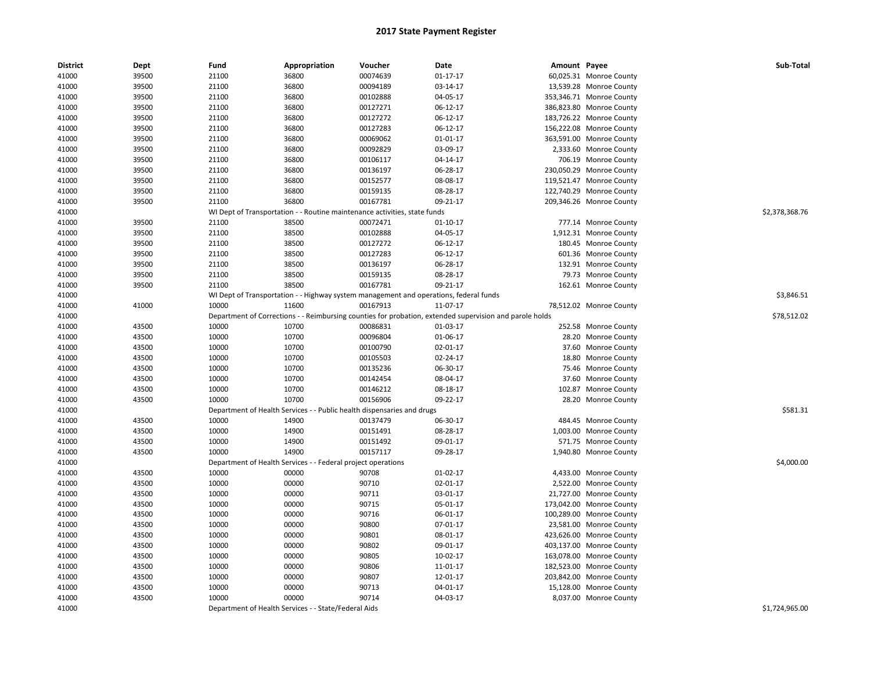| <b>District</b> | Dept  | Fund  | Appropriation                                                                         | Voucher  | Date                                                                                                    | Amount Payee |                          | Sub-Total      |
|-----------------|-------|-------|---------------------------------------------------------------------------------------|----------|---------------------------------------------------------------------------------------------------------|--------------|--------------------------|----------------|
| 41000           | 39500 | 21100 | 36800                                                                                 | 00074639 | $01 - 17 - 17$                                                                                          |              | 60,025.31 Monroe County  |                |
| 41000           | 39500 | 21100 | 36800                                                                                 | 00094189 | 03-14-17                                                                                                |              | 13,539.28 Monroe County  |                |
| 41000           | 39500 | 21100 | 36800                                                                                 | 00102888 | 04-05-17                                                                                                |              | 353,346.71 Monroe County |                |
| 41000           | 39500 | 21100 | 36800                                                                                 | 00127271 | 06-12-17                                                                                                |              | 386,823.80 Monroe County |                |
| 41000           | 39500 | 21100 | 36800                                                                                 | 00127272 | 06-12-17                                                                                                |              | 183,726.22 Monroe County |                |
| 41000           | 39500 | 21100 | 36800                                                                                 | 00127283 | 06-12-17                                                                                                |              | 156,222.08 Monroe County |                |
| 41000           | 39500 | 21100 | 36800                                                                                 | 00069062 | $01 - 01 - 17$                                                                                          |              | 363,591.00 Monroe County |                |
| 41000           | 39500 | 21100 | 36800                                                                                 | 00092829 | 03-09-17                                                                                                |              | 2,333.60 Monroe County   |                |
| 41000           | 39500 | 21100 | 36800                                                                                 | 00106117 | 04-14-17                                                                                                |              | 706.19 Monroe County     |                |
| 41000           | 39500 | 21100 | 36800                                                                                 | 00136197 | 06-28-17                                                                                                |              | 230,050.29 Monroe County |                |
| 41000           | 39500 | 21100 | 36800                                                                                 | 00152577 | 08-08-17                                                                                                |              | 119,521.47 Monroe County |                |
| 41000           | 39500 | 21100 | 36800                                                                                 | 00159135 | 08-28-17                                                                                                |              | 122,740.29 Monroe County |                |
| 41000           | 39500 | 21100 | 36800                                                                                 | 00167781 | 09-21-17                                                                                                |              | 209,346.26 Monroe County |                |
| 41000           |       |       | WI Dept of Transportation - - Routine maintenance activities, state funds             |          |                                                                                                         |              |                          | \$2,378,368.76 |
| 41000           | 39500 | 21100 | 38500                                                                                 | 00072471 | 01-10-17                                                                                                |              | 777.14 Monroe County     |                |
| 41000           | 39500 | 21100 | 38500                                                                                 | 00102888 | 04-05-17                                                                                                |              | 1,912.31 Monroe County   |                |
| 41000           | 39500 | 21100 | 38500                                                                                 | 00127272 | 06-12-17                                                                                                |              | 180.45 Monroe County     |                |
| 41000           | 39500 | 21100 | 38500                                                                                 | 00127283 | 06-12-17                                                                                                |              | 601.36 Monroe County     |                |
| 41000           | 39500 | 21100 | 38500                                                                                 | 00136197 | 06-28-17                                                                                                |              | 132.91 Monroe County     |                |
| 41000           | 39500 | 21100 | 38500                                                                                 | 00159135 | 08-28-17                                                                                                |              | 79.73 Monroe County      |                |
| 41000           | 39500 | 21100 | 38500                                                                                 | 00167781 | 09-21-17                                                                                                |              | 162.61 Monroe County     |                |
| 41000           |       |       | WI Dept of Transportation - - Highway system management and operations, federal funds |          |                                                                                                         |              |                          | \$3,846.51     |
| 41000           | 41000 | 10000 | 11600                                                                                 | 00167913 | 11-07-17                                                                                                |              | 78,512.02 Monroe County  |                |
| 41000           |       |       |                                                                                       |          | Department of Corrections - - Reimbursing counties for probation, extended supervision and parole holds |              |                          | \$78,512.02    |
| 41000           | 43500 | 10000 | 10700                                                                                 | 00086831 | 01-03-17                                                                                                |              | 252.58 Monroe County     |                |
| 41000           | 43500 | 10000 | 10700                                                                                 | 00096804 | 01-06-17                                                                                                |              | 28.20 Monroe County      |                |
| 41000           | 43500 | 10000 | 10700                                                                                 | 00100790 | 02-01-17                                                                                                |              | 37.60 Monroe County      |                |
| 41000           | 43500 | 10000 | 10700                                                                                 | 00105503 | 02-24-17                                                                                                |              | 18.80 Monroe County      |                |
| 41000           | 43500 | 10000 | 10700                                                                                 | 00135236 | 06-30-17                                                                                                |              | 75.46 Monroe County      |                |
| 41000           | 43500 | 10000 | 10700                                                                                 | 00142454 | 08-04-17                                                                                                |              | 37.60 Monroe County      |                |
| 41000           | 43500 | 10000 | 10700                                                                                 | 00146212 | 08-18-17                                                                                                |              | 102.87 Monroe County     |                |
| 41000           | 43500 | 10000 | 10700                                                                                 | 00156906 | 09-22-17                                                                                                |              | 28.20 Monroe County      |                |
| 41000           |       |       | Department of Health Services - - Public health dispensaries and drugs                |          |                                                                                                         |              |                          | \$581.31       |
| 41000           | 43500 | 10000 | 14900                                                                                 | 00137479 | 06-30-17                                                                                                |              | 484.45 Monroe County     |                |
| 41000           | 43500 | 10000 | 14900                                                                                 | 00151491 | 08-28-17                                                                                                |              | 1,003.00 Monroe County   |                |
| 41000           | 43500 | 10000 | 14900                                                                                 | 00151492 | 09-01-17                                                                                                |              | 571.75 Monroe County     |                |
| 41000           | 43500 | 10000 | 14900                                                                                 | 00157117 | 09-28-17                                                                                                |              | 1,940.80 Monroe County   |                |
| 41000           |       |       | Department of Health Services - - Federal project operations                          |          |                                                                                                         |              |                          | \$4,000.00     |
| 41000           | 43500 | 10000 | 00000                                                                                 | 90708    | $01-02-17$                                                                                              |              | 4,433.00 Monroe County   |                |
| 41000           | 43500 | 10000 | 00000                                                                                 | 90710    | 02-01-17                                                                                                |              | 2,522.00 Monroe County   |                |
| 41000           | 43500 | 10000 | 00000                                                                                 | 90711    | 03-01-17                                                                                                |              | 21,727.00 Monroe County  |                |
| 41000           | 43500 | 10000 | 00000                                                                                 | 90715    | 05-01-17                                                                                                |              | 173,042.00 Monroe County |                |
| 41000           | 43500 | 10000 | 00000                                                                                 | 90716    | 06-01-17                                                                                                |              | 100,289.00 Monroe County |                |
| 41000           | 43500 | 10000 | 00000                                                                                 | 90800    | 07-01-17                                                                                                |              | 23,581.00 Monroe County  |                |
| 41000           | 43500 | 10000 | 00000                                                                                 | 90801    | 08-01-17                                                                                                |              | 423,626.00 Monroe County |                |
| 41000           | 43500 | 10000 | 00000                                                                                 | 90802    | 09-01-17                                                                                                |              | 403,137.00 Monroe County |                |
| 41000           | 43500 | 10000 | 00000                                                                                 | 90805    | 10-02-17                                                                                                |              | 163,078.00 Monroe County |                |
| 41000           | 43500 | 10000 | 00000                                                                                 | 90806    | 11-01-17                                                                                                |              | 182,523.00 Monroe County |                |
| 41000           | 43500 | 10000 | 00000                                                                                 | 90807    | 12-01-17                                                                                                |              | 203,842.00 Monroe County |                |
| 41000           | 43500 | 10000 | 00000                                                                                 | 90713    | 04-01-17                                                                                                |              | 15,128.00 Monroe County  |                |
| 41000           | 43500 | 10000 | 00000                                                                                 | 90714    | 04-03-17                                                                                                |              | 8,037.00 Monroe County   |                |
| 41000           |       |       | Department of Health Services - - State/Federal Aids                                  |          |                                                                                                         |              |                          | \$1,724,965.00 |
|                 |       |       |                                                                                       |          |                                                                                                         |              |                          |                |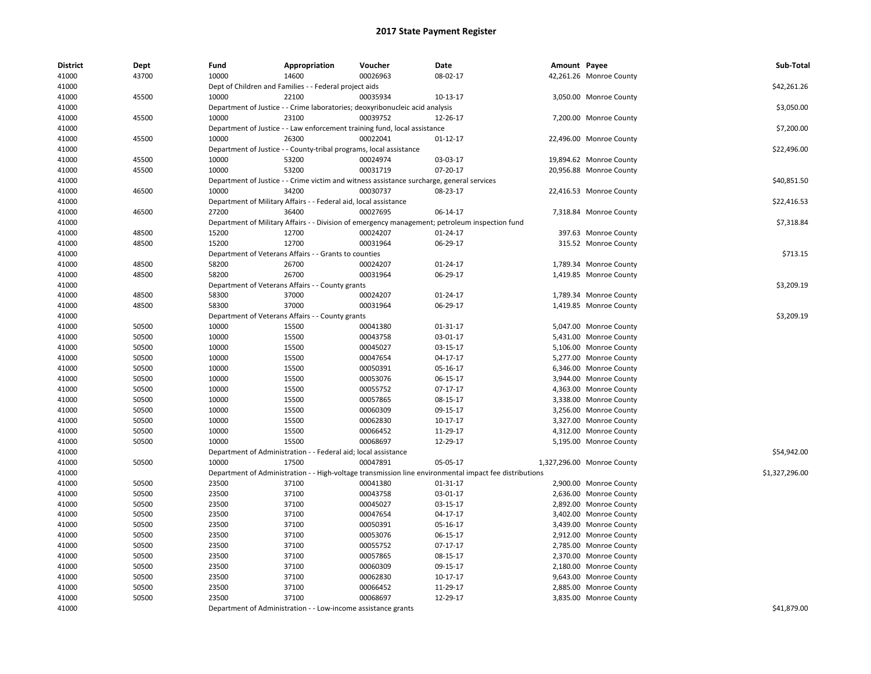| <b>District</b> | Dept  | Fund  | Appropriation                                                      | Voucher                                                                                   | Date                                                                                                   | Amount Payee |                            | Sub-Total      |
|-----------------|-------|-------|--------------------------------------------------------------------|-------------------------------------------------------------------------------------------|--------------------------------------------------------------------------------------------------------|--------------|----------------------------|----------------|
| 41000           | 43700 | 10000 | 14600                                                              | 00026963                                                                                  | 08-02-17                                                                                               |              | 42,261.26 Monroe County    |                |
| 41000           |       |       | Dept of Children and Families - - Federal project aids             |                                                                                           |                                                                                                        |              |                            | \$42,261.26    |
| 41000           | 45500 | 10000 | 22100                                                              | 00035934                                                                                  | 10-13-17                                                                                               |              | 3,050.00 Monroe County     |                |
| 41000           |       |       |                                                                    | Department of Justice - - Crime laboratories; deoxyribonucleic acid analysis              |                                                                                                        |              |                            | \$3,050.00     |
| 41000           | 45500 | 10000 | 23100                                                              | 00039752                                                                                  | 12-26-17                                                                                               |              | 7,200.00 Monroe County     |                |
| 41000           |       |       |                                                                    | Department of Justice - - Law enforcement training fund, local assistance                 |                                                                                                        |              |                            | \$7,200.00     |
| 41000           | 45500 | 10000 | 26300                                                              | 00022041                                                                                  | 01-12-17                                                                                               |              | 22,496.00 Monroe County    |                |
| 41000           |       |       | Department of Justice - - County-tribal programs, local assistance |                                                                                           |                                                                                                        |              |                            | \$22,496.00    |
| 41000           | 45500 | 10000 | 53200                                                              | 00024974                                                                                  | 03-03-17                                                                                               |              | 19,894.62 Monroe County    |                |
| 41000           | 45500 | 10000 | 53200                                                              | 00031719                                                                                  | 07-20-17                                                                                               |              | 20,956.88 Monroe County    |                |
| 41000           |       |       |                                                                    | Department of Justice - - Crime victim and witness assistance surcharge, general services |                                                                                                        |              |                            | \$40,851.50    |
| 41000           | 46500 | 10000 | 34200                                                              | 00030737                                                                                  | 08-23-17                                                                                               |              | 22,416.53 Monroe County    |                |
| 41000           |       |       | Department of Military Affairs - - Federal aid, local assistance   |                                                                                           |                                                                                                        |              |                            | \$22,416.53    |
| 41000           | 46500 | 27200 | 36400                                                              | 00027695                                                                                  | 06-14-17                                                                                               |              | 7,318.84 Monroe County     |                |
| 41000           |       |       |                                                                    |                                                                                           | Department of Military Affairs - - Division of emergency management; petroleum inspection fund         |              |                            | \$7,318.84     |
| 41000           | 48500 | 15200 | 12700                                                              | 00024207                                                                                  | 01-24-17                                                                                               |              | 397.63 Monroe County       |                |
| 41000           | 48500 | 15200 | 12700                                                              | 00031964                                                                                  | 06-29-17                                                                                               |              | 315.52 Monroe County       |                |
| 41000           |       |       | Department of Veterans Affairs - - Grants to counties              |                                                                                           |                                                                                                        |              |                            | \$713.15       |
| 41000           | 48500 | 58200 | 26700                                                              | 00024207                                                                                  | 01-24-17                                                                                               |              | 1,789.34 Monroe County     |                |
| 41000           | 48500 | 58200 | 26700                                                              | 00031964                                                                                  | 06-29-17                                                                                               |              | 1,419.85 Monroe County     |                |
| 41000           |       |       | Department of Veterans Affairs - - County grants                   |                                                                                           |                                                                                                        |              |                            | \$3,209.19     |
| 41000           | 48500 | 58300 | 37000                                                              | 00024207                                                                                  | 01-24-17                                                                                               |              | 1,789.34 Monroe County     |                |
| 41000           | 48500 | 58300 | 37000                                                              | 00031964                                                                                  | 06-29-17                                                                                               |              | 1,419.85 Monroe County     |                |
| 41000           |       |       | Department of Veterans Affairs - - County grants                   |                                                                                           |                                                                                                        |              |                            | \$3,209.19     |
| 41000           | 50500 | 10000 | 15500                                                              | 00041380                                                                                  | 01-31-17                                                                                               |              | 5,047.00 Monroe County     |                |
| 41000           | 50500 | 10000 | 15500                                                              | 00043758                                                                                  | 03-01-17                                                                                               |              | 5,431.00 Monroe County     |                |
| 41000           | 50500 | 10000 | 15500                                                              | 00045027                                                                                  | 03-15-17                                                                                               |              | 5,106.00 Monroe County     |                |
| 41000           | 50500 | 10000 | 15500                                                              | 00047654                                                                                  | 04-17-17                                                                                               |              | 5,277.00 Monroe County     |                |
| 41000           | 50500 | 10000 | 15500                                                              | 00050391                                                                                  | 05-16-17                                                                                               |              | 6,346.00 Monroe County     |                |
| 41000           | 50500 | 10000 | 15500                                                              | 00053076                                                                                  | 06-15-17                                                                                               |              | 3,944.00 Monroe County     |                |
| 41000           | 50500 | 10000 | 15500                                                              | 00055752                                                                                  | 07-17-17                                                                                               |              | 4,363.00 Monroe County     |                |
| 41000           | 50500 | 10000 | 15500                                                              | 00057865                                                                                  | 08-15-17                                                                                               |              | 3,338.00 Monroe County     |                |
| 41000           | 50500 | 10000 | 15500                                                              | 00060309                                                                                  | 09-15-17                                                                                               |              | 3,256.00 Monroe County     |                |
| 41000           | 50500 | 10000 | 15500                                                              | 00062830                                                                                  | 10-17-17                                                                                               |              | 3,327.00 Monroe County     |                |
| 41000           | 50500 | 10000 | 15500                                                              | 00066452                                                                                  | 11-29-17                                                                                               |              | 4,312.00 Monroe County     |                |
| 41000           | 50500 | 10000 | 15500                                                              | 00068697                                                                                  | 12-29-17                                                                                               |              | 5,195.00 Monroe County     |                |
| 41000           |       |       | Department of Administration - - Federal aid; local assistance     |                                                                                           |                                                                                                        |              |                            | \$54,942.00    |
| 41000           | 50500 | 10000 | 17500                                                              | 00047891                                                                                  | 05-05-17                                                                                               |              | 1,327,296.00 Monroe County |                |
| 41000           |       |       |                                                                    |                                                                                           | Department of Administration - - High-voltage transmission line environmental impact fee distributions |              |                            | \$1,327,296.00 |
| 41000           | 50500 | 23500 | 37100                                                              | 00041380                                                                                  | 01-31-17                                                                                               |              | 2,900.00 Monroe County     |                |
| 41000           | 50500 | 23500 | 37100                                                              | 00043758                                                                                  | 03-01-17                                                                                               |              | 2,636.00 Monroe County     |                |
| 41000           | 50500 | 23500 | 37100                                                              | 00045027                                                                                  | 03-15-17                                                                                               |              | 2,892.00 Monroe County     |                |
| 41000           | 50500 | 23500 | 37100                                                              | 00047654                                                                                  | 04-17-17                                                                                               |              | 3,402.00 Monroe County     |                |
| 41000           | 50500 | 23500 | 37100                                                              | 00050391                                                                                  | 05-16-17                                                                                               |              | 3,439.00 Monroe County     |                |
| 41000           | 50500 | 23500 | 37100                                                              | 00053076                                                                                  | 06-15-17                                                                                               |              | 2,912.00 Monroe County     |                |
| 41000           | 50500 | 23500 | 37100                                                              | 00055752                                                                                  | 07-17-17                                                                                               |              | 2,785.00 Monroe County     |                |
| 41000           | 50500 | 23500 | 37100                                                              | 00057865                                                                                  | 08-15-17                                                                                               |              | 2,370.00 Monroe County     |                |
| 41000           | 50500 | 23500 | 37100                                                              | 00060309                                                                                  | 09-15-17                                                                                               |              | 2,180.00 Monroe County     |                |
| 41000           | 50500 | 23500 | 37100                                                              | 00062830                                                                                  | 10-17-17                                                                                               |              | 9,643.00 Monroe County     |                |
| 41000           | 50500 | 23500 | 37100                                                              | 00066452                                                                                  | 11-29-17                                                                                               |              | 2,885.00 Monroe County     |                |
| 41000           | 50500 | 23500 | 37100                                                              | 00068697                                                                                  | 12-29-17                                                                                               |              | 3,835.00 Monroe County     |                |
| 41000           |       |       | Department of Administration - - Low-income assistance grants      |                                                                                           |                                                                                                        |              |                            | \$41,879.00    |
|                 |       |       |                                                                    |                                                                                           |                                                                                                        |              |                            |                |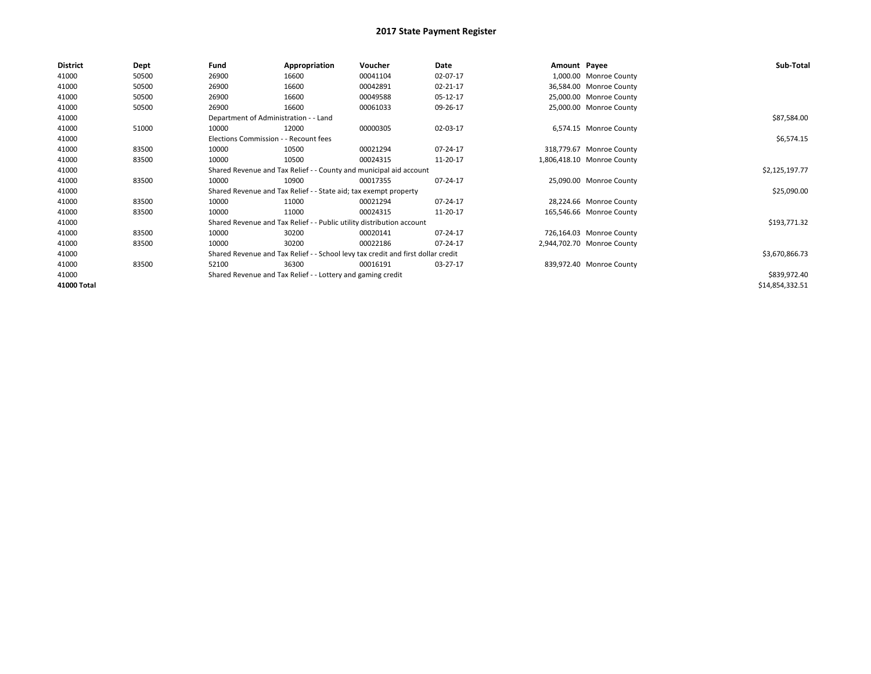| <b>District</b> | Dept  | Fund                                                                             | Appropriation                                                         | Voucher        | Date     | Amount Payee |                            | Sub-Total       |
|-----------------|-------|----------------------------------------------------------------------------------|-----------------------------------------------------------------------|----------------|----------|--------------|----------------------------|-----------------|
| 41000           | 50500 | 26900                                                                            | 16600                                                                 | 00041104       | 02-07-17 |              | 1,000.00 Monroe County     |                 |
| 41000           | 50500 | 26900                                                                            | 16600                                                                 | 00042891       | 02-21-17 |              | 36,584.00 Monroe County    |                 |
| 41000           | 50500 | 26900                                                                            | 16600                                                                 | 00049588       | 05-12-17 |              | 25,000.00 Monroe County    |                 |
| 41000           | 50500 | 26900                                                                            | 16600                                                                 | 00061033       | 09-26-17 |              | 25,000.00 Monroe County    |                 |
| 41000           |       | Department of Administration - - Land                                            |                                                                       |                |          |              |                            | \$87,584.00     |
| 41000           | 51000 | 10000                                                                            | 12000                                                                 | 00000305       | 02-03-17 |              | 6,574.15 Monroe County     |                 |
| 41000           |       | Elections Commission - - Recount fees                                            |                                                                       |                |          |              |                            | \$6,574.15      |
| 41000           | 83500 | 10000                                                                            | 10500                                                                 | 00021294       | 07-24-17 |              | 318,779.67 Monroe County   |                 |
| 41000           | 83500 | 10000                                                                            | 10500                                                                 | 00024315       | 11-20-17 |              | 1,806,418.10 Monroe County |                 |
| 41000           |       |                                                                                  | Shared Revenue and Tax Relief - - County and municipal aid account    |                |          |              |                            | \$2,125,197.77  |
| 41000           | 83500 | 10000                                                                            | 10900                                                                 | 00017355       | 07-24-17 |              | 25,090.00 Monroe County    |                 |
| 41000           |       |                                                                                  | Shared Revenue and Tax Relief - - State aid; tax exempt property      |                |          |              |                            | \$25,090.00     |
| 41000           | 83500 | 10000                                                                            | 11000                                                                 | 00021294       | 07-24-17 |              | 28,224.66 Monroe County    |                 |
| 41000           | 83500 | 10000                                                                            | 11000                                                                 | 00024315       | 11-20-17 |              | 165,546.66 Monroe County   |                 |
| 41000           |       |                                                                                  | Shared Revenue and Tax Relief - - Public utility distribution account |                |          |              |                            | \$193,771.32    |
| 41000           | 83500 | 10000                                                                            | 30200                                                                 | 00020141       | 07-24-17 |              | 726,164.03 Monroe County   |                 |
| 41000           | 83500 | 10000                                                                            | 30200                                                                 | 00022186       | 07-24-17 |              | 2,944,702.70 Monroe County |                 |
| 41000           |       | Shared Revenue and Tax Relief - - School levy tax credit and first dollar credit |                                                                       | \$3,670,866.73 |          |              |                            |                 |
| 41000           | 83500 | 52100                                                                            | 36300                                                                 | 00016191       | 03-27-17 |              | 839,972.40 Monroe County   |                 |
| 41000           |       |                                                                                  | Shared Revenue and Tax Relief - - Lottery and gaming credit           |                |          |              |                            | \$839,972.40    |
| 41000 Total     |       |                                                                                  |                                                                       |                |          |              |                            | \$14,854,332.51 |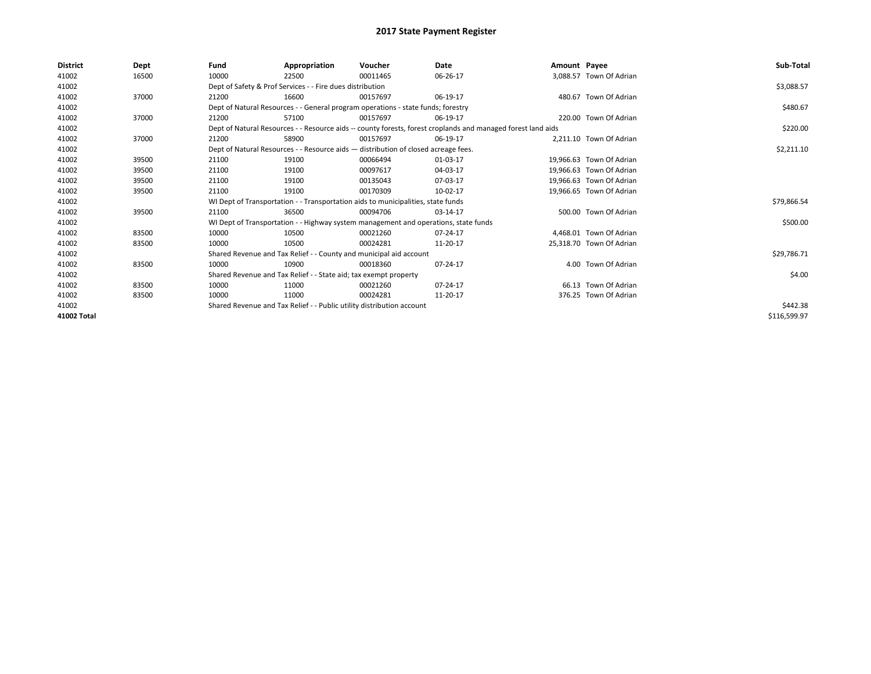| District    | Dept  | Fund  | Appropriation                                                                                                | Voucher  | Date     | Amount Payee |                          | Sub-Total    |
|-------------|-------|-------|--------------------------------------------------------------------------------------------------------------|----------|----------|--------------|--------------------------|--------------|
| 41002       | 16500 | 10000 | 22500                                                                                                        | 00011465 | 06-26-17 |              | 3.088.57 Town Of Adrian  |              |
| 41002       |       |       | Dept of Safety & Prof Services - - Fire dues distribution                                                    |          |          |              |                          | \$3,088.57   |
| 41002       | 37000 | 21200 | 16600                                                                                                        | 00157697 | 06-19-17 |              | 480.67 Town Of Adrian    |              |
| 41002       |       |       | Dept of Natural Resources - - General program operations - state funds; forestry                             |          |          |              |                          | \$480.67     |
| 41002       | 37000 | 21200 | 57100                                                                                                        | 00157697 | 06-19-17 |              | 220.00 Town Of Adrian    |              |
| 41002       |       |       | Dept of Natural Resources - - Resource aids -- county forests, forest croplands and managed forest land aids |          |          |              |                          | \$220.00     |
| 41002       | 37000 | 21200 | 58900                                                                                                        | 00157697 | 06-19-17 |              | 2.211.10 Town Of Adrian  |              |
| 41002       |       |       | Dept of Natural Resources - - Resource aids - distribution of closed acreage fees.                           |          |          |              |                          | \$2,211.10   |
| 41002       | 39500 | 21100 | 19100                                                                                                        | 00066494 | 01-03-17 |              | 19,966.63 Town Of Adrian |              |
| 41002       | 39500 | 21100 | 19100                                                                                                        | 00097617 | 04-03-17 |              | 19.966.63 Town Of Adrian |              |
| 41002       | 39500 | 21100 | 19100                                                                                                        | 00135043 | 07-03-17 |              | 19.966.63 Town Of Adrian |              |
| 41002       | 39500 | 21100 | 19100                                                                                                        | 00170309 | 10-02-17 |              | 19.966.65 Town Of Adrian |              |
| 41002       |       |       | WI Dept of Transportation - - Transportation aids to municipalities, state funds                             |          |          |              |                          | \$79,866.54  |
| 41002       | 39500 | 21100 | 36500                                                                                                        | 00094706 | 03-14-17 |              | 500.00 Town Of Adrian    |              |
| 41002       |       |       | WI Dept of Transportation - - Highway system management and operations, state funds                          |          |          |              |                          | \$500.00     |
| 41002       | 83500 | 10000 | 10500                                                                                                        | 00021260 | 07-24-17 |              | 4.468.01 Town Of Adrian  |              |
| 41002       | 83500 | 10000 | 10500                                                                                                        | 00024281 | 11-20-17 |              | 25,318.70 Town Of Adrian |              |
| 41002       |       |       | Shared Revenue and Tax Relief - - County and municipal aid account                                           |          |          |              |                          | \$29,786.71  |
| 41002       | 83500 | 10000 | 10900                                                                                                        | 00018360 | 07-24-17 |              | 4.00 Town Of Adrian      |              |
| 41002       |       |       | Shared Revenue and Tax Relief - - State aid; tax exempt property                                             |          |          |              |                          | \$4.00       |
| 41002       | 83500 | 10000 | 11000                                                                                                        | 00021260 | 07-24-17 |              | 66.13 Town Of Adrian     |              |
| 41002       | 83500 | 10000 | 11000                                                                                                        | 00024281 | 11-20-17 |              | 376.25 Town Of Adrian    |              |
| 41002       |       |       | Shared Revenue and Tax Relief - - Public utility distribution account                                        |          | \$442.38 |              |                          |              |
| 41002 Total |       |       |                                                                                                              |          |          |              |                          | \$116,599.97 |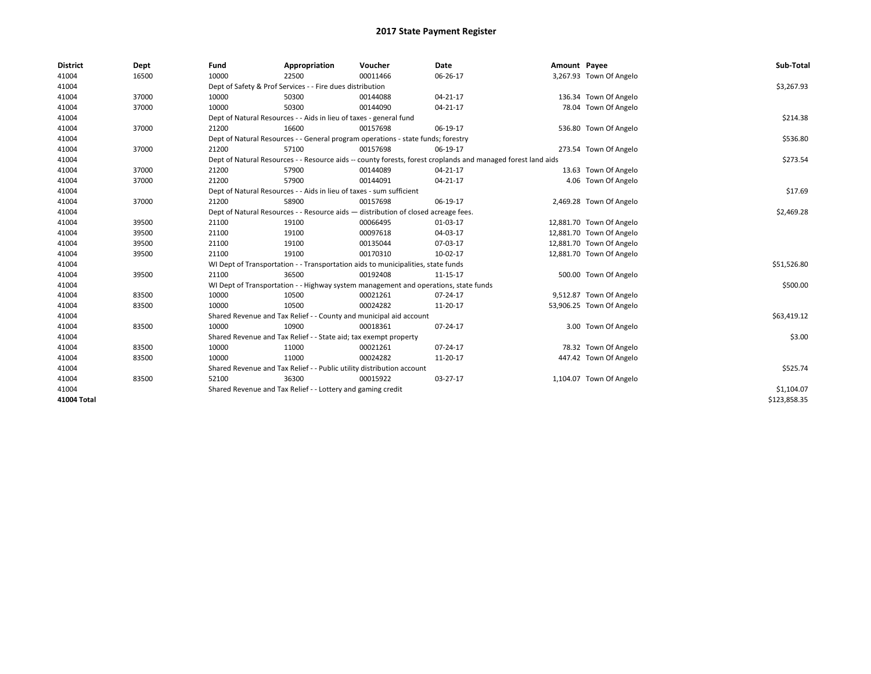| <b>District</b> | Dept  | Fund  | Appropriation                                                                                                | Voucher  | Date     | Amount Payee |                          | Sub-Total    |  |  |
|-----------------|-------|-------|--------------------------------------------------------------------------------------------------------------|----------|----------|--------------|--------------------------|--------------|--|--|
| 41004           | 16500 | 10000 | 22500                                                                                                        | 00011466 | 06-26-17 |              | 3,267.93 Town Of Angelo  |              |  |  |
| 41004           |       |       | Dept of Safety & Prof Services - - Fire dues distribution                                                    |          |          |              |                          | \$3,267.93   |  |  |
| 41004           | 37000 | 10000 | 50300                                                                                                        | 00144088 | 04-21-17 |              | 136.34 Town Of Angelo    |              |  |  |
| 41004           | 37000 | 10000 | 50300                                                                                                        | 00144090 | 04-21-17 |              | 78.04 Town Of Angelo     |              |  |  |
| 41004           |       |       | Dept of Natural Resources - - Aids in lieu of taxes - general fund                                           |          |          |              |                          | \$214.38     |  |  |
| 41004           | 37000 | 21200 | 16600                                                                                                        | 00157698 | 06-19-17 |              | 536.80 Town Of Angelo    |              |  |  |
| 41004           |       |       | Dept of Natural Resources - - General program operations - state funds; forestry                             |          |          |              |                          | \$536.80     |  |  |
| 41004           | 37000 | 21200 | 57100                                                                                                        | 00157698 | 06-19-17 |              | 273.54 Town Of Angelo    |              |  |  |
| 41004           |       |       | Dept of Natural Resources - - Resource aids -- county forests, forest croplands and managed forest land aids |          |          |              |                          | \$273.54     |  |  |
| 41004           | 37000 | 21200 | 57900                                                                                                        | 00144089 | 04-21-17 |              | 13.63 Town Of Angelo     |              |  |  |
| 41004           | 37000 | 21200 | 57900                                                                                                        | 00144091 | 04-21-17 |              | 4.06 Town Of Angelo      |              |  |  |
| 41004           |       |       | Dept of Natural Resources - - Aids in lieu of taxes - sum sufficient                                         |          |          |              |                          | \$17.69      |  |  |
| 41004           | 37000 | 21200 | 58900                                                                                                        | 00157698 | 06-19-17 |              | 2,469.28 Town Of Angelo  |              |  |  |
| 41004           |       |       | Dept of Natural Resources - - Resource aids - distribution of closed acreage fees.                           |          |          |              |                          |              |  |  |
| 41004           | 39500 | 21100 | 19100                                                                                                        | 00066495 | 01-03-17 |              | 12,881.70 Town Of Angelo |              |  |  |
| 41004           | 39500 | 21100 | 19100                                                                                                        | 00097618 | 04-03-17 |              | 12,881.70 Town Of Angelo |              |  |  |
| 41004           | 39500 | 21100 | 19100                                                                                                        | 00135044 | 07-03-17 |              | 12,881.70 Town Of Angelo |              |  |  |
| 41004           | 39500 | 21100 | 19100                                                                                                        | 00170310 | 10-02-17 |              | 12,881.70 Town Of Angelo |              |  |  |
| 41004           |       |       | WI Dept of Transportation - - Transportation aids to municipalities, state funds                             |          |          |              |                          | \$51,526.80  |  |  |
| 41004           | 39500 | 21100 | 36500                                                                                                        | 00192408 | 11-15-17 |              | 500.00 Town Of Angelo    |              |  |  |
| 41004           |       |       | WI Dept of Transportation - - Highway system management and operations, state funds                          |          |          |              |                          | \$500.00     |  |  |
| 41004           | 83500 | 10000 | 10500                                                                                                        | 00021261 | 07-24-17 |              | 9,512.87 Town Of Angelo  |              |  |  |
| 41004           | 83500 | 10000 | 10500                                                                                                        | 00024282 | 11-20-17 |              | 53,906.25 Town Of Angelo |              |  |  |
| 41004           |       |       | Shared Revenue and Tax Relief - - County and municipal aid account                                           |          |          |              |                          | \$63,419.12  |  |  |
| 41004           | 83500 | 10000 | 10900                                                                                                        | 00018361 | 07-24-17 |              | 3.00 Town Of Angelo      |              |  |  |
| 41004           |       |       | Shared Revenue and Tax Relief - - State aid; tax exempt property                                             |          |          |              |                          | \$3.00       |  |  |
| 41004           | 83500 | 10000 | 11000                                                                                                        | 00021261 | 07-24-17 |              | 78.32 Town Of Angelo     |              |  |  |
| 41004           | 83500 | 10000 | 11000                                                                                                        | 00024282 | 11-20-17 |              | 447.42 Town Of Angelo    |              |  |  |
| 41004           |       |       | Shared Revenue and Tax Relief - - Public utility distribution account                                        |          |          |              |                          | \$525.74     |  |  |
| 41004           | 83500 | 52100 | 36300                                                                                                        | 00015922 | 03-27-17 |              | 1,104.07 Town Of Angelo  |              |  |  |
| 41004           |       |       | Shared Revenue and Tax Relief - - Lottery and gaming credit                                                  |          |          |              |                          | \$1,104.07   |  |  |
| 41004 Total     |       |       |                                                                                                              |          |          |              |                          | \$123,858.35 |  |  |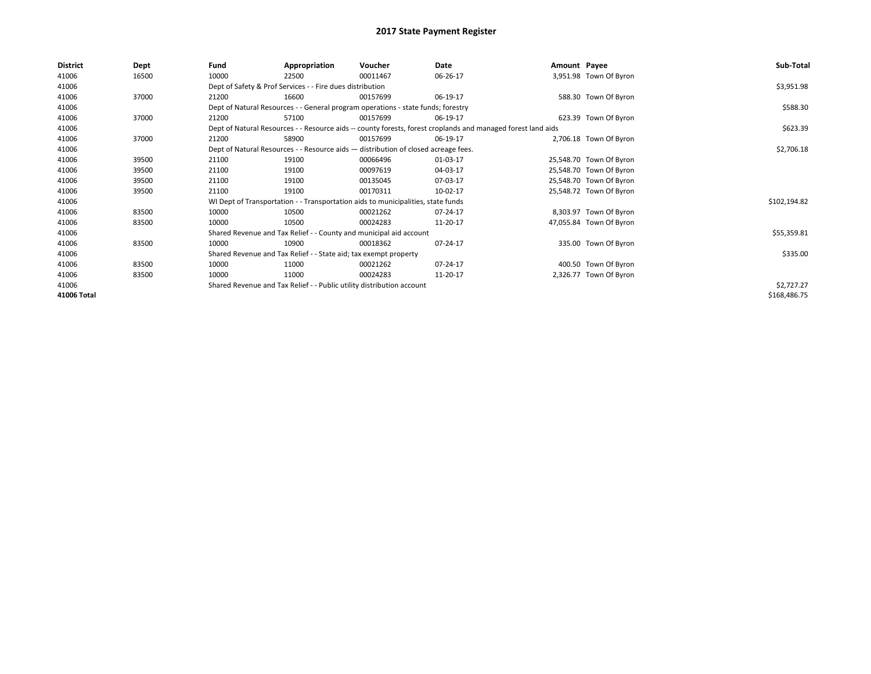| <b>District</b> | Dept  | Fund  | Appropriation                                                                      | Voucher  | Date                                                                                                         | Amount Payee |                         | Sub-Total    |
|-----------------|-------|-------|------------------------------------------------------------------------------------|----------|--------------------------------------------------------------------------------------------------------------|--------------|-------------------------|--------------|
| 41006           | 16500 | 10000 | 22500                                                                              | 00011467 | 06-26-17                                                                                                     |              | 3,951.98 Town Of Byron  |              |
| 41006           |       |       | Dept of Safety & Prof Services - - Fire dues distribution                          |          |                                                                                                              |              |                         | \$3,951.98   |
| 41006           | 37000 | 21200 | 16600                                                                              | 00157699 | 06-19-17                                                                                                     |              | 588.30 Town Of Byron    |              |
| 41006           |       |       | Dept of Natural Resources - - General program operations - state funds; forestry   |          | \$588.30                                                                                                     |              |                         |              |
| 41006           | 37000 | 21200 | 57100                                                                              | 00157699 | 06-19-17                                                                                                     |              | 623.39 Town Of Byron    |              |
| 41006           |       |       |                                                                                    |          | Dept of Natural Resources - - Resource aids -- county forests, forest croplands and managed forest land aids |              |                         | \$623.39     |
| 41006           | 37000 | 21200 | 58900                                                                              | 00157699 | 06-19-17                                                                                                     |              | 2,706.18 Town Of Byron  |              |
| 41006           |       |       | Dept of Natural Resources - - Resource aids - distribution of closed acreage fees. |          |                                                                                                              |              |                         | \$2,706.18   |
| 41006           | 39500 | 21100 | 19100                                                                              | 00066496 | 01-03-17                                                                                                     |              | 25,548.70 Town Of Byron |              |
| 41006           | 39500 | 21100 | 19100                                                                              | 00097619 | 04-03-17                                                                                                     |              | 25,548.70 Town Of Byron |              |
| 41006           | 39500 | 21100 | 19100                                                                              | 00135045 | 07-03-17                                                                                                     |              | 25,548.70 Town Of Byron |              |
| 41006           | 39500 | 21100 | 19100                                                                              | 00170311 | 10-02-17                                                                                                     |              | 25,548.72 Town Of Byron |              |
| 41006           |       |       | WI Dept of Transportation - - Transportation aids to municipalities, state funds   |          |                                                                                                              |              |                         | \$102,194.82 |
| 41006           | 83500 | 10000 | 10500                                                                              | 00021262 | 07-24-17                                                                                                     |              | 8,303.97 Town Of Byron  |              |
| 41006           | 83500 | 10000 | 10500                                                                              | 00024283 | 11-20-17                                                                                                     |              | 47,055.84 Town Of Byron |              |
| 41006           |       |       | Shared Revenue and Tax Relief - - County and municipal aid account                 |          |                                                                                                              |              |                         | \$55,359.81  |
| 41006           | 83500 | 10000 | 10900                                                                              | 00018362 | 07-24-17                                                                                                     |              | 335.00 Town Of Byron    |              |
| 41006           |       |       | Shared Revenue and Tax Relief - - State aid; tax exempt property                   |          |                                                                                                              |              |                         | \$335.00     |
| 41006           | 83500 | 10000 | 11000                                                                              | 00021262 | 07-24-17                                                                                                     |              | 400.50 Town Of Byron    |              |
| 41006           | 83500 | 10000 | 11000                                                                              | 00024283 | 11-20-17                                                                                                     |              | 2,326.77 Town Of Byron  |              |
| 41006           |       |       | Shared Revenue and Tax Relief - - Public utility distribution account              |          |                                                                                                              |              |                         | \$2,727.27   |
| 41006 Total     |       |       |                                                                                    |          |                                                                                                              |              |                         | \$168,486.75 |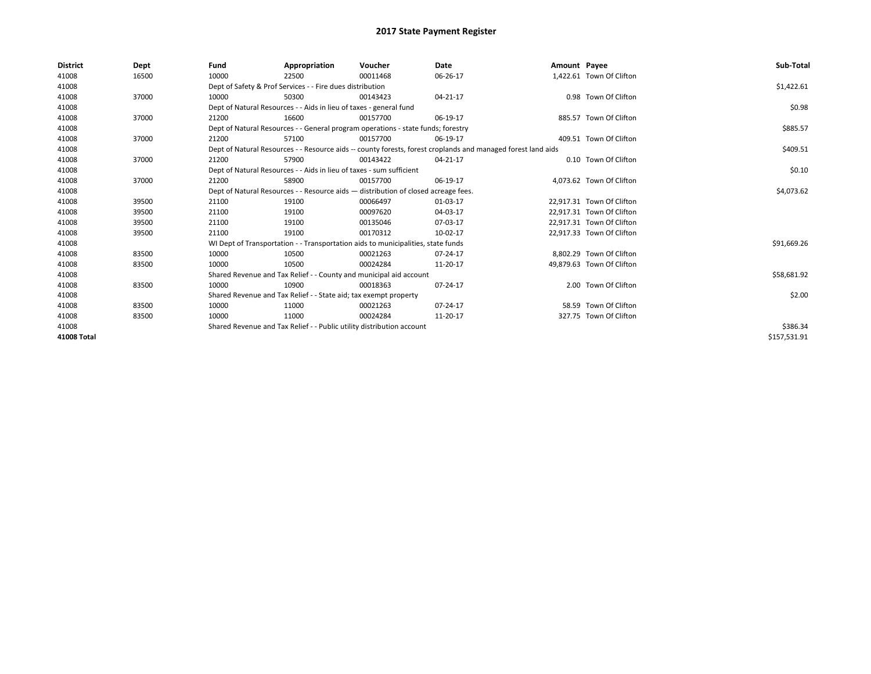| <b>District</b> | Dept  | Fund  | Appropriation                                                                                                | Voucher  | Date       | Amount Payee |                           | Sub-Total    |
|-----------------|-------|-------|--------------------------------------------------------------------------------------------------------------|----------|------------|--------------|---------------------------|--------------|
| 41008           | 16500 | 10000 | 22500                                                                                                        | 00011468 | 06-26-17   |              | 1,422.61 Town Of Clifton  |              |
| 41008           |       |       | Dept of Safety & Prof Services - - Fire dues distribution                                                    |          |            |              |                           | \$1,422.61   |
| 41008           | 37000 | 10000 | 50300                                                                                                        | 00143423 | 04-21-17   |              | 0.98 Town Of Clifton      |              |
| 41008           |       |       | Dept of Natural Resources - - Aids in lieu of taxes - general fund                                           |          |            |              |                           | \$0.98       |
| 41008           | 37000 | 21200 | 16600                                                                                                        | 00157700 | 06-19-17   |              | 885.57 Town Of Clifton    |              |
| 41008           |       |       | Dept of Natural Resources - - General program operations - state funds; forestry                             |          | \$885.57   |              |                           |              |
| 41008           | 37000 | 21200 | 57100                                                                                                        | 00157700 | 06-19-17   |              | 409.51 Town Of Clifton    |              |
| 41008           |       |       | Dept of Natural Resources - - Resource aids -- county forests, forest croplands and managed forest land aids |          | \$409.51   |              |                           |              |
| 41008           | 37000 | 21200 | 57900                                                                                                        | 00143422 | 04-21-17   |              | 0.10 Town Of Clifton      |              |
| 41008           |       |       | Dept of Natural Resources - - Aids in lieu of taxes - sum sufficient                                         |          |            |              |                           | \$0.10       |
| 41008           | 37000 | 21200 | 58900                                                                                                        | 00157700 | 06-19-17   |              | 4.073.62 Town Of Clifton  |              |
| 41008           |       |       | Dept of Natural Resources - - Resource aids - distribution of closed acreage fees.                           |          | \$4,073.62 |              |                           |              |
| 41008           | 39500 | 21100 | 19100                                                                                                        | 00066497 | 01-03-17   |              | 22,917.31 Town Of Clifton |              |
| 41008           | 39500 | 21100 | 19100                                                                                                        | 00097620 | 04-03-17   |              | 22.917.31 Town Of Clifton |              |
| 41008           | 39500 | 21100 | 19100                                                                                                        | 00135046 | 07-03-17   |              | 22,917.31 Town Of Clifton |              |
| 41008           | 39500 | 21100 | 19100                                                                                                        | 00170312 | 10-02-17   |              | 22,917.33 Town Of Clifton |              |
| 41008           |       |       | WI Dept of Transportation - - Transportation aids to municipalities, state funds                             |          |            |              |                           | \$91,669.26  |
| 41008           | 83500 | 10000 | 10500                                                                                                        | 00021263 | 07-24-17   |              | 8.802.29 Town Of Clifton  |              |
| 41008           | 83500 | 10000 | 10500                                                                                                        | 00024284 | 11-20-17   |              | 49,879.63 Town Of Clifton |              |
| 41008           |       |       | Shared Revenue and Tax Relief - - County and municipal aid account                                           |          |            |              |                           | \$58,681.92  |
| 41008           | 83500 | 10000 | 10900                                                                                                        | 00018363 | 07-24-17   |              | 2.00 Town Of Clifton      |              |
| 41008           |       |       | Shared Revenue and Tax Relief - - State aid; tax exempt property                                             |          |            |              |                           | \$2.00       |
| 41008           | 83500 | 10000 | 11000                                                                                                        | 00021263 | 07-24-17   |              | 58.59 Town Of Clifton     |              |
| 41008           | 83500 | 10000 | 11000                                                                                                        | 00024284 | 11-20-17   |              | 327.75 Town Of Clifton    |              |
| 41008           |       |       | Shared Revenue and Tax Relief - - Public utility distribution account                                        |          | \$386.34   |              |                           |              |
| 41008 Total     |       |       |                                                                                                              |          |            |              |                           | \$157,531.91 |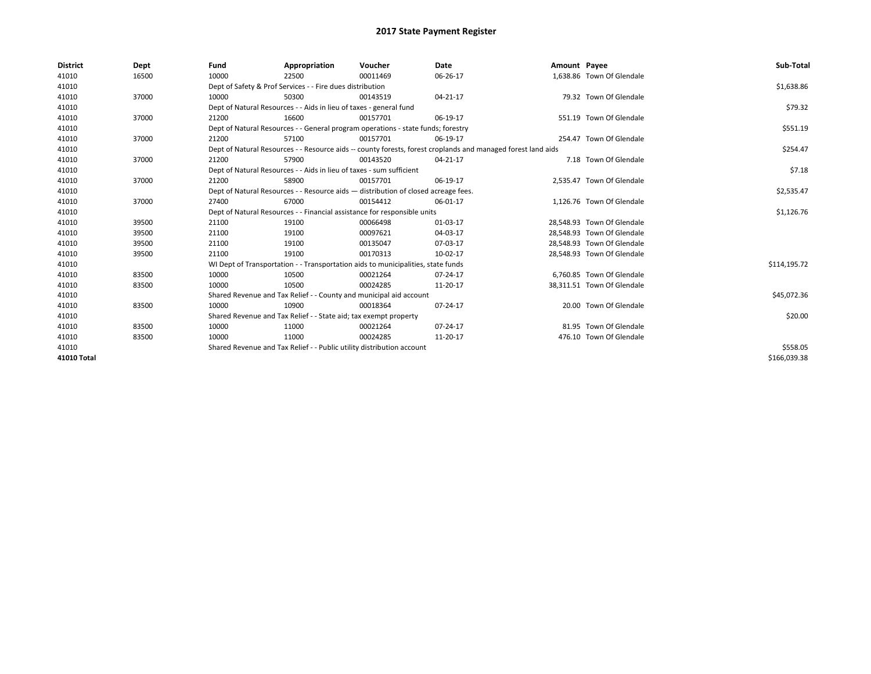| <b>District</b> | Dept  | Fund  | Appropriation                                                                                                | Voucher  | Date     | Amount Payee |                            | Sub-Total    |
|-----------------|-------|-------|--------------------------------------------------------------------------------------------------------------|----------|----------|--------------|----------------------------|--------------|
| 41010           | 16500 | 10000 | 22500                                                                                                        | 00011469 | 06-26-17 |              | 1,638.86 Town Of Glendale  |              |
| 41010           |       |       | Dept of Safety & Prof Services - - Fire dues distribution                                                    |          |          |              |                            | \$1,638.86   |
| 41010           | 37000 | 10000 | 50300                                                                                                        | 00143519 | 04-21-17 |              | 79.32 Town Of Glendale     |              |
| 41010           |       |       | Dept of Natural Resources - - Aids in lieu of taxes - general fund                                           |          |          |              |                            | \$79.32      |
| 41010           | 37000 | 21200 | 16600                                                                                                        | 00157701 | 06-19-17 |              | 551.19 Town Of Glendale    |              |
| 41010           |       |       | Dept of Natural Resources - - General program operations - state funds; forestry                             |          |          |              |                            | \$551.19     |
| 41010           | 37000 | 21200 | 57100                                                                                                        | 00157701 | 06-19-17 |              | 254.47 Town Of Glendale    |              |
| 41010           |       |       | Dept of Natural Resources - - Resource aids -- county forests, forest croplands and managed forest land aids |          |          |              |                            | \$254.47     |
| 41010           | 37000 | 21200 | 57900                                                                                                        | 00143520 | 04-21-17 |              | 7.18 Town Of Glendale      |              |
| 41010           |       |       | Dept of Natural Resources - - Aids in lieu of taxes - sum sufficient                                         |          |          |              |                            | \$7.18       |
| 41010           | 37000 | 21200 | 58900                                                                                                        | 00157701 | 06-19-17 |              | 2.535.47 Town Of Glendale  |              |
| 41010           |       |       | Dept of Natural Resources - - Resource aids - distribution of closed acreage fees.                           |          |          |              |                            | \$2,535.47   |
| 41010           | 37000 | 27400 | 67000                                                                                                        | 00154412 | 06-01-17 |              | 1,126.76 Town Of Glendale  |              |
| 41010           |       |       | Dept of Natural Resources - - Financial assistance for responsible units                                     |          |          |              |                            | \$1,126.76   |
| 41010           | 39500 | 21100 | 19100                                                                                                        | 00066498 | 01-03-17 |              | 28,548.93 Town Of Glendale |              |
| 41010           | 39500 | 21100 | 19100                                                                                                        | 00097621 | 04-03-17 |              | 28.548.93 Town Of Glendale |              |
| 41010           | 39500 | 21100 | 19100                                                                                                        | 00135047 | 07-03-17 |              | 28,548.93 Town Of Glendale |              |
| 41010           | 39500 | 21100 | 19100                                                                                                        | 00170313 | 10-02-17 |              | 28,548.93 Town Of Glendale |              |
| 41010           |       |       | WI Dept of Transportation - - Transportation aids to municipalities, state funds                             |          |          |              |                            | \$114,195.72 |
| 41010           | 83500 | 10000 | 10500                                                                                                        | 00021264 | 07-24-17 |              | 6.760.85 Town Of Glendale  |              |
| 41010           | 83500 | 10000 | 10500                                                                                                        | 00024285 | 11-20-17 |              | 38,311.51 Town Of Glendale |              |
| 41010           |       |       | Shared Revenue and Tax Relief - - County and municipal aid account                                           |          |          |              |                            | \$45,072.36  |
| 41010           | 83500 | 10000 | 10900                                                                                                        | 00018364 | 07-24-17 |              | 20.00 Town Of Glendale     |              |
| 41010           |       |       | Shared Revenue and Tax Relief - - State aid; tax exempt property                                             |          |          |              |                            | \$20.00      |
| 41010           | 83500 | 10000 | 11000                                                                                                        | 00021264 | 07-24-17 |              | 81.95 Town Of Glendale     |              |
| 41010           | 83500 | 10000 | 11000                                                                                                        | 00024285 | 11-20-17 |              | 476.10 Town Of Glendale    |              |
| 41010           |       |       | Shared Revenue and Tax Relief - - Public utility distribution account                                        |          |          |              |                            | \$558.05     |
| 41010 Total     |       |       |                                                                                                              |          |          |              |                            | \$166.039.38 |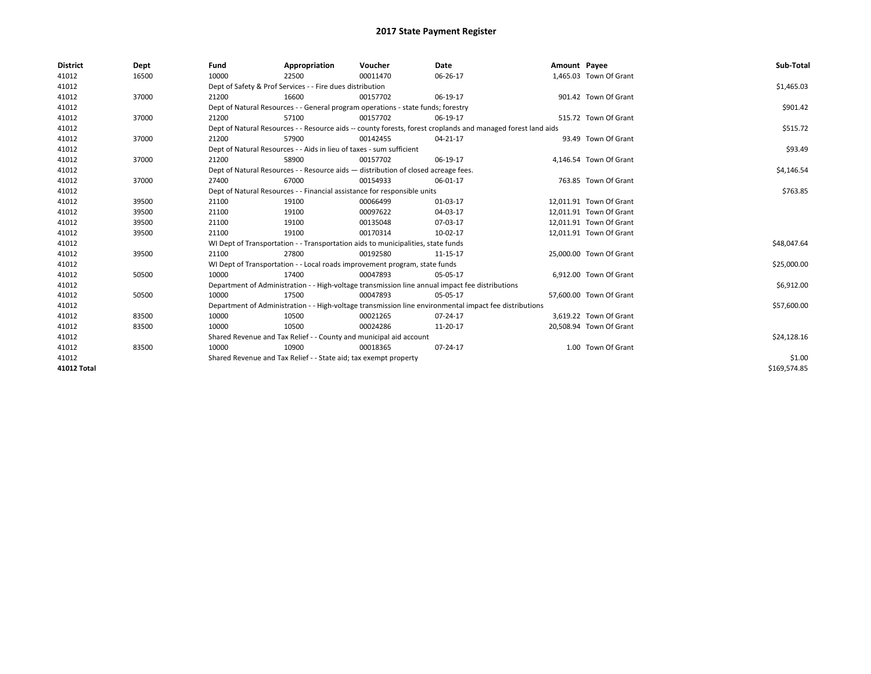| <b>District</b>    | Dept  | Fund  | Appropriation                                                                      | Voucher  | Date                                                                                                         | Amount Payee |                         | Sub-Total    |
|--------------------|-------|-------|------------------------------------------------------------------------------------|----------|--------------------------------------------------------------------------------------------------------------|--------------|-------------------------|--------------|
| 41012              | 16500 | 10000 | 22500                                                                              | 00011470 | 06-26-17                                                                                                     |              | 1,465.03 Town Of Grant  |              |
| 41012              |       |       | Dept of Safety & Prof Services - - Fire dues distribution                          |          |                                                                                                              |              |                         | \$1,465.03   |
| 41012              | 37000 | 21200 | 16600                                                                              | 00157702 | 06-19-17                                                                                                     |              | 901.42 Town Of Grant    |              |
| 41012              |       |       | Dept of Natural Resources - - General program operations - state funds; forestry   |          |                                                                                                              |              |                         | \$901.42     |
| 41012              | 37000 | 21200 | 57100                                                                              | 00157702 | 06-19-17                                                                                                     |              | 515.72 Town Of Grant    |              |
| 41012              |       |       |                                                                                    |          | Dept of Natural Resources - - Resource aids -- county forests, forest croplands and managed forest land aids |              |                         | \$515.72     |
| 41012              | 37000 | 21200 | 57900                                                                              | 00142455 | 04-21-17                                                                                                     |              | 93.49 Town Of Grant     |              |
| 41012              |       |       | Dept of Natural Resources - - Aids in lieu of taxes - sum sufficient               |          |                                                                                                              |              |                         | \$93.49      |
| 41012              | 37000 | 21200 | 58900                                                                              | 00157702 | 06-19-17                                                                                                     |              | 4,146.54 Town Of Grant  |              |
| 41012              |       |       | Dept of Natural Resources - - Resource aids - distribution of closed acreage fees. |          |                                                                                                              |              |                         | \$4,146.54   |
| 41012              | 37000 | 27400 | 67000                                                                              | 00154933 | 06-01-17                                                                                                     |              | 763.85 Town Of Grant    |              |
| 41012              |       |       | Dept of Natural Resources - - Financial assistance for responsible units           |          |                                                                                                              |              |                         | \$763.85     |
| 41012              | 39500 | 21100 | 19100                                                                              | 00066499 | 01-03-17                                                                                                     |              | 12,011.91 Town Of Grant |              |
| 41012              | 39500 | 21100 | 19100                                                                              | 00097622 | 04-03-17                                                                                                     |              | 12.011.91 Town Of Grant |              |
| 41012              | 39500 | 21100 | 19100                                                                              | 00135048 | 07-03-17                                                                                                     |              | 12,011.91 Town Of Grant |              |
| 41012              | 39500 | 21100 | 19100                                                                              | 00170314 | 10-02-17                                                                                                     |              | 12,011.91 Town Of Grant |              |
| 41012              |       |       | WI Dept of Transportation - - Transportation aids to municipalities, state funds   |          |                                                                                                              |              |                         | \$48,047.64  |
| 41012              | 39500 | 21100 | 27800                                                                              | 00192580 | 11-15-17                                                                                                     |              | 25,000.00 Town Of Grant |              |
| 41012              |       |       | WI Dept of Transportation - - Local roads improvement program, state funds         |          |                                                                                                              |              |                         | \$25,000.00  |
| 41012              | 50500 | 10000 | 17400                                                                              | 00047893 | 05-05-17                                                                                                     |              | 6,912.00 Town Of Grant  |              |
| 41012              |       |       |                                                                                    |          | Department of Administration - - High-voltage transmission line annual impact fee distributions              |              |                         | \$6,912.00   |
| 41012              | 50500 | 10000 | 17500                                                                              | 00047893 | 05-05-17                                                                                                     |              | 57,600.00 Town Of Grant |              |
| 41012              |       |       |                                                                                    |          | Department of Administration - - High-voltage transmission line environmental impact fee distributions       |              |                         | \$57,600.00  |
| 41012              | 83500 | 10000 | 10500                                                                              | 00021265 | 07-24-17                                                                                                     |              | 3,619.22 Town Of Grant  |              |
| 41012              | 83500 | 10000 | 10500                                                                              | 00024286 | 11-20-17                                                                                                     |              | 20,508.94 Town Of Grant |              |
| 41012              |       |       | Shared Revenue and Tax Relief - - County and municipal aid account                 |          |                                                                                                              |              |                         | \$24,128.16  |
| 41012              | 83500 | 10000 | 10900                                                                              | 00018365 | 07-24-17                                                                                                     |              | 1.00 Town Of Grant      |              |
| 41012              |       |       | Shared Revenue and Tax Relief - - State aid; tax exempt property                   |          |                                                                                                              |              |                         | \$1.00       |
| <b>41012 Total</b> |       |       |                                                                                    |          |                                                                                                              |              |                         | \$169,574.85 |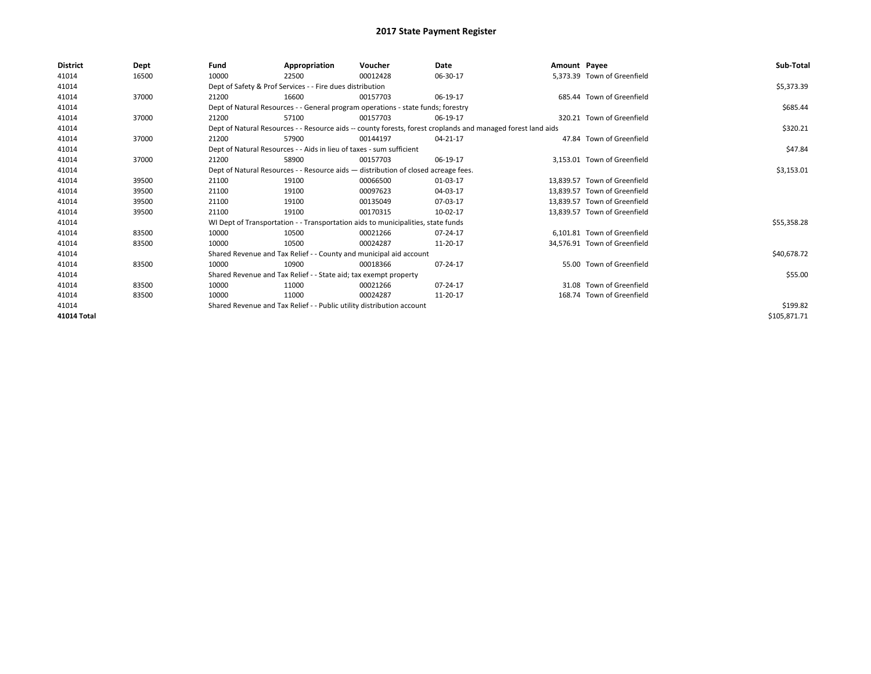| <b>District</b> | Dept  | Fund  | Appropriation                                                                      | Voucher  | Date                                                                                                         | Amount Payee |                              | Sub-Total    |
|-----------------|-------|-------|------------------------------------------------------------------------------------|----------|--------------------------------------------------------------------------------------------------------------|--------------|------------------------------|--------------|
| 41014           | 16500 | 10000 | 22500                                                                              | 00012428 | 06-30-17                                                                                                     |              | 5,373.39 Town of Greenfield  |              |
| 41014           |       |       | Dept of Safety & Prof Services - - Fire dues distribution                          |          |                                                                                                              |              |                              | \$5,373.39   |
| 41014           | 37000 | 21200 | 16600                                                                              | 00157703 | 06-19-17                                                                                                     |              | 685.44 Town of Greenfield    |              |
| 41014           |       |       | Dept of Natural Resources - - General program operations - state funds; forestry   |          |                                                                                                              |              |                              | \$685.44     |
| 41014           | 37000 | 21200 | 57100                                                                              | 00157703 | 06-19-17                                                                                                     |              | 320.21 Town of Greenfield    |              |
| 41014           |       |       |                                                                                    |          | Dept of Natural Resources - - Resource aids -- county forests, forest croplands and managed forest land aids |              |                              | \$320.21     |
| 41014           | 37000 | 21200 | 57900                                                                              | 00144197 | 04-21-17                                                                                                     |              | 47.84 Town of Greenfield     |              |
| 41014           |       |       | Dept of Natural Resources - - Aids in lieu of taxes - sum sufficient               |          |                                                                                                              |              |                              | \$47.84      |
| 41014           | 37000 | 21200 | 58900                                                                              | 00157703 | 06-19-17                                                                                                     |              | 3.153.01 Town of Greenfield  |              |
| 41014           |       |       | Dept of Natural Resources - - Resource aids - distribution of closed acreage fees. |          |                                                                                                              |              |                              | \$3,153.01   |
| 41014           | 39500 | 21100 | 19100                                                                              | 00066500 | 01-03-17                                                                                                     |              | 13.839.57 Town of Greenfield |              |
| 41014           | 39500 | 21100 | 19100                                                                              | 00097623 | 04-03-17                                                                                                     |              | 13,839.57 Town of Greenfield |              |
| 41014           | 39500 | 21100 | 19100                                                                              | 00135049 | 07-03-17                                                                                                     |              | 13.839.57 Town of Greenfield |              |
| 41014           | 39500 | 21100 | 19100                                                                              | 00170315 | 10-02-17                                                                                                     |              | 13,839.57 Town of Greenfield |              |
| 41014           |       |       | WI Dept of Transportation - - Transportation aids to municipalities, state funds   |          |                                                                                                              |              |                              | \$55,358.28  |
| 41014           | 83500 | 10000 | 10500                                                                              | 00021266 | 07-24-17                                                                                                     |              | 6.101.81 Town of Greenfield  |              |
| 41014           | 83500 | 10000 | 10500                                                                              | 00024287 | 11-20-17                                                                                                     |              | 34.576.91 Town of Greenfield |              |
| 41014           |       |       | Shared Revenue and Tax Relief - - County and municipal aid account                 |          |                                                                                                              |              |                              | \$40,678.72  |
| 41014           | 83500 | 10000 | 10900                                                                              | 00018366 | 07-24-17                                                                                                     |              | 55.00 Town of Greenfield     |              |
| 41014           |       |       | Shared Revenue and Tax Relief - - State aid; tax exempt property                   |          |                                                                                                              |              |                              | \$55.00      |
| 41014           | 83500 | 10000 | 11000                                                                              | 00021266 | 07-24-17                                                                                                     |              | 31.08 Town of Greenfield     |              |
| 41014           | 83500 | 10000 | 11000                                                                              | 00024287 | 11-20-17                                                                                                     |              | 168.74 Town of Greenfield    |              |
| 41014           |       |       | Shared Revenue and Tax Relief - - Public utility distribution account              |          | \$199.82                                                                                                     |              |                              |              |
| 41014 Total     |       |       |                                                                                    |          |                                                                                                              |              |                              | \$105,871.71 |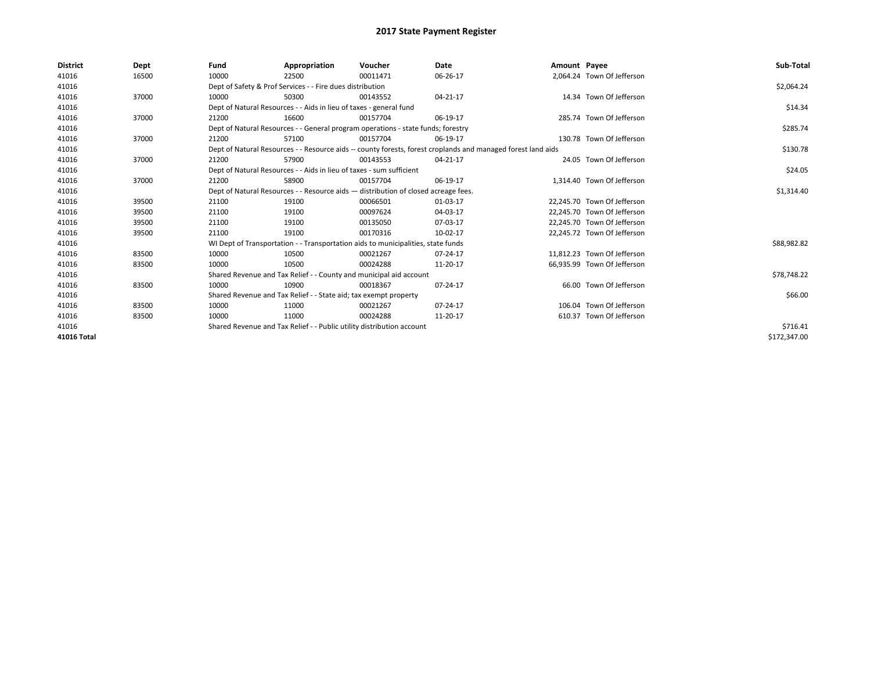| <b>District</b>    | Dept  | Fund  | Appropriation                                                                                                | Voucher  | <b>Date</b> | Amount Payee |                             | Sub-Total    |
|--------------------|-------|-------|--------------------------------------------------------------------------------------------------------------|----------|-------------|--------------|-----------------------------|--------------|
| 41016              | 16500 | 10000 | 22500                                                                                                        | 00011471 | 06-26-17    |              | 2,064.24 Town Of Jefferson  |              |
| 41016              |       |       | Dept of Safety & Prof Services - - Fire dues distribution                                                    |          |             |              |                             | \$2,064.24   |
| 41016              | 37000 | 10000 | 50300                                                                                                        | 00143552 | 04-21-17    |              | 14.34 Town Of Jefferson     |              |
| 41016              |       |       | Dept of Natural Resources - - Aids in lieu of taxes - general fund                                           |          |             |              |                             | \$14.34      |
| 41016              | 37000 | 21200 | 16600                                                                                                        | 00157704 | 06-19-17    |              | 285.74 Town Of Jefferson    |              |
| 41016              |       |       | Dept of Natural Resources - - General program operations - state funds; forestry                             |          |             |              |                             | \$285.74     |
| 41016              | 37000 | 21200 | 57100                                                                                                        | 00157704 | 06-19-17    |              | 130.78 Town Of Jefferson    |              |
| 41016              |       |       | Dept of Natural Resources - - Resource aids -- county forests, forest croplands and managed forest land aids |          |             |              |                             | \$130.78     |
| 41016              | 37000 | 21200 | 57900                                                                                                        | 00143553 | 04-21-17    |              | 24.05 Town Of Jefferson     |              |
| 41016              |       |       | Dept of Natural Resources - - Aids in lieu of taxes - sum sufficient                                         |          |             |              |                             | \$24.05      |
| 41016              | 37000 | 21200 | 58900                                                                                                        | 00157704 | 06-19-17    |              | 1.314.40 Town Of Jefferson  |              |
| 41016              |       |       | Dept of Natural Resources - - Resource aids - distribution of closed acreage fees.                           |          |             |              |                             | \$1,314.40   |
| 41016              | 39500 | 21100 | 19100                                                                                                        | 00066501 | 01-03-17    |              | 22.245.70 Town Of Jefferson |              |
| 41016              | 39500 | 21100 | 19100                                                                                                        | 00097624 | 04-03-17    |              | 22,245.70 Town Of Jefferson |              |
| 41016              | 39500 | 21100 | 19100                                                                                                        | 00135050 | 07-03-17    |              | 22,245.70 Town Of Jefferson |              |
| 41016              | 39500 | 21100 | 19100                                                                                                        | 00170316 | 10-02-17    |              | 22.245.72 Town Of Jefferson |              |
| 41016              |       |       | WI Dept of Transportation - - Transportation aids to municipalities, state funds                             |          |             |              |                             | \$88,982.82  |
| 41016              | 83500 | 10000 | 10500                                                                                                        | 00021267 | 07-24-17    |              | 11.812.23 Town Of Jefferson |              |
| 41016              | 83500 | 10000 | 10500                                                                                                        | 00024288 | 11-20-17    |              | 66,935.99 Town Of Jefferson |              |
| 41016              |       |       | Shared Revenue and Tax Relief - - County and municipal aid account                                           |          |             |              |                             | \$78,748.22  |
| 41016              | 83500 | 10000 | 10900                                                                                                        | 00018367 | 07-24-17    |              | 66.00 Town Of Jefferson     |              |
| 41016              |       |       | Shared Revenue and Tax Relief - - State aid; tax exempt property                                             |          |             |              |                             | \$66.00      |
| 41016              | 83500 | 10000 | 11000                                                                                                        | 00021267 | 07-24-17    |              | 106.04 Town Of Jefferson    |              |
| 41016              | 83500 | 10000 | 11000                                                                                                        | 00024288 | 11-20-17    |              | 610.37 Town Of Jefferson    |              |
| 41016              |       |       | Shared Revenue and Tax Relief - - Public utility distribution account                                        |          |             |              |                             | \$716.41     |
| <b>41016 Total</b> |       |       |                                                                                                              |          |             |              |                             | \$172,347.00 |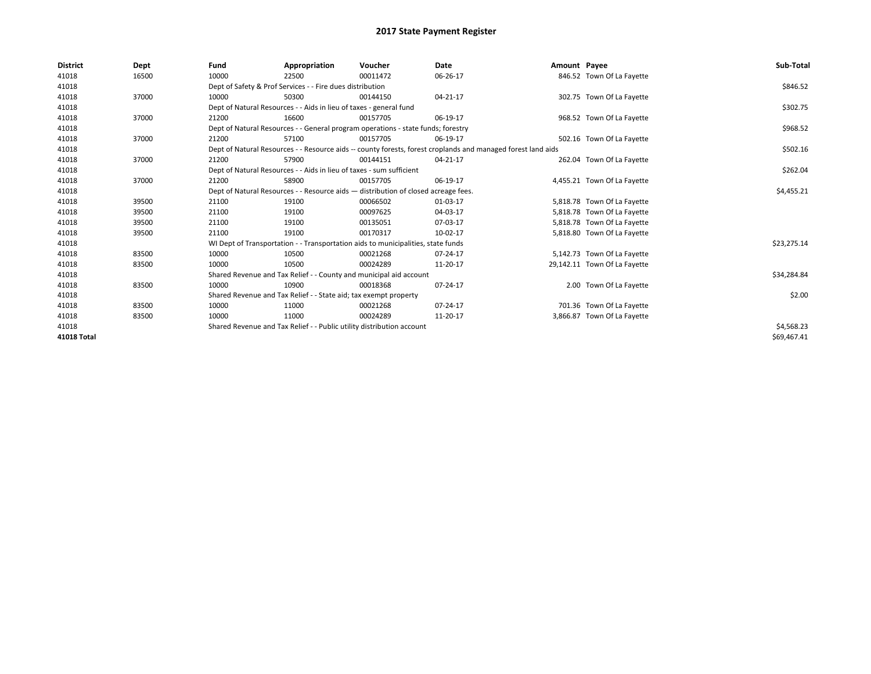| <b>District</b> | Dept  | Fund  | Appropriation                                                                                                | Voucher  | <b>Date</b> | Amount Payee |                              | Sub-Total   |
|-----------------|-------|-------|--------------------------------------------------------------------------------------------------------------|----------|-------------|--------------|------------------------------|-------------|
| 41018           | 16500 | 10000 | 22500                                                                                                        | 00011472 | 06-26-17    |              | 846.52 Town Of La Fayette    |             |
| 41018           |       |       | Dept of Safety & Prof Services - - Fire dues distribution                                                    |          |             |              |                              | \$846.52    |
| 41018           | 37000 | 10000 | 50300                                                                                                        | 00144150 | 04-21-17    |              | 302.75 Town Of La Fayette    |             |
| 41018           |       |       | Dept of Natural Resources - - Aids in lieu of taxes - general fund                                           |          |             |              |                              | \$302.75    |
| 41018           | 37000 | 21200 | 16600                                                                                                        | 00157705 | 06-19-17    |              | 968.52 Town Of La Fayette    |             |
| 41018           |       |       | Dept of Natural Resources - - General program operations - state funds; forestry                             |          |             |              |                              | \$968.52    |
| 41018           | 37000 | 21200 | 57100                                                                                                        | 00157705 | 06-19-17    |              | 502.16 Town Of La Fayette    |             |
| 41018           |       |       | Dept of Natural Resources - - Resource aids -- county forests, forest croplands and managed forest land aids |          |             |              |                              | \$502.16    |
| 41018           | 37000 | 21200 | 57900                                                                                                        | 00144151 | 04-21-17    |              | 262.04 Town Of La Fayette    |             |
| 41018           |       |       | Dept of Natural Resources - - Aids in lieu of taxes - sum sufficient                                         |          |             |              |                              | \$262.04    |
| 41018           | 37000 | 21200 | 58900                                                                                                        | 00157705 | 06-19-17    |              | 4,455.21 Town Of La Fayette  |             |
| 41018           |       |       | Dept of Natural Resources - - Resource aids - distribution of closed acreage fees.                           |          |             |              |                              | \$4,455.21  |
| 41018           | 39500 | 21100 | 19100                                                                                                        | 00066502 | 01-03-17    |              | 5,818.78 Town Of La Fayette  |             |
| 41018           | 39500 | 21100 | 19100                                                                                                        | 00097625 | 04-03-17    |              | 5,818.78 Town Of La Fayette  |             |
| 41018           | 39500 | 21100 | 19100                                                                                                        | 00135051 | 07-03-17    |              | 5,818.78 Town Of La Fayette  |             |
| 41018           | 39500 | 21100 | 19100                                                                                                        | 00170317 | 10-02-17    |              | 5,818.80 Town Of La Fayette  |             |
| 41018           |       |       | WI Dept of Transportation - - Transportation aids to municipalities, state funds                             |          |             |              |                              | \$23,275.14 |
| 41018           | 83500 | 10000 | 10500                                                                                                        | 00021268 | 07-24-17    |              | 5,142.73 Town Of La Fayette  |             |
| 41018           | 83500 | 10000 | 10500                                                                                                        | 00024289 | 11-20-17    |              | 29,142.11 Town Of La Fayette |             |
| 41018           |       |       | Shared Revenue and Tax Relief - - County and municipal aid account                                           |          |             |              |                              | \$34,284.84 |
| 41018           | 83500 | 10000 | 10900                                                                                                        | 00018368 | 07-24-17    |              | 2.00 Town Of La Fayette      |             |
| 41018           |       |       | Shared Revenue and Tax Relief - - State aid; tax exempt property                                             |          |             |              |                              | \$2.00      |
| 41018           | 83500 | 10000 | 11000                                                                                                        | 00021268 | 07-24-17    |              | 701.36 Town Of La Fayette    |             |
| 41018           | 83500 | 10000 | 11000                                                                                                        | 00024289 | 11-20-17    |              | 3,866.87 Town Of La Fayette  |             |
| 41018           |       |       | Shared Revenue and Tax Relief - - Public utility distribution account                                        |          |             |              |                              | \$4,568.23  |
| 41018 Total     |       |       |                                                                                                              |          |             |              |                              | \$69,467.41 |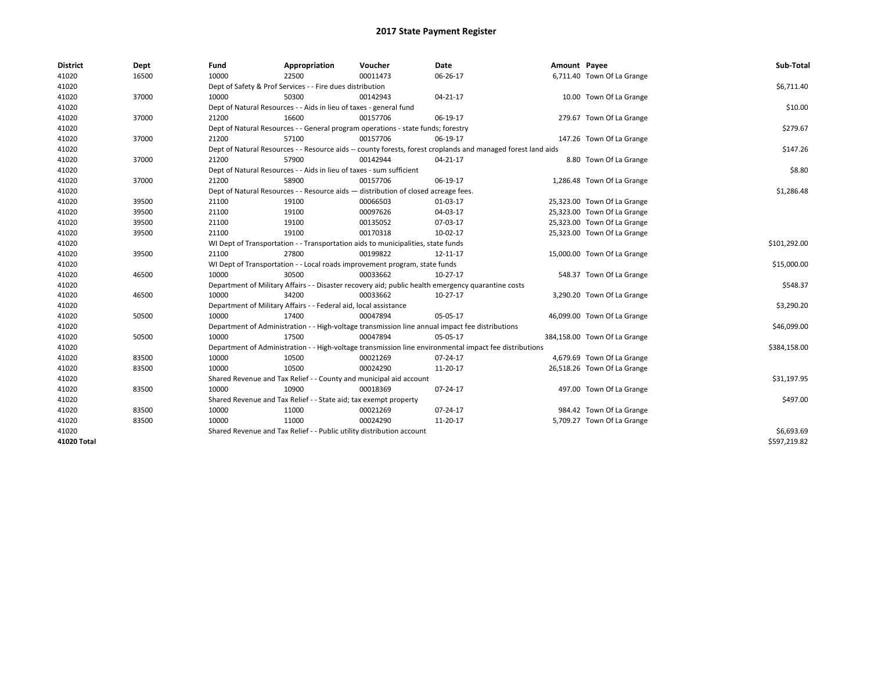| <b>District</b> | Dept  | Fund  | Appropriation                                                                      | Voucher  | Date                                                                                                         | Amount Payee |                              | Sub-Total    |
|-----------------|-------|-------|------------------------------------------------------------------------------------|----------|--------------------------------------------------------------------------------------------------------------|--------------|------------------------------|--------------|
| 41020           | 16500 | 10000 | 22500                                                                              | 00011473 | 06-26-17                                                                                                     |              | 6,711.40 Town Of La Grange   |              |
| 41020           |       |       | Dept of Safety & Prof Services - - Fire dues distribution                          |          |                                                                                                              |              |                              | \$6,711.40   |
| 41020           | 37000 | 10000 | 50300                                                                              | 00142943 | 04-21-17                                                                                                     |              | 10.00 Town Of La Grange      |              |
| 41020           |       |       | Dept of Natural Resources - - Aids in lieu of taxes - general fund                 |          |                                                                                                              |              |                              | \$10.00      |
| 41020           | 37000 | 21200 | 16600                                                                              | 00157706 | 06-19-17                                                                                                     |              | 279.67 Town Of La Grange     |              |
| 41020           |       |       | Dept of Natural Resources - - General program operations - state funds; forestry   |          |                                                                                                              |              |                              | \$279.67     |
| 41020           | 37000 | 21200 | 57100                                                                              | 00157706 | 06-19-17                                                                                                     |              | 147.26 Town Of La Grange     |              |
| 41020           |       |       |                                                                                    |          | Dept of Natural Resources - - Resource aids -- county forests, forest croplands and managed forest land aids |              |                              | \$147.26     |
| 41020           | 37000 | 21200 | 57900                                                                              | 00142944 | 04-21-17                                                                                                     |              | 8.80 Town Of La Grange       |              |
| 41020           |       |       | Dept of Natural Resources - - Aids in lieu of taxes - sum sufficient               |          |                                                                                                              |              |                              | \$8.80       |
| 41020           | 37000 | 21200 | 58900                                                                              | 00157706 | 06-19-17                                                                                                     |              | 1,286.48 Town Of La Grange   |              |
| 41020           |       |       | Dept of Natural Resources - - Resource aids - distribution of closed acreage fees. |          |                                                                                                              |              |                              | \$1,286.48   |
| 41020           | 39500 | 21100 | 19100                                                                              | 00066503 | 01-03-17                                                                                                     |              | 25,323.00 Town Of La Grange  |              |
| 41020           | 39500 | 21100 | 19100                                                                              | 00097626 | 04-03-17                                                                                                     |              | 25,323.00 Town Of La Grange  |              |
| 41020           | 39500 | 21100 | 19100                                                                              | 00135052 | 07-03-17                                                                                                     |              | 25,323.00 Town Of La Grange  |              |
| 41020           | 39500 | 21100 | 19100                                                                              | 00170318 | 10-02-17                                                                                                     |              | 25,323.00 Town Of La Grange  |              |
| 41020           |       |       | WI Dept of Transportation - - Transportation aids to municipalities, state funds   |          |                                                                                                              |              |                              | \$101,292.00 |
| 41020           | 39500 | 21100 | 27800                                                                              | 00199822 | 12-11-17                                                                                                     |              | 15,000.00 Town Of La Grange  |              |
| 41020           |       |       | WI Dept of Transportation - - Local roads improvement program, state funds         |          |                                                                                                              |              |                              | \$15,000.00  |
| 41020           | 46500 | 10000 | 30500                                                                              | 00033662 | 10-27-17                                                                                                     |              | 548.37 Town Of La Grange     |              |
| 41020           |       |       |                                                                                    |          | Department of Military Affairs - - Disaster recovery aid; public health emergency quarantine costs           |              |                              | \$548.37     |
| 41020           | 46500 | 10000 | 34200                                                                              | 00033662 | 10-27-17                                                                                                     |              | 3,290.20 Town Of La Grange   |              |
| 41020           |       |       | Department of Military Affairs - - Federal aid, local assistance                   |          |                                                                                                              |              |                              | \$3,290.20   |
| 41020           | 50500 | 10000 | 17400                                                                              | 00047894 | 05-05-17                                                                                                     |              | 46,099.00 Town Of La Grange  |              |
| 41020           |       |       |                                                                                    |          | Department of Administration - - High-voltage transmission line annual impact fee distributions              |              |                              | \$46,099.00  |
| 41020           | 50500 | 10000 | 17500                                                                              | 00047894 | 05-05-17                                                                                                     |              | 384,158.00 Town Of La Grange |              |
| 41020           |       |       |                                                                                    |          | Department of Administration - - High-voltage transmission line environmental impact fee distributions       |              |                              | \$384,158.00 |
| 41020           | 83500 | 10000 | 10500                                                                              | 00021269 | 07-24-17                                                                                                     |              | 4,679.69 Town Of La Grange   |              |
| 41020           | 83500 | 10000 | 10500                                                                              | 00024290 | 11-20-17                                                                                                     |              | 26,518.26 Town Of La Grange  |              |
| 41020           |       |       | Shared Revenue and Tax Relief - - County and municipal aid account                 |          |                                                                                                              |              |                              | \$31,197.95  |
| 41020           | 83500 | 10000 | 10900                                                                              | 00018369 | 07-24-17                                                                                                     |              | 497.00 Town Of La Grange     |              |
| 41020           |       |       | Shared Revenue and Tax Relief - - State aid; tax exempt property                   |          |                                                                                                              |              |                              | \$497.00     |
| 41020           | 83500 | 10000 | 11000                                                                              | 00021269 | 07-24-17                                                                                                     |              | 984.42 Town Of La Grange     |              |
| 41020           | 83500 | 10000 | 11000                                                                              | 00024290 | 11-20-17                                                                                                     |              | 5,709.27 Town Of La Grange   |              |
| 41020           |       |       | Shared Revenue and Tax Relief - - Public utility distribution account              |          |                                                                                                              |              |                              | \$6,693.69   |
| 41020 Total     |       |       |                                                                                    |          |                                                                                                              |              |                              | \$597,219.82 |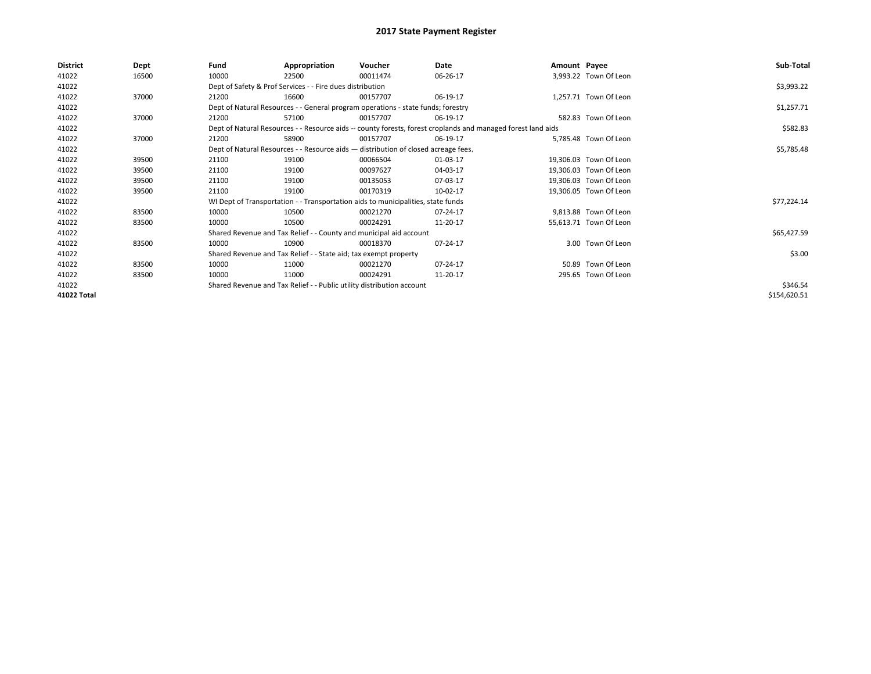| <b>District</b> | Dept  | Fund  | Appropriation                                                                      | Voucher  | Date                                                                                                         | Amount Payee |                        | Sub-Total    |
|-----------------|-------|-------|------------------------------------------------------------------------------------|----------|--------------------------------------------------------------------------------------------------------------|--------------|------------------------|--------------|
| 41022           | 16500 | 10000 | 22500                                                                              | 00011474 | 06-26-17                                                                                                     |              | 3,993.22 Town Of Leon  |              |
| 41022           |       |       | Dept of Safety & Prof Services - - Fire dues distribution                          |          |                                                                                                              |              |                        | \$3,993.22   |
| 41022           | 37000 | 21200 | 16600                                                                              | 00157707 | 06-19-17                                                                                                     |              | 1,257.71 Town Of Leon  |              |
| 41022           |       |       | Dept of Natural Resources - - General program operations - state funds; forestry   |          |                                                                                                              |              |                        | \$1,257.71   |
| 41022           | 37000 | 21200 | 57100                                                                              | 00157707 | 06-19-17                                                                                                     |              | 582.83 Town Of Leon    |              |
| 41022           |       |       |                                                                                    |          | Dept of Natural Resources - - Resource aids -- county forests, forest croplands and managed forest land aids |              |                        | \$582.83     |
| 41022           | 37000 | 21200 | 58900                                                                              | 00157707 | 06-19-17                                                                                                     |              | 5,785.48 Town Of Leon  |              |
| 41022           |       |       | Dept of Natural Resources - - Resource aids - distribution of closed acreage fees. |          |                                                                                                              |              |                        | \$5,785.48   |
| 41022           | 39500 | 21100 | 19100                                                                              | 00066504 | 01-03-17                                                                                                     |              | 19,306.03 Town Of Leon |              |
| 41022           | 39500 | 21100 | 19100                                                                              | 00097627 | 04-03-17                                                                                                     |              | 19,306.03 Town Of Leon |              |
| 41022           | 39500 | 21100 | 19100                                                                              | 00135053 | 07-03-17                                                                                                     |              | 19,306.03 Town Of Leon |              |
| 41022           | 39500 | 21100 | 19100                                                                              | 00170319 | 10-02-17                                                                                                     |              | 19,306.05 Town Of Leon |              |
| 41022           |       |       | WI Dept of Transportation - - Transportation aids to municipalities, state funds   |          |                                                                                                              |              |                        | \$77,224.14  |
| 41022           | 83500 | 10000 | 10500                                                                              | 00021270 | 07-24-17                                                                                                     |              | 9,813.88 Town Of Leon  |              |
| 41022           | 83500 | 10000 | 10500                                                                              | 00024291 | 11-20-17                                                                                                     |              | 55,613.71 Town Of Leon |              |
| 41022           |       |       | Shared Revenue and Tax Relief - - County and municipal aid account                 |          |                                                                                                              |              |                        | \$65,427.59  |
| 41022           | 83500 | 10000 | 10900                                                                              | 00018370 | 07-24-17                                                                                                     |              | 3.00 Town Of Leon      |              |
| 41022           |       |       | Shared Revenue and Tax Relief - - State aid; tax exempt property                   |          |                                                                                                              |              |                        | \$3.00       |
| 41022           | 83500 | 10000 | 11000                                                                              | 00021270 | 07-24-17                                                                                                     |              | 50.89 Town Of Leon     |              |
| 41022           | 83500 | 10000 | 11000                                                                              | 00024291 | 11-20-17                                                                                                     |              | 295.65 Town Of Leon    |              |
| 41022           |       |       | Shared Revenue and Tax Relief - - Public utility distribution account              |          |                                                                                                              |              |                        | \$346.54     |
| 41022 Total     |       |       |                                                                                    |          |                                                                                                              |              |                        | \$154,620.51 |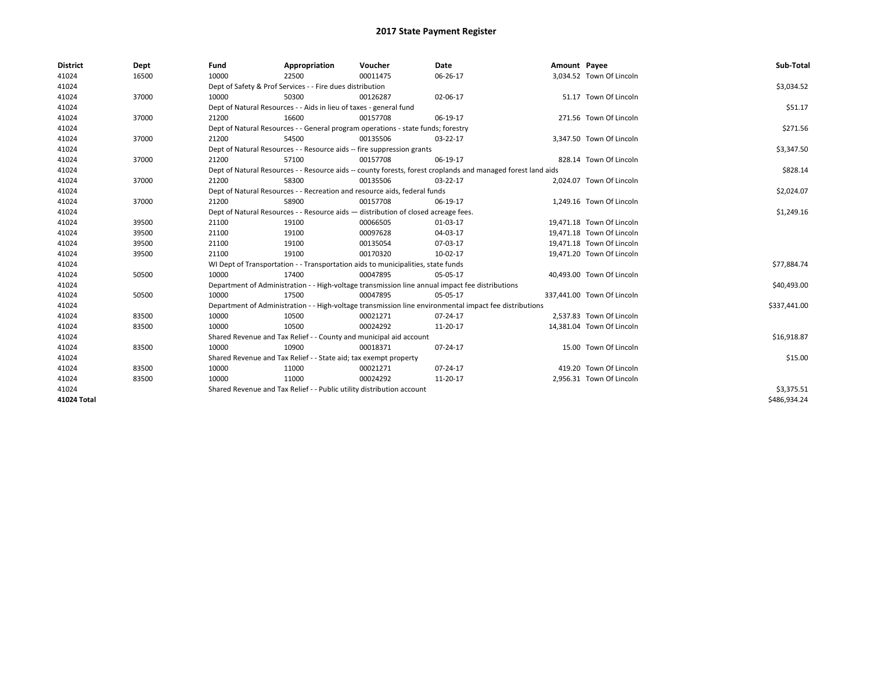| <b>District</b> | Dept  | Fund  | Appropriation                                                                                                | Voucher  | Date     | Amount Payee |                            | Sub-Total    |
|-----------------|-------|-------|--------------------------------------------------------------------------------------------------------------|----------|----------|--------------|----------------------------|--------------|
| 41024           | 16500 | 10000 | 22500                                                                                                        | 00011475 | 06-26-17 |              | 3,034.52 Town Of Lincoln   |              |
| 41024           |       |       | Dept of Safety & Prof Services - - Fire dues distribution                                                    |          |          |              |                            | \$3,034.52   |
| 41024           | 37000 | 10000 | 50300                                                                                                        | 00126287 | 02-06-17 |              | 51.17 Town Of Lincoln      |              |
| 41024           |       |       | Dept of Natural Resources - - Aids in lieu of taxes - general fund                                           |          |          |              |                            | \$51.17      |
| 41024           | 37000 | 21200 | 16600                                                                                                        | 00157708 | 06-19-17 |              | 271.56 Town Of Lincoln     |              |
| 41024           |       |       | Dept of Natural Resources - - General program operations - state funds; forestry                             |          |          |              |                            | \$271.56     |
| 41024           | 37000 | 21200 | 54500                                                                                                        | 00135506 | 03-22-17 |              | 3,347.50 Town Of Lincoln   |              |
| 41024           |       |       | Dept of Natural Resources - - Resource aids -- fire suppression grants                                       |          |          |              |                            | \$3,347.50   |
| 41024           | 37000 | 21200 | 57100                                                                                                        | 00157708 | 06-19-17 |              | 828.14 Town Of Lincoln     |              |
| 41024           |       |       | Dept of Natural Resources - - Resource aids -- county forests, forest croplands and managed forest land aids |          |          |              |                            | \$828.14     |
| 41024           | 37000 | 21200 | 58300                                                                                                        | 00135506 | 03-22-17 |              | 2,024.07 Town Of Lincoln   |              |
| 41024           |       |       | Dept of Natural Resources - - Recreation and resource aids, federal funds                                    |          |          |              |                            | \$2,024.07   |
| 41024           | 37000 | 21200 | 58900                                                                                                        | 00157708 | 06-19-17 |              | 1,249.16 Town Of Lincoln   |              |
| 41024           |       |       | Dept of Natural Resources - - Resource aids - distribution of closed acreage fees.                           |          |          |              |                            | \$1,249.16   |
| 41024           | 39500 | 21100 | 19100                                                                                                        | 00066505 | 01-03-17 |              | 19,471.18 Town Of Lincoln  |              |
| 41024           | 39500 | 21100 | 19100                                                                                                        | 00097628 | 04-03-17 |              | 19.471.18 Town Of Lincoln  |              |
| 41024           | 39500 | 21100 | 19100                                                                                                        | 00135054 | 07-03-17 |              | 19,471.18 Town Of Lincoln  |              |
| 41024           | 39500 | 21100 | 19100                                                                                                        | 00170320 | 10-02-17 |              | 19,471.20 Town Of Lincoln  |              |
| 41024           |       |       | WI Dept of Transportation - - Transportation aids to municipalities, state funds                             |          |          |              |                            | \$77,884.74  |
| 41024           | 50500 | 10000 | 17400                                                                                                        | 00047895 | 05-05-17 |              | 40,493.00 Town Of Lincoln  |              |
| 41024           |       |       | Department of Administration - - High-voltage transmission line annual impact fee distributions              |          |          |              |                            | \$40,493.00  |
| 41024           | 50500 | 10000 | 17500                                                                                                        | 00047895 | 05-05-17 |              | 337,441.00 Town Of Lincoln |              |
| 41024           |       |       | Department of Administration - - High-voltage transmission line environmental impact fee distributions       |          |          |              |                            | \$337,441.00 |
| 41024           | 83500 | 10000 | 10500                                                                                                        | 00021271 | 07-24-17 |              | 2.537.83 Town Of Lincoln   |              |
| 41024           | 83500 | 10000 | 10500                                                                                                        | 00024292 | 11-20-17 |              | 14.381.04 Town Of Lincoln  |              |
| 41024           |       |       | Shared Revenue and Tax Relief - - County and municipal aid account                                           |          |          |              |                            | \$16,918.87  |
| 41024           | 83500 | 10000 | 10900                                                                                                        | 00018371 | 07-24-17 |              | 15.00 Town Of Lincoln      |              |
| 41024           |       |       | Shared Revenue and Tax Relief - - State aid; tax exempt property                                             |          |          |              |                            | \$15.00      |
| 41024           | 83500 | 10000 | 11000                                                                                                        | 00021271 | 07-24-17 |              | 419.20 Town Of Lincoln     |              |
| 41024           | 83500 | 10000 | 11000                                                                                                        | 00024292 | 11-20-17 |              | 2,956.31 Town Of Lincoln   |              |
| 41024           |       |       | Shared Revenue and Tax Relief - - Public utility distribution account                                        |          |          |              |                            | \$3,375.51   |
| 41024 Total     |       |       |                                                                                                              |          |          |              |                            | \$486,934.24 |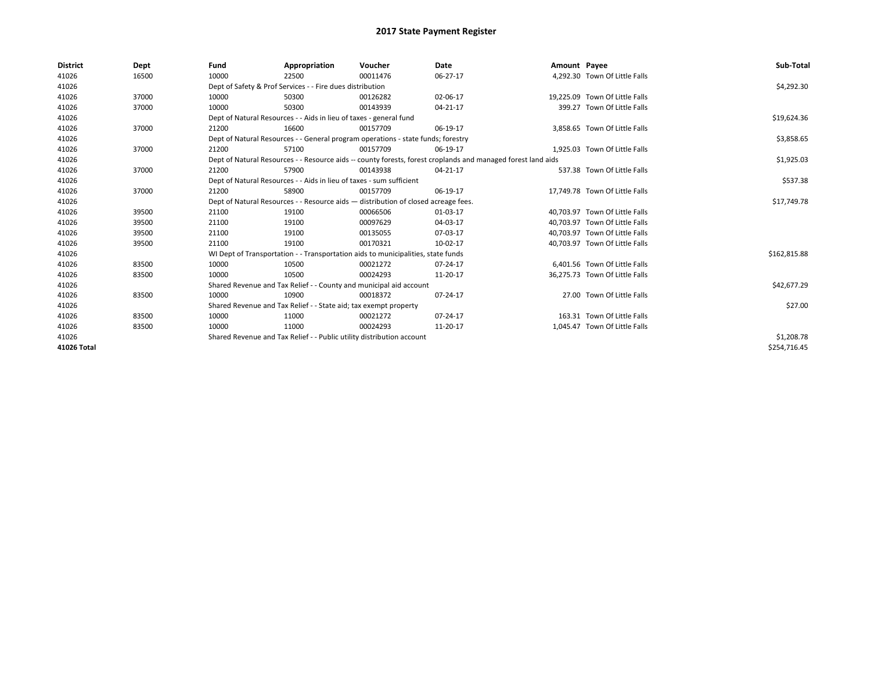| <b>District</b> | Dept  | Fund                                                                               | Appropriation                                                                    | Voucher     | Date                                                                                                         | Amount Payee |                                | Sub-Total    |
|-----------------|-------|------------------------------------------------------------------------------------|----------------------------------------------------------------------------------|-------------|--------------------------------------------------------------------------------------------------------------|--------------|--------------------------------|--------------|
| 41026           | 16500 | 10000                                                                              | 22500                                                                            | 00011476    | 06-27-17                                                                                                     |              | 4,292.30 Town Of Little Falls  |              |
| 41026           |       |                                                                                    | Dept of Safety & Prof Services - - Fire dues distribution                        |             |                                                                                                              |              |                                | \$4,292.30   |
| 41026           | 37000 | 10000                                                                              | 50300                                                                            | 00126282    | 02-06-17                                                                                                     |              | 19,225.09 Town Of Little Falls |              |
| 41026           | 37000 | 10000                                                                              | 50300                                                                            | 00143939    | 04-21-17                                                                                                     |              | 399.27 Town Of Little Falls    |              |
| 41026           |       |                                                                                    | Dept of Natural Resources - - Aids in lieu of taxes - general fund               |             |                                                                                                              |              |                                | \$19,624.36  |
| 41026           | 37000 | 21200                                                                              | 16600                                                                            | 00157709    | 06-19-17                                                                                                     |              | 3,858.65 Town Of Little Falls  |              |
| 41026           |       |                                                                                    | Dept of Natural Resources - - General program operations - state funds; forestry |             |                                                                                                              |              |                                | \$3,858.65   |
| 41026           | 37000 | 21200                                                                              | 57100                                                                            | 00157709    | 06-19-17                                                                                                     |              | 1,925.03 Town Of Little Falls  |              |
| 41026           |       |                                                                                    |                                                                                  |             | Dept of Natural Resources - - Resource aids -- county forests, forest croplands and managed forest land aids |              |                                | \$1,925.03   |
| 41026           | 37000 | 21200                                                                              | 57900                                                                            | 00143938    | 04-21-17                                                                                                     |              | 537.38 Town Of Little Falls    |              |
| 41026           |       |                                                                                    | Dept of Natural Resources - - Aids in lieu of taxes - sum sufficient             |             |                                                                                                              |              |                                | \$537.38     |
| 41026           | 37000 | 21200                                                                              | 58900                                                                            | 00157709    | 06-19-17                                                                                                     |              | 17.749.78 Town Of Little Falls |              |
| 41026           |       | Dept of Natural Resources - - Resource aids - distribution of closed acreage fees. |                                                                                  | \$17,749.78 |                                                                                                              |              |                                |              |
| 41026           | 39500 | 21100                                                                              | 19100                                                                            | 00066506    | 01-03-17                                                                                                     |              | 40,703.97 Town Of Little Falls |              |
| 41026           | 39500 | 21100                                                                              | 19100                                                                            | 00097629    | 04-03-17                                                                                                     |              | 40,703.97 Town Of Little Falls |              |
| 41026           | 39500 | 21100                                                                              | 19100                                                                            | 00135055    | 07-03-17                                                                                                     |              | 40.703.97 Town Of Little Falls |              |
| 41026           | 39500 | 21100                                                                              | 19100                                                                            | 00170321    | 10-02-17                                                                                                     |              | 40.703.97 Town Of Little Falls |              |
| 41026           |       |                                                                                    | WI Dept of Transportation - - Transportation aids to municipalities, state funds |             |                                                                                                              |              |                                | \$162,815.88 |
| 41026           | 83500 | 10000                                                                              | 10500                                                                            | 00021272    | 07-24-17                                                                                                     |              | 6.401.56 Town Of Little Falls  |              |
| 41026           | 83500 | 10000                                                                              | 10500                                                                            | 00024293    | 11-20-17                                                                                                     |              | 36,275.73 Town Of Little Falls |              |
| 41026           |       |                                                                                    | Shared Revenue and Tax Relief - - County and municipal aid account               |             |                                                                                                              |              |                                | \$42,677.29  |
| 41026           | 83500 | 10000                                                                              | 10900                                                                            | 00018372    | 07-24-17                                                                                                     |              | 27.00 Town Of Little Falls     |              |
| 41026           |       |                                                                                    | Shared Revenue and Tax Relief - - State aid; tax exempt property                 |             |                                                                                                              |              |                                | \$27.00      |
| 41026           | 83500 | 10000                                                                              | 11000                                                                            | 00021272    | 07-24-17                                                                                                     |              | 163.31 Town Of Little Falls    |              |
| 41026           | 83500 | 10000                                                                              | 11000                                                                            | 00024293    | 11-20-17                                                                                                     |              | 1,045.47 Town Of Little Falls  |              |
| 41026           |       | Shared Revenue and Tax Relief - - Public utility distribution account              |                                                                                  | \$1,208.78  |                                                                                                              |              |                                |              |
| 41026 Total     |       |                                                                                    |                                                                                  |             |                                                                                                              |              |                                | \$254,716.45 |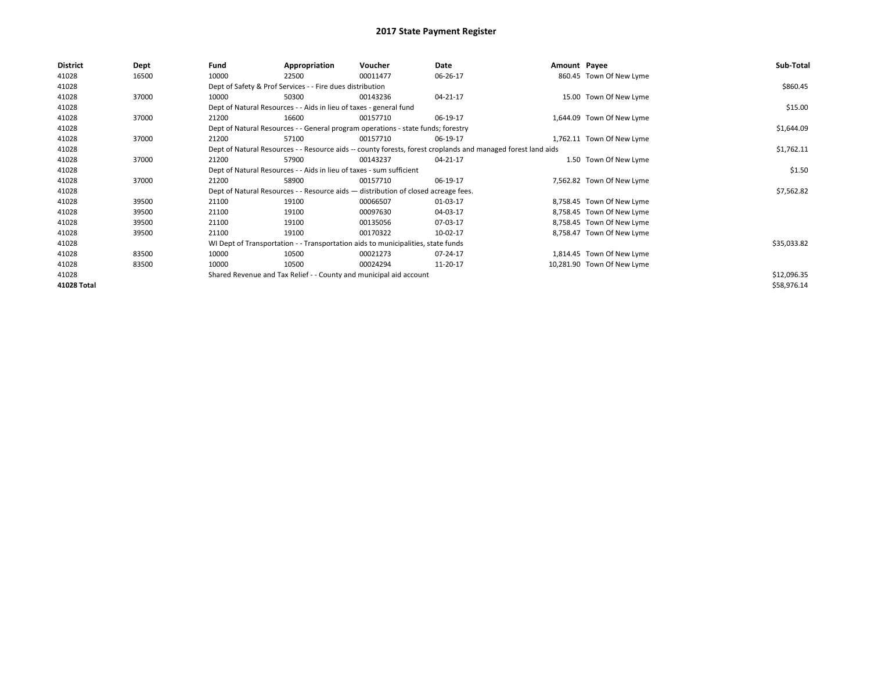| <b>District</b> | Dept  | Fund  | Appropriation                                                                      | Voucher  | Date                                                                                                         | Amount Payee |                            | Sub-Total   |
|-----------------|-------|-------|------------------------------------------------------------------------------------|----------|--------------------------------------------------------------------------------------------------------------|--------------|----------------------------|-------------|
| 41028           | 16500 | 10000 | 22500                                                                              | 00011477 | 06-26-17                                                                                                     |              | 860.45 Town Of New Lyme    |             |
| 41028           |       |       | Dept of Safety & Prof Services - - Fire dues distribution                          |          |                                                                                                              |              |                            | \$860.45    |
| 41028           | 37000 | 10000 | 50300                                                                              | 00143236 | 04-21-17                                                                                                     |              | 15.00 Town Of New Lyme     |             |
| 41028           |       |       | Dept of Natural Resources - - Aids in lieu of taxes - general fund                 |          |                                                                                                              |              |                            | \$15.00     |
| 41028           | 37000 | 21200 | 16600                                                                              | 00157710 | 06-19-17                                                                                                     |              | 1,644.09 Town Of New Lyme  |             |
| 41028           |       |       | Dept of Natural Resources - - General program operations - state funds; forestry   |          |                                                                                                              |              |                            | \$1,644.09  |
| 41028           | 37000 | 21200 | 57100                                                                              | 00157710 | 06-19-17                                                                                                     |              | 1,762.11 Town Of New Lyme  |             |
| 41028           |       |       |                                                                                    |          | Dept of Natural Resources - - Resource aids -- county forests, forest croplands and managed forest land aids |              |                            | \$1,762.11  |
| 41028           | 37000 | 21200 | 57900                                                                              | 00143237 | 04-21-17                                                                                                     |              | 1.50 Town Of New Lyme      |             |
| 41028           |       |       | Dept of Natural Resources - - Aids in lieu of taxes - sum sufficient               |          |                                                                                                              |              |                            | \$1.50      |
| 41028           | 37000 | 21200 | 58900                                                                              | 00157710 | 06-19-17                                                                                                     |              | 7,562.82 Town Of New Lyme  |             |
| 41028           |       |       | Dept of Natural Resources - - Resource aids - distribution of closed acreage fees. |          |                                                                                                              |              |                            | \$7,562.82  |
| 41028           | 39500 | 21100 | 19100                                                                              | 00066507 | 01-03-17                                                                                                     |              | 8,758.45 Town Of New Lyme  |             |
| 41028           | 39500 | 21100 | 19100                                                                              | 00097630 | 04-03-17                                                                                                     |              | 8,758.45 Town Of New Lyme  |             |
| 41028           | 39500 | 21100 | 19100                                                                              | 00135056 | 07-03-17                                                                                                     |              | 8,758.45 Town Of New Lyme  |             |
| 41028           | 39500 | 21100 | 19100                                                                              | 00170322 | 10-02-17                                                                                                     |              | 8,758.47 Town Of New Lyme  |             |
| 41028           |       |       | WI Dept of Transportation - - Transportation aids to municipalities, state funds   |          |                                                                                                              |              |                            | \$35,033.82 |
| 41028           | 83500 | 10000 | 10500                                                                              | 00021273 | 07-24-17                                                                                                     |              | 1,814.45 Town Of New Lyme  |             |
| 41028           | 83500 | 10000 | 10500                                                                              | 00024294 | 11-20-17                                                                                                     |              | 10,281.90 Town Of New Lyme |             |
| 41028           |       |       | Shared Revenue and Tax Relief - - County and municipal aid account                 |          |                                                                                                              |              |                            | \$12,096.35 |
| 41028 Total     |       |       |                                                                                    |          |                                                                                                              |              |                            | \$58,976.14 |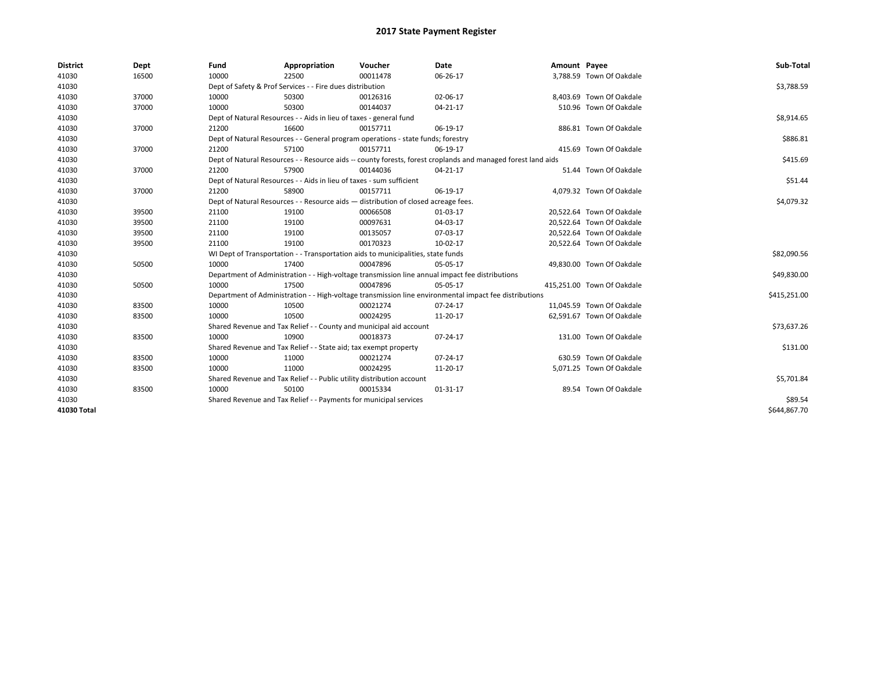| <b>District</b> | Dept  | Fund  | Appropriation                                                                      | Voucher  | Date                                                                                                         | Amount Payee |                            | Sub-Total    |
|-----------------|-------|-------|------------------------------------------------------------------------------------|----------|--------------------------------------------------------------------------------------------------------------|--------------|----------------------------|--------------|
| 41030           | 16500 | 10000 | 22500                                                                              | 00011478 | 06-26-17                                                                                                     |              | 3,788.59 Town Of Oakdale   |              |
| 41030           |       |       | Dept of Safety & Prof Services - - Fire dues distribution                          |          |                                                                                                              |              |                            | \$3,788.59   |
| 41030           | 37000 | 10000 | 50300                                                                              | 00126316 | 02-06-17                                                                                                     |              | 8,403.69 Town Of Oakdale   |              |
| 41030           | 37000 | 10000 | 50300                                                                              | 00144037 | $04 - 21 - 17$                                                                                               |              | 510.96 Town Of Oakdale     |              |
| 41030           |       |       | Dept of Natural Resources - - Aids in lieu of taxes - general fund                 |          | \$8,914.65                                                                                                   |              |                            |              |
| 41030           | 37000 | 21200 | 16600                                                                              | 00157711 | 06-19-17                                                                                                     |              | 886.81 Town Of Oakdale     |              |
| 41030           |       |       | Dept of Natural Resources - - General program operations - state funds; forestry   |          |                                                                                                              |              |                            | \$886.81     |
| 41030           | 37000 | 21200 | 57100                                                                              | 00157711 | 06-19-17                                                                                                     |              | 415.69 Town Of Oakdale     |              |
| 41030           |       |       |                                                                                    |          | Dept of Natural Resources - - Resource aids -- county forests, forest croplands and managed forest land aids |              |                            | \$415.69     |
| 41030           | 37000 | 21200 | 57900                                                                              | 00144036 | 04-21-17                                                                                                     |              | 51.44 Town Of Oakdale      |              |
| 41030           |       |       | Dept of Natural Resources - - Aids in lieu of taxes - sum sufficient               |          |                                                                                                              |              |                            | \$51.44      |
| 41030           | 37000 | 21200 | 58900                                                                              | 00157711 | 06-19-17                                                                                                     |              | 4,079.32 Town Of Oakdale   |              |
| 41030           |       |       | Dept of Natural Resources - - Resource aids - distribution of closed acreage fees. |          |                                                                                                              |              |                            | \$4,079.32   |
| 41030           | 39500 | 21100 | 19100                                                                              | 00066508 | 01-03-17                                                                                                     |              | 20,522.64 Town Of Oakdale  |              |
| 41030           | 39500 | 21100 | 19100                                                                              | 00097631 | 04-03-17                                                                                                     |              | 20,522.64 Town Of Oakdale  |              |
| 41030           | 39500 | 21100 | 19100                                                                              | 00135057 | 07-03-17                                                                                                     |              | 20,522.64 Town Of Oakdale  |              |
| 41030           | 39500 | 21100 | 19100                                                                              | 00170323 | 10-02-17                                                                                                     |              | 20,522.64 Town Of Oakdale  |              |
| 41030           |       |       | WI Dept of Transportation - - Transportation aids to municipalities, state funds   |          |                                                                                                              |              |                            | \$82,090.56  |
| 41030           | 50500 | 10000 | 17400                                                                              | 00047896 | 05-05-17                                                                                                     |              | 49,830.00 Town Of Oakdale  |              |
| 41030           |       |       |                                                                                    |          | Department of Administration - - High-voltage transmission line annual impact fee distributions              |              |                            | \$49,830.00  |
| 41030           | 50500 | 10000 | 17500                                                                              | 00047896 | 05-05-17                                                                                                     |              | 415,251.00 Town Of Oakdale |              |
| 41030           |       |       |                                                                                    |          | Department of Administration - - High-voltage transmission line environmental impact fee distributions       |              |                            | \$415,251.00 |
| 41030           | 83500 | 10000 | 10500                                                                              | 00021274 | 07-24-17                                                                                                     |              | 11,045.59 Town Of Oakdale  |              |
| 41030           | 83500 | 10000 | 10500                                                                              | 00024295 | 11-20-17                                                                                                     |              | 62,591.67 Town Of Oakdale  |              |
| 41030           |       |       | Shared Revenue and Tax Relief - - County and municipal aid account                 |          |                                                                                                              |              |                            | \$73,637.26  |
| 41030           | 83500 | 10000 | 10900                                                                              | 00018373 | 07-24-17                                                                                                     |              | 131.00 Town Of Oakdale     |              |
| 41030           |       |       | Shared Revenue and Tax Relief - - State aid; tax exempt property                   |          |                                                                                                              |              |                            | \$131.00     |
| 41030           | 83500 | 10000 | 11000                                                                              | 00021274 | 07-24-17                                                                                                     |              | 630.59 Town Of Oakdale     |              |
| 41030           | 83500 | 10000 | 11000                                                                              | 00024295 | 11-20-17                                                                                                     |              | 5,071.25 Town Of Oakdale   |              |
| 41030           |       |       | Shared Revenue and Tax Relief - - Public utility distribution account              |          |                                                                                                              |              |                            | \$5,701.84   |
| 41030           | 83500 | 10000 | 50100                                                                              | 00015334 | 01-31-17                                                                                                     |              | 89.54 Town Of Oakdale      |              |
| 41030           |       |       | Shared Revenue and Tax Relief - - Payments for municipal services                  |          |                                                                                                              |              |                            | \$89.54      |
| 41030 Total     |       |       |                                                                                    |          |                                                                                                              |              |                            | \$644,867.70 |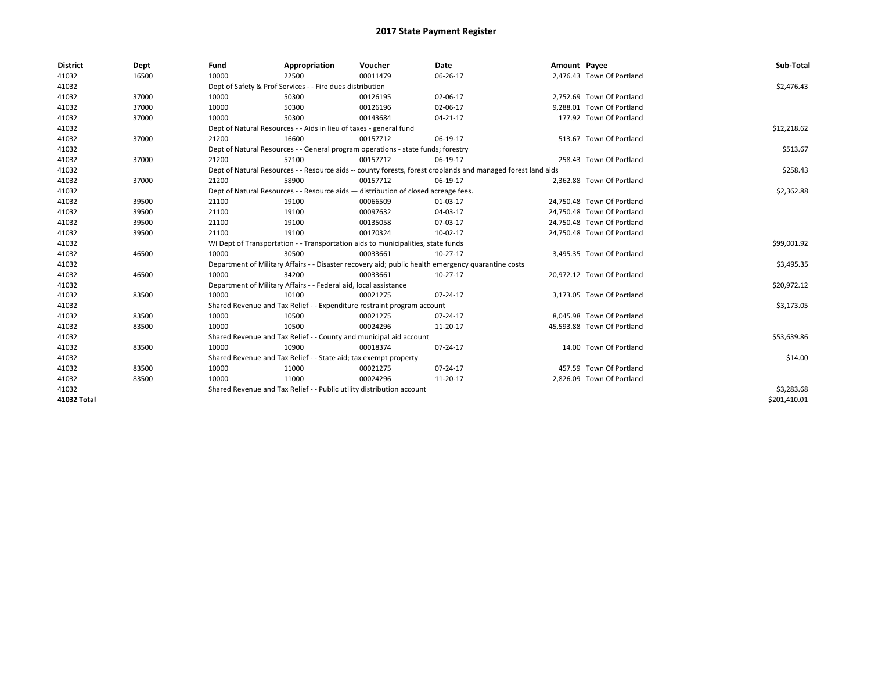| <b>District</b> | Dept  | Fund  | Appropriation                                                                      | Voucher  | Date                                                                                                         | Amount Payee |                            | Sub-Total    |
|-----------------|-------|-------|------------------------------------------------------------------------------------|----------|--------------------------------------------------------------------------------------------------------------|--------------|----------------------------|--------------|
| 41032           | 16500 | 10000 | 22500                                                                              | 00011479 | 06-26-17                                                                                                     |              | 2,476.43 Town Of Portland  |              |
| 41032           |       |       | Dept of Safety & Prof Services - - Fire dues distribution                          |          |                                                                                                              |              |                            | \$2,476.43   |
| 41032           | 37000 | 10000 | 50300                                                                              | 00126195 | 02-06-17                                                                                                     |              | 2,752.69 Town Of Portland  |              |
| 41032           | 37000 | 10000 | 50300                                                                              | 00126196 | 02-06-17                                                                                                     |              | 9.288.01 Town Of Portland  |              |
| 41032           | 37000 | 10000 | 50300                                                                              | 00143684 | $04 - 21 - 17$                                                                                               |              | 177.92 Town Of Portland    |              |
| 41032           |       |       | Dept of Natural Resources - - Aids in lieu of taxes - general fund                 |          |                                                                                                              |              |                            | \$12,218.62  |
| 41032           | 37000 | 21200 | 16600                                                                              | 00157712 | 06-19-17                                                                                                     |              | 513.67 Town Of Portland    |              |
| 41032           |       |       | Dept of Natural Resources - - General program operations - state funds; forestry   |          |                                                                                                              |              |                            | \$513.67     |
| 41032           | 37000 | 21200 | 57100                                                                              | 00157712 | 06-19-17                                                                                                     |              | 258.43 Town Of Portland    |              |
| 41032           |       |       |                                                                                    |          | Dept of Natural Resources - - Resource aids -- county forests, forest croplands and managed forest land aids |              |                            | \$258.43     |
| 41032           | 37000 | 21200 | 58900                                                                              | 00157712 | 06-19-17                                                                                                     |              | 2,362.88 Town Of Portland  |              |
| 41032           |       |       | Dept of Natural Resources - - Resource aids - distribution of closed acreage fees. |          |                                                                                                              |              |                            | \$2,362.88   |
| 41032           | 39500 | 21100 | 19100                                                                              | 00066509 | 01-03-17                                                                                                     |              | 24,750.48 Town Of Portland |              |
| 41032           | 39500 | 21100 | 19100                                                                              | 00097632 | 04-03-17                                                                                                     |              | 24,750.48 Town Of Portland |              |
| 41032           | 39500 | 21100 | 19100                                                                              | 00135058 | 07-03-17                                                                                                     |              | 24,750.48 Town Of Portland |              |
| 41032           | 39500 | 21100 | 19100                                                                              | 00170324 | 10-02-17                                                                                                     |              | 24,750.48 Town Of Portland |              |
| 41032           |       |       | WI Dept of Transportation - - Transportation aids to municipalities, state funds   |          |                                                                                                              |              |                            | \$99,001.92  |
| 41032           | 46500 | 10000 | 30500                                                                              | 00033661 | $10-27-17$                                                                                                   |              | 3,495.35 Town Of Portland  |              |
| 41032           |       |       |                                                                                    |          | Department of Military Affairs - - Disaster recovery aid; public health emergency quarantine costs           |              |                            | \$3,495.35   |
| 41032           | 46500 | 10000 | 34200                                                                              | 00033661 | $10-27-17$                                                                                                   |              | 20,972.12 Town Of Portland |              |
| 41032           |       |       | Department of Military Affairs - - Federal aid, local assistance                   |          |                                                                                                              |              |                            | \$20,972.12  |
| 41032           | 83500 | 10000 | 10100                                                                              | 00021275 | $07 - 24 - 17$                                                                                               |              | 3.173.05 Town Of Portland  |              |
| 41032           |       |       | Shared Revenue and Tax Relief - - Expenditure restraint program account            |          |                                                                                                              |              |                            | \$3,173.05   |
| 41032           | 83500 | 10000 | 10500                                                                              | 00021275 | 07-24-17                                                                                                     |              | 8,045.98 Town Of Portland  |              |
| 41032           | 83500 | 10000 | 10500                                                                              | 00024296 | 11-20-17                                                                                                     |              | 45,593.88 Town Of Portland |              |
| 41032           |       |       | Shared Revenue and Tax Relief - - County and municipal aid account                 |          |                                                                                                              |              |                            | \$53,639.86  |
| 41032           | 83500 | 10000 | 10900                                                                              | 00018374 | 07-24-17                                                                                                     |              | 14.00 Town Of Portland     |              |
| 41032           |       |       | Shared Revenue and Tax Relief - - State aid; tax exempt property                   |          |                                                                                                              |              |                            | \$14.00      |
| 41032           | 83500 | 10000 | 11000                                                                              | 00021275 | $07 - 24 - 17$                                                                                               |              | 457.59 Town Of Portland    |              |
| 41032           | 83500 | 10000 | 11000                                                                              | 00024296 | 11-20-17                                                                                                     |              | 2,826.09 Town Of Portland  |              |
| 41032           |       |       | Shared Revenue and Tax Relief - - Public utility distribution account              |          |                                                                                                              |              |                            | \$3,283.68   |
| 41032 Total     |       |       |                                                                                    |          |                                                                                                              |              |                            | \$201,410.01 |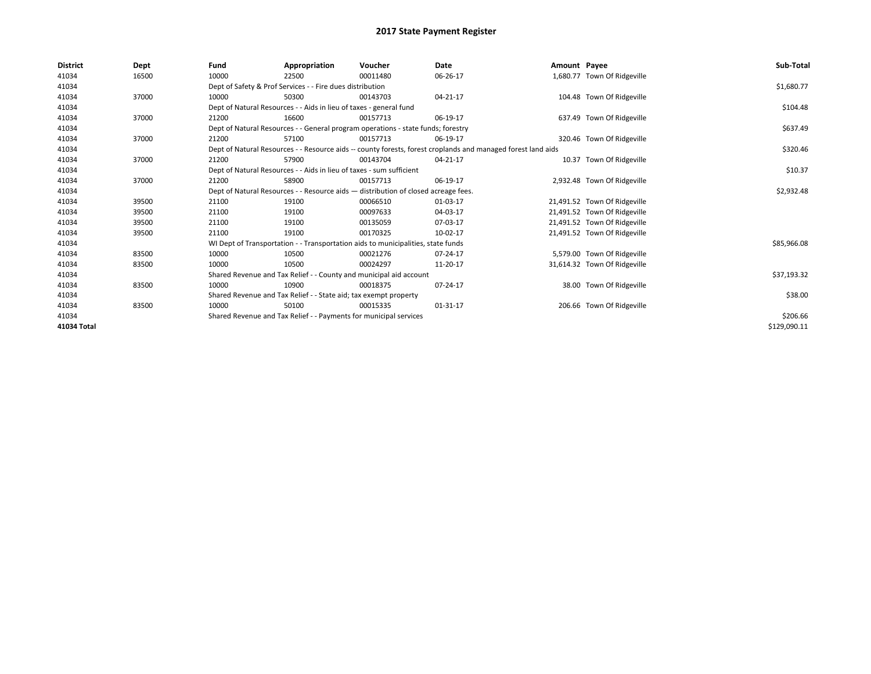| <b>District</b> | Dept  | Fund  | Appropriation                                                                      | Voucher  | Date                                                                                                         | Amount Payee |                              | Sub-Total    |
|-----------------|-------|-------|------------------------------------------------------------------------------------|----------|--------------------------------------------------------------------------------------------------------------|--------------|------------------------------|--------------|
| 41034           | 16500 | 10000 | 22500                                                                              | 00011480 | 06-26-17                                                                                                     |              | 1,680.77 Town Of Ridgeville  |              |
| 41034           |       |       | Dept of Safety & Prof Services - - Fire dues distribution                          |          |                                                                                                              |              |                              | \$1,680.77   |
| 41034           | 37000 | 10000 | 50300                                                                              | 00143703 | 04-21-17                                                                                                     |              | 104.48 Town Of Ridgeville    |              |
| 41034           |       |       | Dept of Natural Resources - - Aids in lieu of taxes - general fund                 |          |                                                                                                              |              |                              | \$104.48     |
| 41034           | 37000 | 21200 | 16600                                                                              | 00157713 | 06-19-17                                                                                                     |              | 637.49 Town Of Ridgeville    |              |
| 41034           |       |       | Dept of Natural Resources - - General program operations - state funds; forestry   |          |                                                                                                              |              |                              | \$637.49     |
| 41034           | 37000 | 21200 | 57100                                                                              | 00157713 | 06-19-17                                                                                                     |              | 320.46 Town Of Ridgeville    |              |
| 41034           |       |       |                                                                                    |          | Dept of Natural Resources - - Resource aids -- county forests, forest croplands and managed forest land aids |              |                              | \$320.46     |
| 41034           | 37000 | 21200 | 57900                                                                              | 00143704 | 04-21-17                                                                                                     |              | 10.37 Town Of Ridgeville     |              |
| 41034           |       |       | Dept of Natural Resources - - Aids in lieu of taxes - sum sufficient               |          |                                                                                                              |              |                              | \$10.37      |
| 41034           | 37000 | 21200 | 58900                                                                              | 00157713 | 06-19-17                                                                                                     |              | 2,932.48 Town Of Ridgeville  |              |
| 41034           |       |       | Dept of Natural Resources - - Resource aids - distribution of closed acreage fees. |          |                                                                                                              |              |                              | \$2,932.48   |
| 41034           | 39500 | 21100 | 19100                                                                              | 00066510 | 01-03-17                                                                                                     |              | 21,491.52 Town Of Ridgeville |              |
| 41034           | 39500 | 21100 | 19100                                                                              | 00097633 | 04-03-17                                                                                                     |              | 21,491.52 Town Of Ridgeville |              |
| 41034           | 39500 | 21100 | 19100                                                                              | 00135059 | 07-03-17                                                                                                     |              | 21,491.52 Town Of Ridgeville |              |
| 41034           | 39500 | 21100 | 19100                                                                              | 00170325 | 10-02-17                                                                                                     |              | 21,491.52 Town Of Ridgeville |              |
| 41034           |       |       | WI Dept of Transportation - - Transportation aids to municipalities, state funds   |          |                                                                                                              |              |                              | \$85,966.08  |
| 41034           | 83500 | 10000 | 10500                                                                              | 00021276 | 07-24-17                                                                                                     |              | 5,579.00 Town Of Ridgeville  |              |
| 41034           | 83500 | 10000 | 10500                                                                              | 00024297 | 11-20-17                                                                                                     |              | 31,614.32 Town Of Ridgeville |              |
| 41034           |       |       | Shared Revenue and Tax Relief - - County and municipal aid account                 |          |                                                                                                              |              |                              | \$37,193.32  |
| 41034           | 83500 | 10000 | 10900                                                                              | 00018375 | 07-24-17                                                                                                     |              | 38.00 Town Of Ridgeville     |              |
| 41034           |       |       | Shared Revenue and Tax Relief - - State aid; tax exempt property                   |          |                                                                                                              |              |                              | \$38.00      |
| 41034           | 83500 | 10000 | 50100                                                                              | 00015335 | 01-31-17                                                                                                     |              | 206.66 Town Of Ridgeville    |              |
| 41034           |       |       | Shared Revenue and Tax Relief - - Payments for municipal services                  |          |                                                                                                              |              |                              | \$206.66     |
| 41034 Total     |       |       |                                                                                    |          |                                                                                                              |              |                              | \$129,090.11 |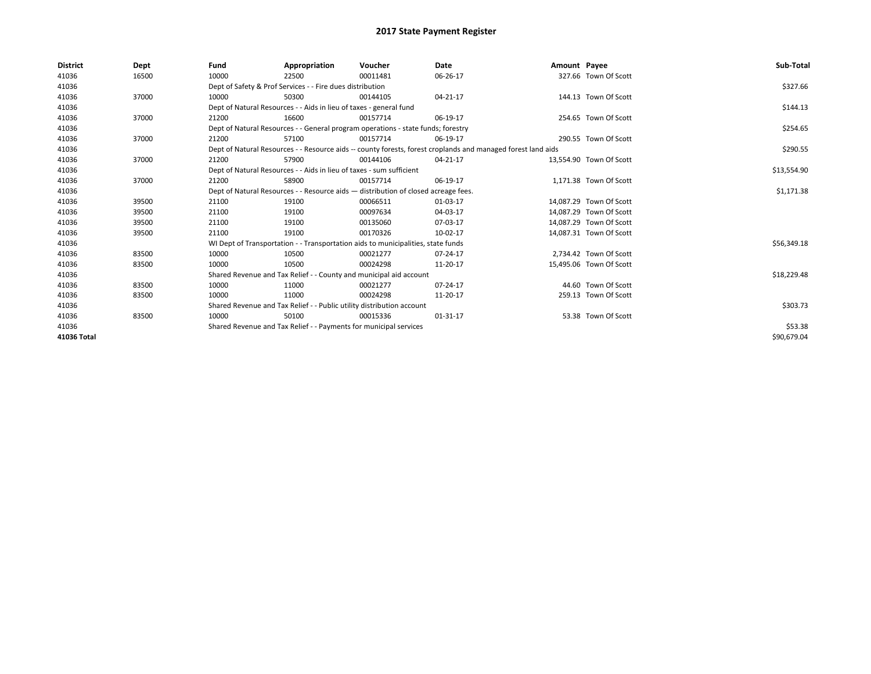| <b>District</b> | Dept  | Fund  | Appropriation                                                                      | Voucher  | Date                                                                                                         | Amount Payee |                         | Sub-Total   |  |  |
|-----------------|-------|-------|------------------------------------------------------------------------------------|----------|--------------------------------------------------------------------------------------------------------------|--------------|-------------------------|-------------|--|--|
| 41036           | 16500 | 10000 | 22500                                                                              | 00011481 | 06-26-17                                                                                                     |              | 327.66 Town Of Scott    |             |  |  |
| 41036           |       |       | Dept of Safety & Prof Services - - Fire dues distribution                          |          |                                                                                                              |              |                         | \$327.66    |  |  |
| 41036           | 37000 | 10000 | 50300                                                                              | 00144105 | 04-21-17                                                                                                     |              | 144.13 Town Of Scott    |             |  |  |
| 41036           |       |       | Dept of Natural Resources - - Aids in lieu of taxes - general fund                 |          |                                                                                                              |              |                         | \$144.13    |  |  |
| 41036           | 37000 | 21200 | 16600                                                                              | 00157714 | 06-19-17                                                                                                     |              | 254.65 Town Of Scott    |             |  |  |
| 41036           |       |       | Dept of Natural Resources - - General program operations - state funds; forestry   |          |                                                                                                              |              |                         |             |  |  |
| 41036           | 37000 | 21200 | 57100                                                                              | 00157714 | 06-19-17                                                                                                     |              | 290.55 Town Of Scott    |             |  |  |
| 41036           |       |       |                                                                                    |          | Dept of Natural Resources - - Resource aids -- county forests, forest croplands and managed forest land aids |              |                         | \$290.55    |  |  |
| 41036           | 37000 | 21200 | 57900                                                                              | 00144106 | 04-21-17                                                                                                     |              | 13,554.90 Town Of Scott |             |  |  |
| 41036           |       |       | Dept of Natural Resources - - Aids in lieu of taxes - sum sufficient               |          |                                                                                                              |              |                         | \$13,554.90 |  |  |
| 41036           | 37000 | 21200 | 58900                                                                              | 00157714 | 06-19-17                                                                                                     |              | 1,171.38 Town Of Scott  |             |  |  |
| 41036           |       |       | Dept of Natural Resources - - Resource aids - distribution of closed acreage fees. |          |                                                                                                              |              |                         | \$1,171.38  |  |  |
| 41036           | 39500 | 21100 | 19100                                                                              | 00066511 | 01-03-17                                                                                                     |              | 14,087.29 Town Of Scott |             |  |  |
| 41036           | 39500 | 21100 | 19100                                                                              | 00097634 | 04-03-17                                                                                                     |              | 14,087.29 Town Of Scott |             |  |  |
| 41036           | 39500 | 21100 | 19100                                                                              | 00135060 | 07-03-17                                                                                                     |              | 14,087.29 Town Of Scott |             |  |  |
| 41036           | 39500 | 21100 | 19100                                                                              | 00170326 | 10-02-17                                                                                                     |              | 14,087.31 Town Of Scott |             |  |  |
| 41036           |       |       | WI Dept of Transportation - - Transportation aids to municipalities, state funds   |          |                                                                                                              |              |                         | \$56,349.18 |  |  |
| 41036           | 83500 | 10000 | 10500                                                                              | 00021277 | 07-24-17                                                                                                     |              | 2,734.42 Town Of Scott  |             |  |  |
| 41036           | 83500 | 10000 | 10500                                                                              | 00024298 | 11-20-17                                                                                                     |              | 15,495.06 Town Of Scott |             |  |  |
| 41036           |       |       | Shared Revenue and Tax Relief - - County and municipal aid account                 |          |                                                                                                              |              |                         | \$18,229.48 |  |  |
| 41036           | 83500 | 10000 | 11000                                                                              | 00021277 | 07-24-17                                                                                                     |              | 44.60 Town Of Scott     |             |  |  |
| 41036           | 83500 | 10000 | 11000                                                                              | 00024298 | 11-20-17                                                                                                     |              | 259.13 Town Of Scott    |             |  |  |
| 41036           |       |       | Shared Revenue and Tax Relief - - Public utility distribution account              |          |                                                                                                              |              |                         | \$303.73    |  |  |
| 41036           | 83500 | 10000 | 50100                                                                              | 00015336 | $01 - 31 - 17$                                                                                               |              | 53.38 Town Of Scott     |             |  |  |
| 41036           |       |       | Shared Revenue and Tax Relief - - Payments for municipal services                  |          |                                                                                                              |              |                         | \$53.38     |  |  |
| 41036 Total     |       |       |                                                                                    |          |                                                                                                              |              |                         | \$90,679.04 |  |  |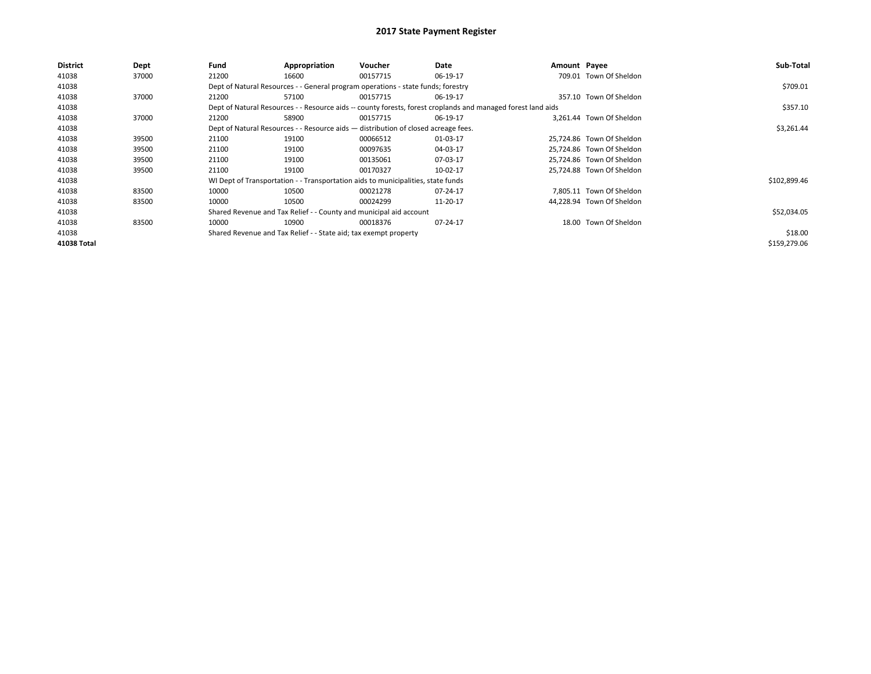| <b>District</b>    | Dept  | Fund  | Appropriation                                                                      | Voucher                                                                          | Date                                                                                                         | Amount Payee |                           | Sub-Total    |
|--------------------|-------|-------|------------------------------------------------------------------------------------|----------------------------------------------------------------------------------|--------------------------------------------------------------------------------------------------------------|--------------|---------------------------|--------------|
| 41038              | 37000 | 21200 | 16600                                                                              | 00157715                                                                         | 06-19-17                                                                                                     |              | 709.01 Town Of Sheldon    |              |
| 41038              |       |       |                                                                                    | Dept of Natural Resources - - General program operations - state funds; forestry |                                                                                                              |              |                           | \$709.01     |
| 41038              | 37000 | 21200 | 57100                                                                              | 00157715                                                                         | 06-19-17                                                                                                     |              | 357.10 Town Of Sheldon    |              |
| 41038              |       |       |                                                                                    |                                                                                  | Dept of Natural Resources - - Resource aids -- county forests, forest croplands and managed forest land aids |              |                           | \$357.10     |
| 41038              | 37000 | 21200 | 58900                                                                              | 00157715                                                                         | 06-19-17                                                                                                     |              | 3.261.44 Town Of Sheldon  |              |
| 41038              |       |       | Dept of Natural Resources - - Resource aids - distribution of closed acreage fees. |                                                                                  | \$3,261.44                                                                                                   |              |                           |              |
| 41038              | 39500 | 21100 | 19100                                                                              | 00066512                                                                         | 01-03-17                                                                                                     |              | 25.724.86 Town Of Sheldon |              |
| 41038              | 39500 | 21100 | 19100                                                                              | 00097635                                                                         | 04-03-17                                                                                                     |              | 25,724.86 Town Of Sheldon |              |
| 41038              | 39500 | 21100 | 19100                                                                              | 00135061                                                                         | 07-03-17                                                                                                     |              | 25,724.86 Town Of Sheldon |              |
| 41038              | 39500 | 21100 | 19100                                                                              | 00170327                                                                         | 10-02-17                                                                                                     |              | 25.724.88 Town Of Sheldon |              |
| 41038              |       |       |                                                                                    | WI Dept of Transportation - - Transportation aids to municipalities, state funds |                                                                                                              |              |                           | \$102,899.46 |
| 41038              | 83500 | 10000 | 10500                                                                              | 00021278                                                                         | 07-24-17                                                                                                     |              | 7.805.11 Town Of Sheldon  |              |
| 41038              | 83500 | 10000 | 10500                                                                              | 00024299                                                                         | 11-20-17                                                                                                     |              | 44.228.94 Town Of Sheldon |              |
| 41038              |       |       |                                                                                    | Shared Revenue and Tax Relief - - County and municipal aid account               |                                                                                                              |              |                           | \$52,034.05  |
| 41038              | 83500 | 10000 | 10900                                                                              | 00018376                                                                         | 07-24-17                                                                                                     |              | 18.00 Town Of Sheldon     |              |
| 41038              |       |       | Shared Revenue and Tax Relief - - State aid; tax exempt property                   |                                                                                  |                                                                                                              |              |                           | \$18.00      |
| <b>41038 Total</b> |       |       |                                                                                    |                                                                                  |                                                                                                              |              |                           | \$159,279.06 |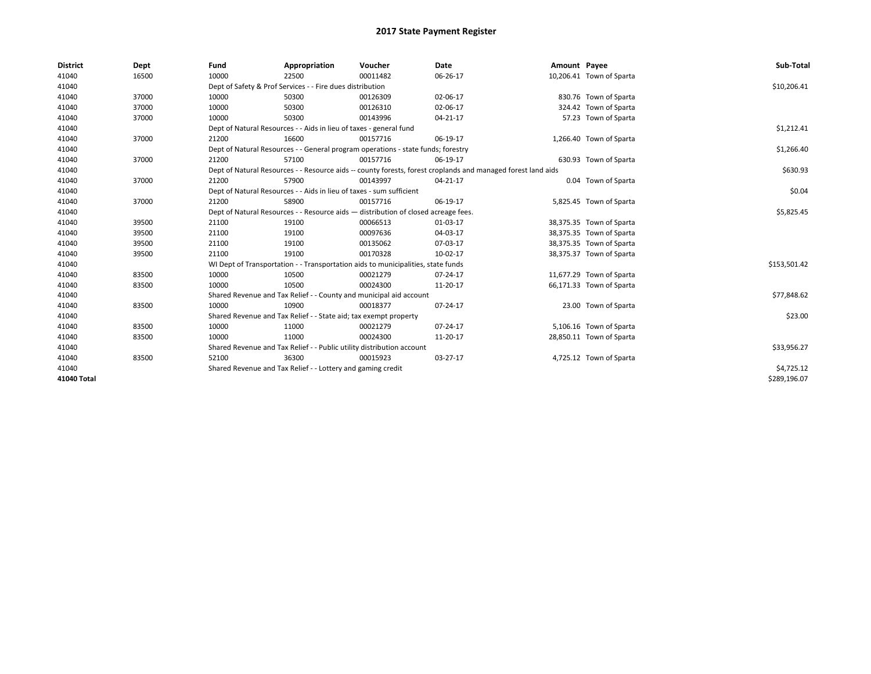| <b>District</b> | Dept  | Fund  | Appropriation                                                                      | Voucher  | Date                                                                                                         | Amount Payee |                          | Sub-Total    |
|-----------------|-------|-------|------------------------------------------------------------------------------------|----------|--------------------------------------------------------------------------------------------------------------|--------------|--------------------------|--------------|
| 41040           | 16500 | 10000 | 22500                                                                              | 00011482 | 06-26-17                                                                                                     |              | 10,206.41 Town of Sparta |              |
| 41040           |       |       | Dept of Safety & Prof Services - - Fire dues distribution                          |          |                                                                                                              |              |                          | \$10,206.41  |
| 41040           | 37000 | 10000 | 50300                                                                              | 00126309 | 02-06-17                                                                                                     |              | 830.76 Town of Sparta    |              |
| 41040           | 37000 | 10000 | 50300                                                                              | 00126310 | 02-06-17                                                                                                     |              | 324.42 Town of Sparta    |              |
| 41040           | 37000 | 10000 | 50300                                                                              | 00143996 | 04-21-17                                                                                                     |              | 57.23 Town of Sparta     |              |
| 41040           |       |       | Dept of Natural Resources - - Aids in lieu of taxes - general fund                 |          |                                                                                                              |              |                          | \$1,212.41   |
| 41040           | 37000 | 21200 | 16600                                                                              | 00157716 | 06-19-17                                                                                                     |              | 1,266.40 Town of Sparta  |              |
| 41040           |       |       | Dept of Natural Resources - - General program operations - state funds; forestry   |          |                                                                                                              |              |                          | \$1,266.40   |
| 41040           | 37000 | 21200 | 57100                                                                              | 00157716 | 06-19-17                                                                                                     |              | 630.93 Town of Sparta    |              |
| 41040           |       |       |                                                                                    |          | Dept of Natural Resources - - Resource aids -- county forests, forest croplands and managed forest land aids |              |                          | \$630.93     |
| 41040           | 37000 | 21200 | 57900                                                                              | 00143997 | 04-21-17                                                                                                     |              | 0.04 Town of Sparta      |              |
| 41040           |       |       | Dept of Natural Resources - - Aids in lieu of taxes - sum sufficient               |          |                                                                                                              |              |                          | \$0.04       |
| 41040           | 37000 | 21200 | 58900                                                                              | 00157716 | 06-19-17                                                                                                     |              | 5,825.45 Town of Sparta  |              |
| 41040           |       |       | Dept of Natural Resources - - Resource aids - distribution of closed acreage fees. |          |                                                                                                              |              |                          | \$5,825.45   |
| 41040           | 39500 | 21100 | 19100                                                                              | 00066513 | 01-03-17                                                                                                     |              | 38,375.35 Town of Sparta |              |
| 41040           | 39500 | 21100 | 19100                                                                              | 00097636 | 04-03-17                                                                                                     |              | 38,375.35 Town of Sparta |              |
| 41040           | 39500 | 21100 | 19100                                                                              | 00135062 | 07-03-17                                                                                                     |              | 38,375.35 Town of Sparta |              |
| 41040           | 39500 | 21100 | 19100                                                                              | 00170328 | 10-02-17                                                                                                     |              | 38,375.37 Town of Sparta |              |
| 41040           |       |       | WI Dept of Transportation - - Transportation aids to municipalities, state funds   |          |                                                                                                              |              |                          | \$153,501.42 |
| 41040           | 83500 | 10000 | 10500                                                                              | 00021279 | 07-24-17                                                                                                     |              | 11,677.29 Town of Sparta |              |
| 41040           | 83500 | 10000 | 10500                                                                              | 00024300 | 11-20-17                                                                                                     |              | 66,171.33 Town of Sparta |              |
| 41040           |       |       | Shared Revenue and Tax Relief - - County and municipal aid account                 |          |                                                                                                              |              |                          | \$77,848.62  |
| 41040           | 83500 | 10000 | 10900                                                                              | 00018377 | 07-24-17                                                                                                     |              | 23.00 Town of Sparta     |              |
| 41040           |       |       | Shared Revenue and Tax Relief - - State aid; tax exempt property                   |          |                                                                                                              |              |                          | \$23.00      |
| 41040           | 83500 | 10000 | 11000                                                                              | 00021279 | 07-24-17                                                                                                     |              | 5,106.16 Town of Sparta  |              |
| 41040           | 83500 | 10000 | 11000                                                                              | 00024300 | 11-20-17                                                                                                     |              | 28,850.11 Town of Sparta |              |
| 41040           |       |       | Shared Revenue and Tax Relief - - Public utility distribution account              |          |                                                                                                              |              |                          | \$33,956.27  |
| 41040           | 83500 | 52100 | 36300                                                                              | 00015923 | 03-27-17                                                                                                     |              | 4,725.12 Town of Sparta  |              |
| 41040           |       |       | Shared Revenue and Tax Relief - - Lottery and gaming credit                        |          | \$4,725.12                                                                                                   |              |                          |              |
| 41040 Total     |       |       |                                                                                    |          |                                                                                                              |              |                          | \$289,196.07 |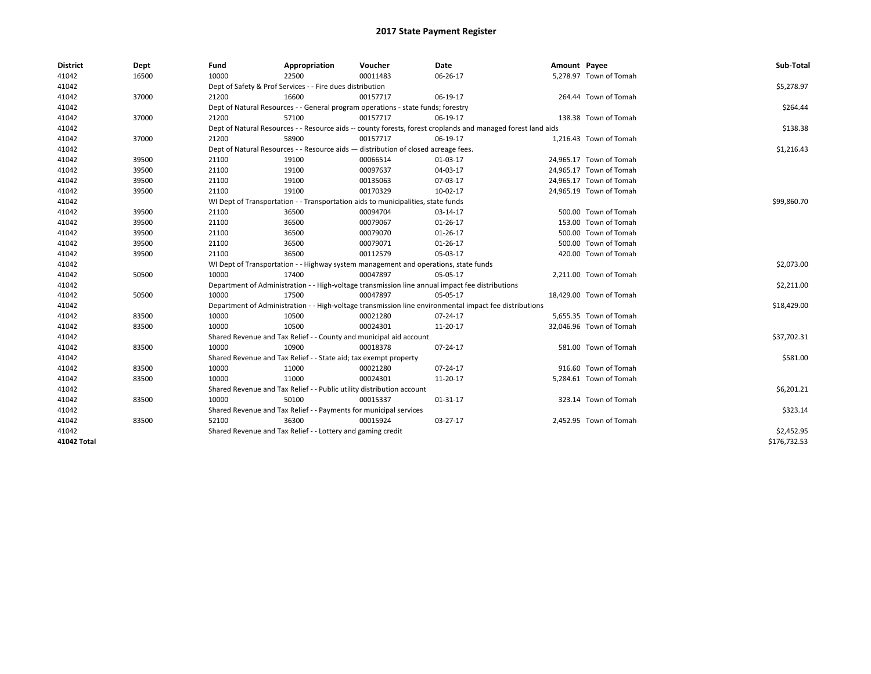| <b>District</b> | Dept  | Fund  | Appropriation                                                                                                | Voucher  | Date       | Amount Payee |                         | Sub-Total    |
|-----------------|-------|-------|--------------------------------------------------------------------------------------------------------------|----------|------------|--------------|-------------------------|--------------|
| 41042           | 16500 | 10000 | 22500                                                                                                        | 00011483 | 06-26-17   |              | 5,278.97 Town of Tomah  |              |
| 41042           |       |       | Dept of Safety & Prof Services - - Fire dues distribution                                                    |          |            |              |                         | \$5,278.97   |
| 41042           | 37000 | 21200 | 16600                                                                                                        | 00157717 | 06-19-17   |              | 264.44 Town of Tomah    |              |
| 41042           |       |       | Dept of Natural Resources - - General program operations - state funds; forestry                             |          |            |              |                         | \$264.44     |
| 41042           | 37000 | 21200 | 57100                                                                                                        | 00157717 | 06-19-17   |              | 138.38 Town of Tomah    |              |
| 41042           |       |       | Dept of Natural Resources - - Resource aids -- county forests, forest croplands and managed forest land aids |          |            |              |                         | \$138.38     |
| 41042           | 37000 | 21200 | 58900                                                                                                        | 00157717 | 06-19-17   |              | 1,216.43 Town of Tomah  |              |
| 41042           |       |       | Dept of Natural Resources - - Resource aids - distribution of closed acreage fees.                           |          | \$1,216.43 |              |                         |              |
| 41042           | 39500 | 21100 | 19100                                                                                                        | 00066514 | 01-03-17   |              | 24,965.17 Town of Tomah |              |
| 41042           | 39500 | 21100 | 19100                                                                                                        | 00097637 | 04-03-17   |              | 24,965.17 Town of Tomah |              |
| 41042           | 39500 | 21100 | 19100                                                                                                        | 00135063 | 07-03-17   |              | 24,965.17 Town of Tomah |              |
| 41042           | 39500 | 21100 | 19100                                                                                                        | 00170329 | 10-02-17   |              | 24,965.19 Town of Tomah |              |
| 41042           |       |       | WI Dept of Transportation - - Transportation aids to municipalities, state funds                             |          |            |              |                         | \$99,860.70  |
| 41042           | 39500 | 21100 | 36500                                                                                                        | 00094704 | 03-14-17   |              | 500.00 Town of Tomah    |              |
| 41042           | 39500 | 21100 | 36500                                                                                                        | 00079067 | 01-26-17   |              | 153.00 Town of Tomah    |              |
| 41042           | 39500 | 21100 | 36500                                                                                                        | 00079070 | 01-26-17   |              | 500.00 Town of Tomah    |              |
| 41042           | 39500 | 21100 | 36500                                                                                                        | 00079071 | 01-26-17   |              | 500.00 Town of Tomah    |              |
| 41042           | 39500 | 21100 | 36500                                                                                                        | 00112579 | 05-03-17   |              | 420.00 Town of Tomah    |              |
| 41042           |       |       | WI Dept of Transportation - - Highway system management and operations, state funds                          |          |            |              |                         | \$2,073.00   |
| 41042           | 50500 | 10000 | 17400                                                                                                        | 00047897 | 05-05-17   |              | 2,211.00 Town of Tomah  |              |
| 41042           |       |       | Department of Administration - - High-voltage transmission line annual impact fee distributions              |          |            |              |                         | \$2,211.00   |
| 41042           | 50500 | 10000 | 17500                                                                                                        | 00047897 | 05-05-17   |              | 18,429.00 Town of Tomah |              |
| 41042           |       |       | Department of Administration - - High-voltage transmission line environmental impact fee distributions       |          |            |              |                         | \$18,429.00  |
| 41042           | 83500 | 10000 | 10500                                                                                                        | 00021280 | 07-24-17   |              | 5,655.35 Town of Tomah  |              |
| 41042           | 83500 | 10000 | 10500                                                                                                        | 00024301 | 11-20-17   |              | 32,046.96 Town of Tomah |              |
| 41042           |       |       | Shared Revenue and Tax Relief - - County and municipal aid account                                           |          |            |              |                         | \$37,702.31  |
| 41042           | 83500 | 10000 | 10900                                                                                                        | 00018378 | 07-24-17   |              | 581.00 Town of Tomah    |              |
| 41042           |       |       | Shared Revenue and Tax Relief - - State aid; tax exempt property                                             |          |            |              |                         | \$581.00     |
| 41042           | 83500 | 10000 | 11000                                                                                                        | 00021280 | 07-24-17   |              | 916.60 Town of Tomah    |              |
| 41042           | 83500 | 10000 | 11000                                                                                                        | 00024301 | 11-20-17   |              | 5,284.61 Town of Tomah  |              |
| 41042           |       |       | Shared Revenue and Tax Relief - - Public utility distribution account                                        |          |            |              |                         | \$6,201.21   |
| 41042           | 83500 | 10000 | 50100                                                                                                        | 00015337 | 01-31-17   |              | 323.14 Town of Tomah    |              |
| 41042           |       |       | Shared Revenue and Tax Relief - - Payments for municipal services                                            |          |            |              |                         | \$323.14     |
| 41042           | 83500 | 52100 | 36300                                                                                                        | 00015924 | 03-27-17   |              | 2,452.95 Town of Tomah  |              |
| 41042           |       |       | Shared Revenue and Tax Relief - - Lottery and gaming credit                                                  |          |            |              |                         | \$2,452.95   |
| 41042 Total     |       |       |                                                                                                              |          |            |              |                         | \$176,732.53 |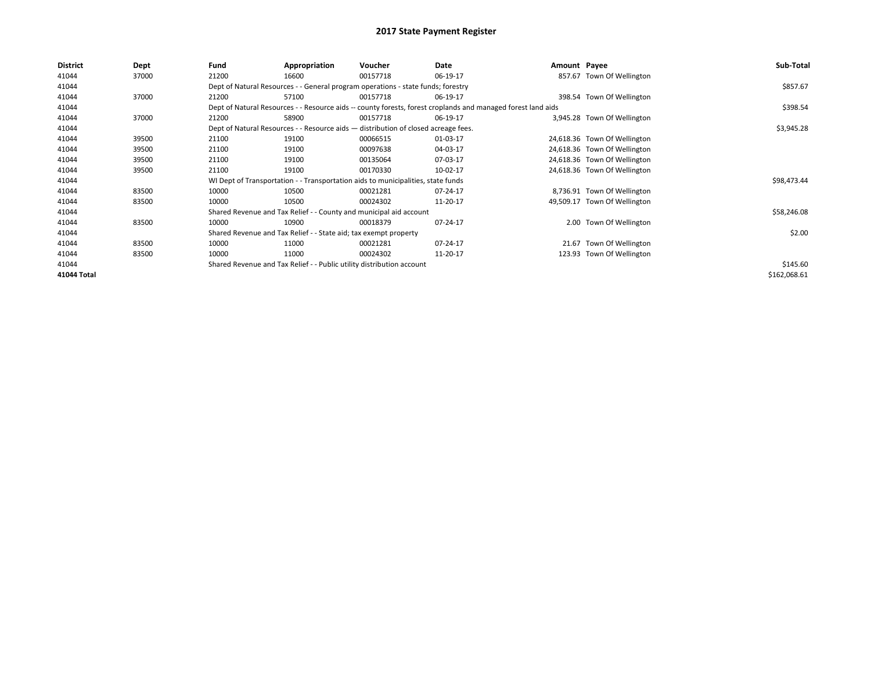| <b>District</b> | Dept  | Fund                                                                                                         | Appropriation                                                                      | Voucher  | Date     | Amount Payee |                              | Sub-Total    |
|-----------------|-------|--------------------------------------------------------------------------------------------------------------|------------------------------------------------------------------------------------|----------|----------|--------------|------------------------------|--------------|
| 41044           | 37000 | 21200                                                                                                        | 16600                                                                              | 00157718 | 06-19-17 |              | 857.67 Town Of Wellington    |              |
| 41044           |       |                                                                                                              | Dept of Natural Resources - - General program operations - state funds; forestry   |          |          |              |                              | \$857.67     |
| 41044           | 37000 | 21200                                                                                                        | 57100                                                                              | 00157718 | 06-19-17 |              | 398.54 Town Of Wellington    |              |
| 41044           |       | Dept of Natural Resources - - Resource aids -- county forests, forest croplands and managed forest land aids |                                                                                    | \$398.54 |          |              |                              |              |
| 41044           | 37000 | 21200                                                                                                        | 58900                                                                              | 00157718 | 06-19-17 |              | 3,945.28 Town Of Wellington  |              |
| 41044           |       |                                                                                                              | Dept of Natural Resources - - Resource aids - distribution of closed acreage fees. |          |          |              |                              | \$3,945.28   |
| 41044           | 39500 | 21100                                                                                                        | 19100                                                                              | 00066515 | 01-03-17 |              | 24,618.36 Town Of Wellington |              |
| 41044           | 39500 | 21100                                                                                                        | 19100                                                                              | 00097638 | 04-03-17 |              | 24,618.36 Town Of Wellington |              |
| 41044           | 39500 | 21100                                                                                                        | 19100                                                                              | 00135064 | 07-03-17 |              | 24,618.36 Town Of Wellington |              |
| 41044           | 39500 | 21100                                                                                                        | 19100                                                                              | 00170330 | 10-02-17 |              | 24,618.36 Town Of Wellington |              |
| 41044           |       |                                                                                                              | WI Dept of Transportation - - Transportation aids to municipalities, state funds   |          |          |              |                              | \$98,473.44  |
| 41044           | 83500 | 10000                                                                                                        | 10500                                                                              | 00021281 | 07-24-17 |              | 8,736.91 Town Of Wellington  |              |
| 41044           | 83500 | 10000                                                                                                        | 10500                                                                              | 00024302 | 11-20-17 |              | 49,509.17 Town Of Wellington |              |
| 41044           |       |                                                                                                              | Shared Revenue and Tax Relief - - County and municipal aid account                 |          |          |              |                              | \$58,246.08  |
| 41044           | 83500 | 10000                                                                                                        | 10900                                                                              | 00018379 | 07-24-17 |              | 2.00 Town Of Wellington      |              |
| 41044           |       |                                                                                                              | Shared Revenue and Tax Relief - - State aid; tax exempt property                   |          |          |              |                              | \$2.00       |
| 41044           | 83500 | 10000                                                                                                        | 11000                                                                              | 00021281 | 07-24-17 | 21.67        | Town Of Wellington           |              |
| 41044           | 83500 | 10000                                                                                                        | 11000                                                                              | 00024302 | 11-20-17 |              | 123.93 Town Of Wellington    |              |
| 41044           |       |                                                                                                              | Shared Revenue and Tax Relief - - Public utility distribution account              |          |          |              |                              | \$145.60     |
| 41044 Total     |       |                                                                                                              |                                                                                    |          |          |              |                              | \$162,068.61 |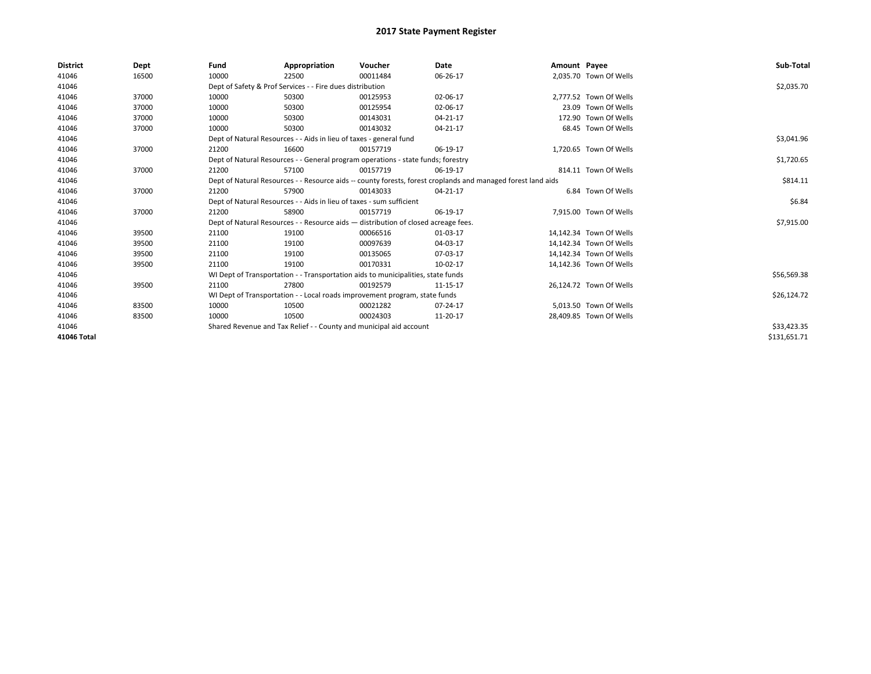| <b>District</b> | Dept  | Fund  | Appropriation                                                                      | Voucher  | Date                                                                                                         | Amount Payee |                         | Sub-Total    |
|-----------------|-------|-------|------------------------------------------------------------------------------------|----------|--------------------------------------------------------------------------------------------------------------|--------------|-------------------------|--------------|
| 41046           | 16500 | 10000 | 22500                                                                              | 00011484 | 06-26-17                                                                                                     |              | 2,035.70 Town Of Wells  |              |
| 41046           |       |       | Dept of Safety & Prof Services - - Fire dues distribution                          |          |                                                                                                              |              |                         | \$2,035.70   |
| 41046           | 37000 | 10000 | 50300                                                                              | 00125953 | 02-06-17                                                                                                     |              | 2.777.52 Town Of Wells  |              |
| 41046           | 37000 | 10000 | 50300                                                                              | 00125954 | 02-06-17                                                                                                     |              | 23.09 Town Of Wells     |              |
| 41046           | 37000 | 10000 | 50300                                                                              | 00143031 | 04-21-17                                                                                                     |              | 172.90 Town Of Wells    |              |
| 41046           | 37000 | 10000 | 50300                                                                              | 00143032 | 04-21-17                                                                                                     |              | 68.45 Town Of Wells     |              |
| 41046           |       |       | Dept of Natural Resources - - Aids in lieu of taxes - general fund                 |          |                                                                                                              |              |                         | \$3,041.96   |
| 41046           | 37000 | 21200 | 16600                                                                              | 00157719 | 06-19-17                                                                                                     |              | 1,720.65 Town Of Wells  |              |
| 41046           |       |       | Dept of Natural Resources - - General program operations - state funds; forestry   |          |                                                                                                              |              |                         | \$1,720.65   |
| 41046           | 37000 | 21200 | 57100                                                                              | 00157719 | 06-19-17                                                                                                     |              | 814.11 Town Of Wells    |              |
| 41046           |       |       |                                                                                    |          | Dept of Natural Resources - - Resource aids -- county forests, forest croplands and managed forest land aids |              |                         | \$814.11     |
| 41046           | 37000 | 21200 | 57900                                                                              | 00143033 | 04-21-17                                                                                                     |              | 6.84 Town Of Wells      |              |
| 41046           |       |       | Dept of Natural Resources - - Aids in lieu of taxes - sum sufficient               |          |                                                                                                              |              |                         | \$6.84       |
| 41046           | 37000 | 21200 | 58900                                                                              | 00157719 | 06-19-17                                                                                                     |              | 7,915.00 Town Of Wells  |              |
| 41046           |       |       | Dept of Natural Resources - - Resource aids - distribution of closed acreage fees. |          |                                                                                                              |              |                         | \$7,915.00   |
| 41046           | 39500 | 21100 | 19100                                                                              | 00066516 | 01-03-17                                                                                                     |              | 14,142.34 Town Of Wells |              |
| 41046           | 39500 | 21100 | 19100                                                                              | 00097639 | 04-03-17                                                                                                     |              | 14,142.34 Town Of Wells |              |
| 41046           | 39500 | 21100 | 19100                                                                              | 00135065 | 07-03-17                                                                                                     |              | 14,142.34 Town Of Wells |              |
| 41046           | 39500 | 21100 | 19100                                                                              | 00170331 | 10-02-17                                                                                                     |              | 14,142.36 Town Of Wells |              |
| 41046           |       |       | WI Dept of Transportation - - Transportation aids to municipalities, state funds   |          |                                                                                                              |              |                         | \$56,569.38  |
| 41046           | 39500 | 21100 | 27800                                                                              | 00192579 | 11-15-17                                                                                                     |              | 26.124.72 Town Of Wells |              |
| 41046           |       |       | WI Dept of Transportation - - Local roads improvement program, state funds         |          |                                                                                                              |              |                         | \$26,124.72  |
| 41046           | 83500 | 10000 | 10500                                                                              | 00021282 | 07-24-17                                                                                                     |              | 5,013.50 Town Of Wells  |              |
| 41046           | 83500 | 10000 | 10500                                                                              | 00024303 | 11-20-17                                                                                                     |              | 28.409.85 Town Of Wells |              |
| 41046           |       |       | Shared Revenue and Tax Relief - - County and municipal aid account                 |          |                                                                                                              |              |                         | \$33,423.35  |
| 41046 Total     |       |       |                                                                                    |          |                                                                                                              |              |                         | \$131,651.71 |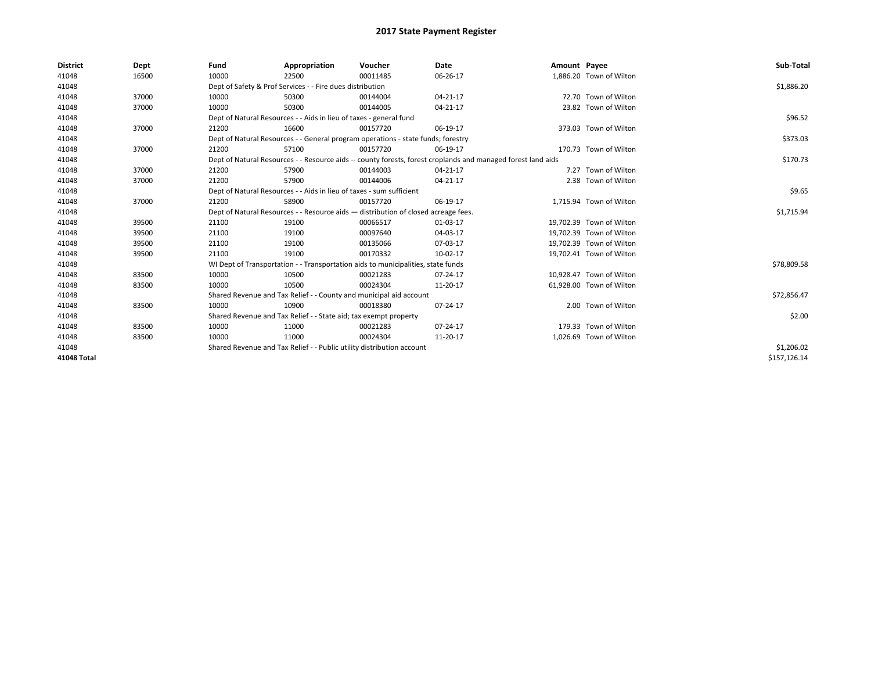| <b>District</b> | Dept  | Fund  | Appropriation                                                                                                | Voucher  | Date           | Amount Payee |                          | Sub-Total    |
|-----------------|-------|-------|--------------------------------------------------------------------------------------------------------------|----------|----------------|--------------|--------------------------|--------------|
| 41048           | 16500 | 10000 | 22500                                                                                                        | 00011485 | 06-26-17       |              | 1,886.20 Town of Wilton  |              |
| 41048           |       |       | Dept of Safety & Prof Services - - Fire dues distribution                                                    |          |                |              |                          | \$1,886.20   |
| 41048           | 37000 | 10000 | 50300                                                                                                        | 00144004 | $04 - 21 - 17$ |              | 72.70 Town of Wilton     |              |
| 41048           | 37000 | 10000 | 50300                                                                                                        | 00144005 | 04-21-17       |              | 23.82 Town of Wilton     |              |
| 41048           |       |       | Dept of Natural Resources - - Aids in lieu of taxes - general fund                                           |          |                |              |                          | \$96.52      |
| 41048           | 37000 | 21200 | 16600                                                                                                        | 00157720 | 06-19-17       |              | 373.03 Town of Wilton    |              |
| 41048           |       |       | Dept of Natural Resources - - General program operations - state funds; forestry                             |          |                |              |                          | \$373.03     |
| 41048           | 37000 | 21200 | 57100                                                                                                        | 00157720 | 06-19-17       |              | 170.73 Town of Wilton    |              |
| 41048           |       |       | Dept of Natural Resources - - Resource aids -- county forests, forest croplands and managed forest land aids |          | \$170.73       |              |                          |              |
| 41048           | 37000 | 21200 | 57900                                                                                                        | 00144003 | 04-21-17       |              | 7.27 Town of Wilton      |              |
| 41048           | 37000 | 21200 | 57900                                                                                                        | 00144006 | 04-21-17       |              | 2.38 Town of Wilton      |              |
| 41048           |       |       | Dept of Natural Resources - - Aids in lieu of taxes - sum sufficient                                         |          |                |              |                          | \$9.65       |
| 41048           | 37000 | 21200 | 58900                                                                                                        | 00157720 | 06-19-17       |              | 1,715.94 Town of Wilton  |              |
| 41048           |       |       | Dept of Natural Resources - - Resource aids - distribution of closed acreage fees.                           |          |                |              |                          | \$1,715.94   |
| 41048           | 39500 | 21100 | 19100                                                                                                        | 00066517 | 01-03-17       |              | 19,702.39 Town of Wilton |              |
| 41048           | 39500 | 21100 | 19100                                                                                                        | 00097640 | 04-03-17       |              | 19,702.39 Town of Wilton |              |
| 41048           | 39500 | 21100 | 19100                                                                                                        | 00135066 | 07-03-17       |              | 19,702.39 Town of Wilton |              |
| 41048           | 39500 | 21100 | 19100                                                                                                        | 00170332 | 10-02-17       |              | 19,702.41 Town of Wilton |              |
| 41048           |       |       | WI Dept of Transportation - - Transportation aids to municipalities, state funds                             |          |                |              |                          | \$78,809.58  |
| 41048           | 83500 | 10000 | 10500                                                                                                        | 00021283 | 07-24-17       |              | 10,928.47 Town of Wilton |              |
| 41048           | 83500 | 10000 | 10500                                                                                                        | 00024304 | 11-20-17       |              | 61,928.00 Town of Wilton |              |
| 41048           |       |       | Shared Revenue and Tax Relief - - County and municipal aid account                                           |          |                |              |                          | \$72,856.47  |
| 41048           | 83500 | 10000 | 10900                                                                                                        | 00018380 | 07-24-17       |              | 2.00 Town of Wilton      |              |
| 41048           |       |       | Shared Revenue and Tax Relief - - State aid; tax exempt property                                             |          |                |              |                          | \$2.00       |
| 41048           | 83500 | 10000 | 11000                                                                                                        | 00021283 | 07-24-17       |              | 179.33 Town of Wilton    |              |
| 41048           | 83500 | 10000 | 11000                                                                                                        | 00024304 | 11-20-17       |              | 1,026.69 Town of Wilton  |              |
| 41048           |       |       | Shared Revenue and Tax Relief - - Public utility distribution account                                        |          |                |              |                          | \$1,206.02   |
| 41048 Total     |       |       |                                                                                                              |          |                |              |                          | \$157,126.14 |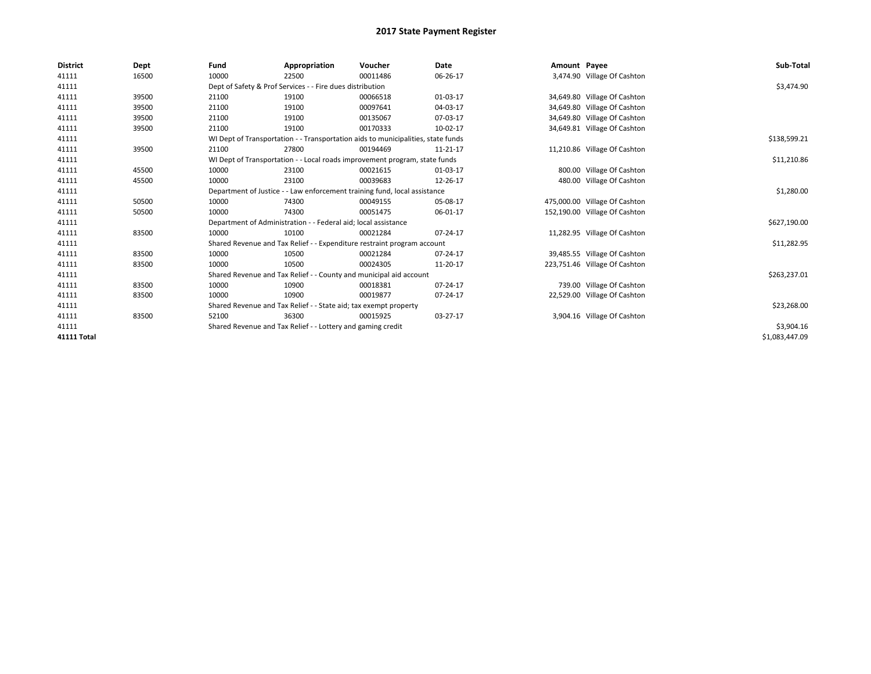| <b>District</b> | Dept  | Fund                                                        | Appropriation                                                    | Voucher                                                                          | Date     | Amount Payee |                               | Sub-Total      |
|-----------------|-------|-------------------------------------------------------------|------------------------------------------------------------------|----------------------------------------------------------------------------------|----------|--------------|-------------------------------|----------------|
| 41111           | 16500 | 10000                                                       | 22500                                                            | 00011486                                                                         | 06-26-17 |              | 3,474.90 Village Of Cashton   |                |
| 41111           |       |                                                             | Dept of Safety & Prof Services - - Fire dues distribution        |                                                                                  |          |              |                               | \$3,474.90     |
| 41111           | 39500 | 21100                                                       | 19100                                                            | 00066518                                                                         | 01-03-17 |              | 34,649.80 Village Of Cashton  |                |
| 41111           | 39500 | 21100                                                       | 19100                                                            | 00097641                                                                         | 04-03-17 |              | 34,649.80 Village Of Cashton  |                |
| 41111           | 39500 | 21100                                                       | 19100                                                            | 00135067                                                                         | 07-03-17 |              | 34,649.80 Village Of Cashton  |                |
| 41111           | 39500 | 21100                                                       | 19100                                                            | 00170333                                                                         | 10-02-17 |              | 34,649.81 Village Of Cashton  |                |
| 41111           |       |                                                             |                                                                  | WI Dept of Transportation - - Transportation aids to municipalities, state funds |          |              |                               | \$138,599.21   |
| 41111           | 39500 | 21100                                                       | 27800                                                            | 00194469                                                                         | 11-21-17 |              | 11,210.86 Village Of Cashton  |                |
| 41111           |       |                                                             |                                                                  | WI Dept of Transportation - - Local roads improvement program, state funds       |          |              |                               | \$11,210.86    |
| 41111           | 45500 | 10000                                                       | 23100                                                            | 00021615                                                                         | 01-03-17 |              | 800.00 Village Of Cashton     |                |
| 41111           | 45500 | 10000                                                       | 23100                                                            | 00039683                                                                         | 12-26-17 |              | 480.00 Village Of Cashton     |                |
| 41111           |       |                                                             |                                                                  | Department of Justice - - Law enforcement training fund, local assistance        |          |              |                               | \$1,280.00     |
| 41111           | 50500 | 10000                                                       | 74300                                                            | 00049155                                                                         | 05-08-17 |              | 475,000.00 Village Of Cashton |                |
| 41111           | 50500 | 10000                                                       | 74300                                                            | 00051475                                                                         | 06-01-17 |              | 152,190.00 Village Of Cashton |                |
| 41111           |       |                                                             | Department of Administration - - Federal aid; local assistance   |                                                                                  |          |              |                               | \$627,190.00   |
| 41111           | 83500 | 10000                                                       | 10100                                                            | 00021284                                                                         | 07-24-17 |              | 11,282.95 Village Of Cashton  |                |
| 41111           |       |                                                             |                                                                  | Shared Revenue and Tax Relief - - Expenditure restraint program account          |          |              |                               | \$11,282.95    |
| 41111           | 83500 | 10000                                                       | 10500                                                            | 00021284                                                                         | 07-24-17 |              | 39,485.55 Village Of Cashton  |                |
| 41111           | 83500 | 10000                                                       | 10500                                                            | 00024305                                                                         | 11-20-17 |              | 223,751.46 Village Of Cashton |                |
| 41111           |       |                                                             |                                                                  | Shared Revenue and Tax Relief - - County and municipal aid account               |          |              |                               | \$263,237.01   |
| 41111           | 83500 | 10000                                                       | 10900                                                            | 00018381                                                                         | 07-24-17 |              | 739.00 Village Of Cashton     |                |
| 41111           | 83500 | 10000                                                       | 10900                                                            | 00019877                                                                         | 07-24-17 |              | 22,529.00 Village Of Cashton  |                |
| 41111           |       |                                                             | Shared Revenue and Tax Relief - - State aid; tax exempt property |                                                                                  |          |              |                               | \$23,268.00    |
| 41111           | 83500 | 52100                                                       | 36300                                                            | 00015925                                                                         | 03-27-17 |              | 3,904.16 Village Of Cashton   |                |
| 41111           |       | Shared Revenue and Tax Relief - - Lottery and gaming credit |                                                                  | \$3,904.16                                                                       |          |              |                               |                |
| 41111 Total     |       |                                                             |                                                                  |                                                                                  |          |              |                               | \$1,083,447.09 |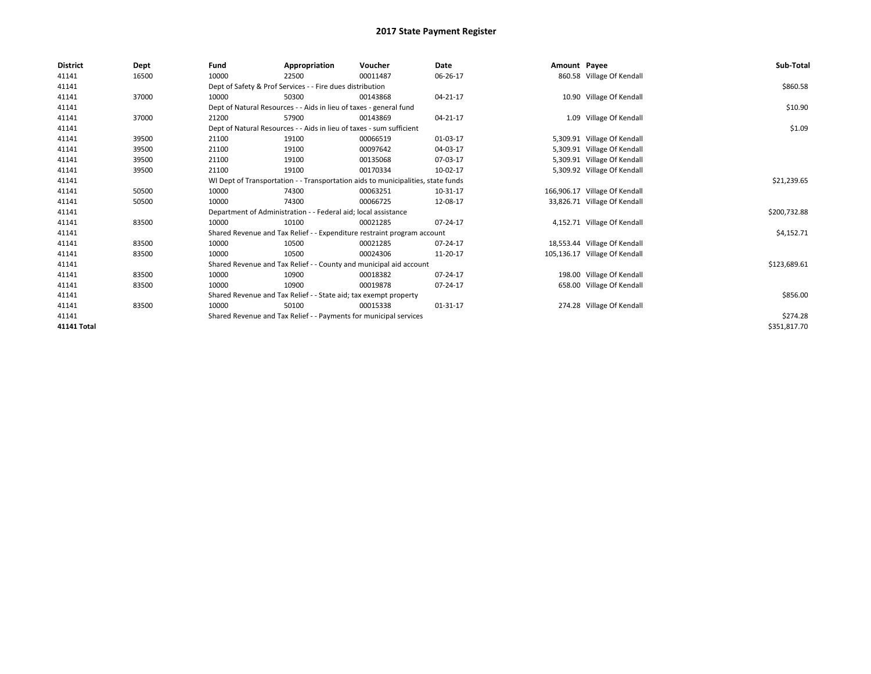| <b>District</b> | Dept  | Fund  | Appropriation                                                        | Voucher                                                                          | Date     | Amount Payee |                               | Sub-Total    |
|-----------------|-------|-------|----------------------------------------------------------------------|----------------------------------------------------------------------------------|----------|--------------|-------------------------------|--------------|
| 41141           | 16500 | 10000 | 22500                                                                | 00011487                                                                         | 06-26-17 |              | 860.58 Village Of Kendall     |              |
| 41141           |       |       | Dept of Safety & Prof Services - - Fire dues distribution            |                                                                                  |          |              |                               | \$860.58     |
| 41141           | 37000 | 10000 | 50300                                                                | 00143868                                                                         | 04-21-17 |              | 10.90 Village Of Kendall      |              |
| 41141           |       |       | Dept of Natural Resources - - Aids in lieu of taxes - general fund   |                                                                                  |          |              |                               | \$10.90      |
| 41141           | 37000 | 21200 | 57900                                                                | 00143869                                                                         | 04-21-17 |              | 1.09 Village Of Kendall       |              |
| 41141           |       |       | Dept of Natural Resources - - Aids in lieu of taxes - sum sufficient |                                                                                  |          |              |                               | \$1.09       |
| 41141           | 39500 | 21100 | 19100                                                                | 00066519                                                                         | 01-03-17 |              | 5,309.91 Village Of Kendall   |              |
| 41141           | 39500 | 21100 | 19100                                                                | 00097642                                                                         | 04-03-17 |              | 5,309.91 Village Of Kendall   |              |
| 41141           | 39500 | 21100 | 19100                                                                | 00135068                                                                         | 07-03-17 |              | 5,309.91 Village Of Kendall   |              |
| 41141           | 39500 | 21100 | 19100                                                                | 00170334                                                                         | 10-02-17 |              | 5,309.92 Village Of Kendall   |              |
| 41141           |       |       |                                                                      | WI Dept of Transportation - - Transportation aids to municipalities, state funds |          |              |                               | \$21,239.65  |
| 41141           | 50500 | 10000 | 74300                                                                | 00063251                                                                         | 10-31-17 |              | 166,906.17 Village Of Kendall |              |
| 41141           | 50500 | 10000 | 74300                                                                | 00066725                                                                         | 12-08-17 |              | 33,826.71 Village Of Kendall  |              |
| 41141           |       |       | Department of Administration - - Federal aid; local assistance       |                                                                                  |          |              |                               | \$200,732.88 |
| 41141           | 83500 | 10000 | 10100                                                                | 00021285                                                                         | 07-24-17 |              | 4,152.71 Village Of Kendall   |              |
| 41141           |       |       |                                                                      | Shared Revenue and Tax Relief - - Expenditure restraint program account          |          |              |                               | \$4,152.71   |
| 41141           | 83500 | 10000 | 10500                                                                | 00021285                                                                         | 07-24-17 |              | 18,553.44 Village Of Kendall  |              |
| 41141           | 83500 | 10000 | 10500                                                                | 00024306                                                                         | 11-20-17 |              | 105,136.17 Village Of Kendall |              |
| 41141           |       |       |                                                                      | Shared Revenue and Tax Relief - - County and municipal aid account               |          |              |                               | \$123,689.61 |
| 41141           | 83500 | 10000 | 10900                                                                | 00018382                                                                         | 07-24-17 |              | 198.00 Village Of Kendall     |              |
| 41141           | 83500 | 10000 | 10900                                                                | 00019878                                                                         | 07-24-17 |              | 658.00 Village Of Kendall     |              |
| 41141           |       |       | Shared Revenue and Tax Relief - - State aid; tax exempt property     |                                                                                  |          |              |                               | \$856.00     |
| 41141           | 83500 | 10000 | 50100                                                                | 00015338                                                                         | 01-31-17 |              | 274.28 Village Of Kendall     |              |
| 41141           |       |       | Shared Revenue and Tax Relief - - Payments for municipal services    |                                                                                  |          |              |                               | \$274.28     |
| 41141 Total     |       |       |                                                                      |                                                                                  |          |              |                               | \$351,817.70 |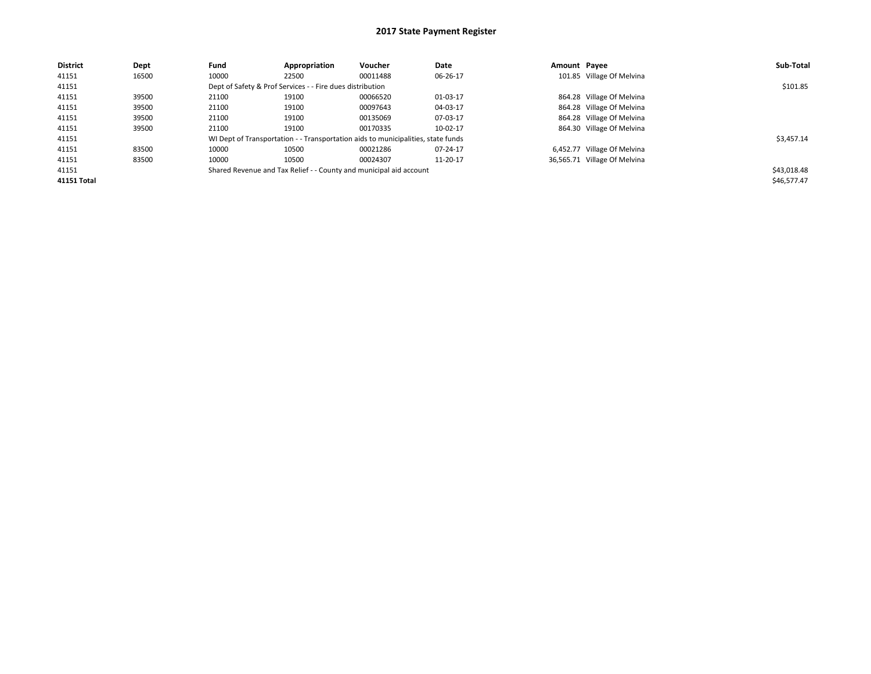| <b>District</b> | Dept  | Fund  | Appropriation                                             | Voucher                                                                          | Date     | Amount Pavee |                              | Sub-Total   |
|-----------------|-------|-------|-----------------------------------------------------------|----------------------------------------------------------------------------------|----------|--------------|------------------------------|-------------|
| 41151           | 16500 | 10000 | 22500                                                     | 00011488                                                                         | 06-26-17 |              | 101.85 Village Of Melvina    |             |
| 41151           |       |       | Dept of Safety & Prof Services - - Fire dues distribution |                                                                                  |          |              |                              | \$101.85    |
| 41151           | 39500 | 21100 | 19100                                                     | 00066520                                                                         | 01-03-17 |              | 864.28 Village Of Melvina    |             |
| 41151           | 39500 | 21100 | 19100                                                     | 00097643                                                                         | 04-03-17 |              | 864.28 Village Of Melvina    |             |
| 41151           | 39500 | 21100 | 19100                                                     | 00135069                                                                         | 07-03-17 |              | 864.28 Village Of Melvina    |             |
| 41151           | 39500 | 21100 | 19100                                                     | 00170335                                                                         | 10-02-17 |              | 864.30 Village Of Melvina    |             |
| 41151           |       |       |                                                           | WI Dept of Transportation - - Transportation aids to municipalities, state funds |          |              |                              | \$3,457.14  |
| 41151           | 83500 | 10000 | 10500                                                     | 00021286                                                                         | 07-24-17 |              | 6,452.77 Village Of Melvina  |             |
| 41151           | 83500 | 10000 | 10500                                                     | 00024307                                                                         | 11-20-17 |              | 36,565.71 Village Of Melvina |             |
| 41151           |       |       |                                                           | Shared Revenue and Tax Relief - - County and municipal aid account               |          |              |                              | \$43,018.48 |
| 41151 Total     |       |       |                                                           |                                                                                  |          |              |                              | \$46,577.47 |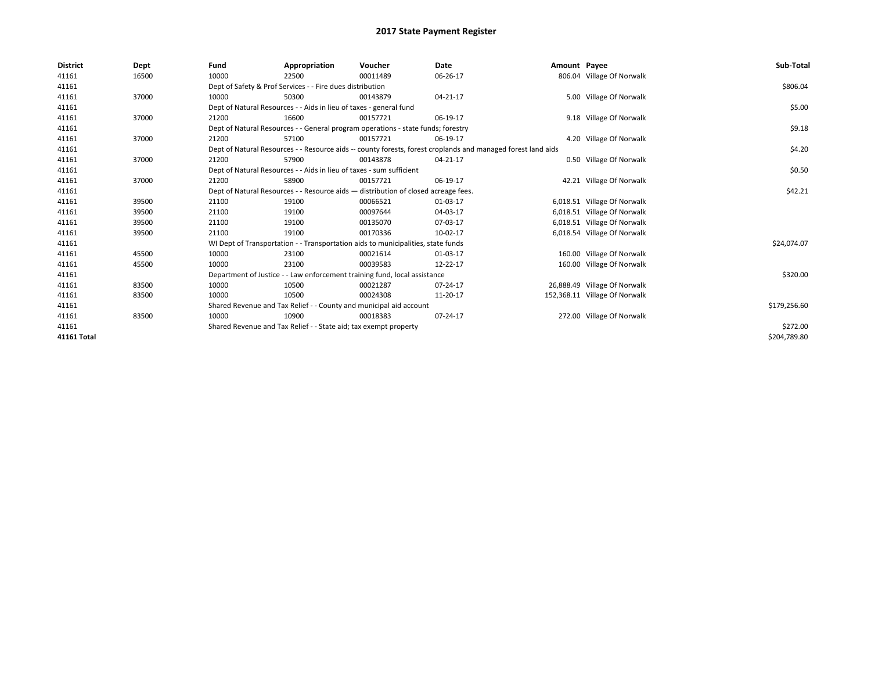| <b>District</b> | Dept  | Fund  | Appropriation                                                                      | Voucher  | <b>Date</b>                                                                                                  | Amount Payee |                               | Sub-Total    |
|-----------------|-------|-------|------------------------------------------------------------------------------------|----------|--------------------------------------------------------------------------------------------------------------|--------------|-------------------------------|--------------|
| 41161           | 16500 | 10000 | 22500                                                                              | 00011489 | 06-26-17                                                                                                     |              | 806.04 Village Of Norwalk     |              |
| 41161           |       |       | Dept of Safety & Prof Services - - Fire dues distribution                          |          |                                                                                                              |              |                               | \$806.04     |
| 41161           | 37000 | 10000 | 50300                                                                              | 00143879 | 04-21-17                                                                                                     |              | 5.00 Village Of Norwalk       |              |
| 41161           |       |       | Dept of Natural Resources - - Aids in lieu of taxes - general fund                 |          |                                                                                                              |              |                               | \$5.00       |
| 41161           | 37000 | 21200 | 16600                                                                              | 00157721 | 06-19-17                                                                                                     |              | 9.18 Village Of Norwalk       |              |
| 41161           |       |       | Dept of Natural Resources - - General program operations - state funds; forestry   |          |                                                                                                              |              |                               | \$9.18       |
| 41161           | 37000 | 21200 | 57100                                                                              | 00157721 | 06-19-17                                                                                                     |              | 4.20 Village Of Norwalk       |              |
| 41161           |       |       |                                                                                    |          | Dept of Natural Resources - - Resource aids -- county forests, forest croplands and managed forest land aids |              |                               | \$4.20       |
| 41161           | 37000 | 21200 | 57900                                                                              | 00143878 | 04-21-17                                                                                                     |              | 0.50 Village Of Norwalk       |              |
| 41161           |       |       | Dept of Natural Resources - - Aids in lieu of taxes - sum sufficient               |          |                                                                                                              |              |                               | \$0.50       |
| 41161           | 37000 | 21200 | 58900                                                                              | 00157721 | 06-19-17                                                                                                     |              | 42.21 Village Of Norwalk      |              |
| 41161           |       |       | Dept of Natural Resources - - Resource aids - distribution of closed acreage fees. |          |                                                                                                              |              |                               | \$42.21      |
| 41161           | 39500 | 21100 | 19100                                                                              | 00066521 | 01-03-17                                                                                                     |              | 6,018.51 Village Of Norwalk   |              |
| 41161           | 39500 | 21100 | 19100                                                                              | 00097644 | 04-03-17                                                                                                     |              | 6,018.51 Village Of Norwalk   |              |
| 41161           | 39500 | 21100 | 19100                                                                              | 00135070 | 07-03-17                                                                                                     |              | 6,018.51 Village Of Norwalk   |              |
| 41161           | 39500 | 21100 | 19100                                                                              | 00170336 | 10-02-17                                                                                                     |              | 6,018.54 Village Of Norwalk   |              |
| 41161           |       |       | WI Dept of Transportation - - Transportation aids to municipalities, state funds   |          |                                                                                                              |              |                               | \$24,074.07  |
| 41161           | 45500 | 10000 | 23100                                                                              | 00021614 | 01-03-17                                                                                                     |              | 160.00 Village Of Norwalk     |              |
| 41161           | 45500 | 10000 | 23100                                                                              | 00039583 | 12-22-17                                                                                                     |              | 160.00 Village Of Norwalk     |              |
| 41161           |       |       | Department of Justice - - Law enforcement training fund, local assistance          |          |                                                                                                              |              |                               | \$320.00     |
| 41161           | 83500 | 10000 | 10500                                                                              | 00021287 | 07-24-17                                                                                                     |              | 26,888.49 Village Of Norwalk  |              |
| 41161           | 83500 | 10000 | 10500                                                                              | 00024308 | 11-20-17                                                                                                     |              | 152,368.11 Village Of Norwalk |              |
| 41161           |       |       | Shared Revenue and Tax Relief - - County and municipal aid account                 |          |                                                                                                              |              |                               | \$179,256.60 |
| 41161           | 83500 | 10000 | 10900                                                                              | 00018383 | 07-24-17                                                                                                     |              | 272.00 Village Of Norwalk     |              |
| 41161           |       |       | Shared Revenue and Tax Relief - - State aid; tax exempt property                   |          |                                                                                                              |              |                               | \$272.00     |
| 41161 Total     |       |       |                                                                                    |          |                                                                                                              |              |                               | \$204,789.80 |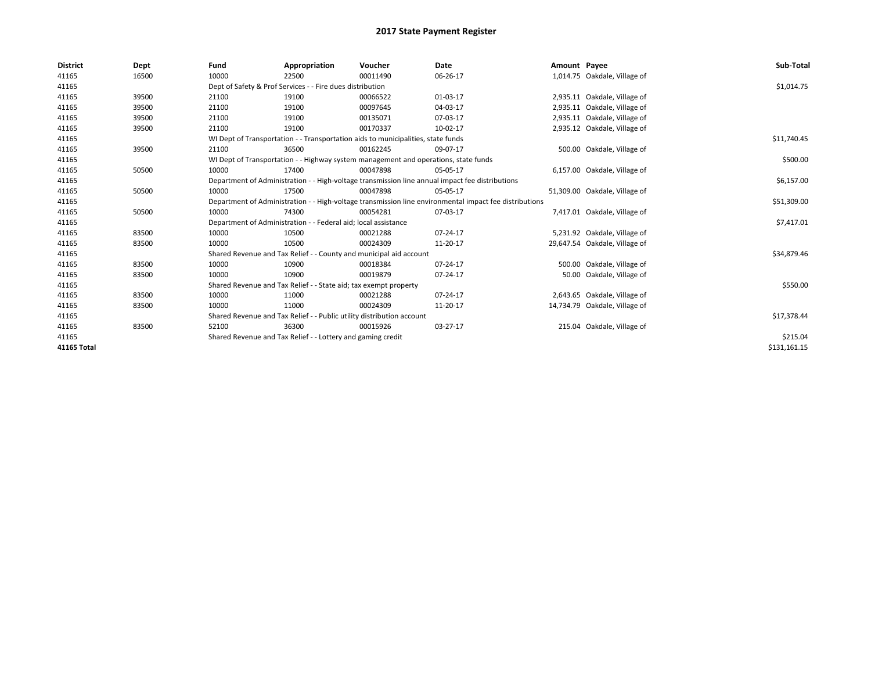| <b>District</b>    | Dept  | Fund  | Appropriation                                                                       | Voucher  | Date                                                                                                   | Amount Payee |                               | Sub-Total    |
|--------------------|-------|-------|-------------------------------------------------------------------------------------|----------|--------------------------------------------------------------------------------------------------------|--------------|-------------------------------|--------------|
| 41165              | 16500 | 10000 | 22500                                                                               | 00011490 | 06-26-17                                                                                               |              | 1,014.75 Oakdale, Village of  |              |
| 41165              |       |       | Dept of Safety & Prof Services - - Fire dues distribution                           |          |                                                                                                        |              |                               | \$1,014.75   |
| 41165              | 39500 | 21100 | 19100                                                                               | 00066522 | 01-03-17                                                                                               |              | 2,935.11 Oakdale, Village of  |              |
| 41165              | 39500 | 21100 | 19100                                                                               | 00097645 | 04-03-17                                                                                               |              | 2,935.11 Oakdale, Village of  |              |
| 41165              | 39500 | 21100 | 19100                                                                               | 00135071 | 07-03-17                                                                                               |              | 2,935.11 Oakdale, Village of  |              |
| 41165              | 39500 | 21100 | 19100                                                                               | 00170337 | 10-02-17                                                                                               |              | 2,935.12 Oakdale, Village of  |              |
| 41165              |       |       | WI Dept of Transportation - - Transportation aids to municipalities, state funds    |          |                                                                                                        |              |                               | \$11,740.45  |
| 41165              | 39500 | 21100 | 36500                                                                               | 00162245 | 09-07-17                                                                                               |              | 500.00 Oakdale, Village of    |              |
| 41165              |       |       | WI Dept of Transportation - - Highway system management and operations, state funds |          |                                                                                                        |              |                               | \$500.00     |
| 41165              | 50500 | 10000 | 17400                                                                               | 00047898 | 05-05-17                                                                                               |              | 6,157.00 Oakdale, Village of  |              |
| 41165              |       |       |                                                                                     |          | Department of Administration - - High-voltage transmission line annual impact fee distributions        |              |                               | \$6,157.00   |
| 41165              | 50500 | 10000 | 17500                                                                               | 00047898 | 05-05-17                                                                                               |              | 51,309.00 Oakdale, Village of |              |
| 41165              |       |       |                                                                                     |          | Department of Administration - - High-voltage transmission line environmental impact fee distributions |              |                               | \$51,309.00  |
| 41165              | 50500 | 10000 | 74300                                                                               | 00054281 | 07-03-17                                                                                               |              | 7,417.01 Oakdale, Village of  |              |
| 41165              |       |       | Department of Administration - - Federal aid; local assistance                      |          |                                                                                                        |              |                               | \$7,417.01   |
| 41165              | 83500 | 10000 | 10500                                                                               | 00021288 | 07-24-17                                                                                               |              | 5,231.92 Oakdale, Village of  |              |
| 41165              | 83500 | 10000 | 10500                                                                               | 00024309 | 11-20-17                                                                                               |              | 29,647.54 Oakdale, Village of |              |
| 41165              |       |       | Shared Revenue and Tax Relief - - County and municipal aid account                  |          |                                                                                                        |              |                               | \$34,879.46  |
| 41165              | 83500 | 10000 | 10900                                                                               | 00018384 | 07-24-17                                                                                               |              | 500.00 Oakdale, Village of    |              |
| 41165              | 83500 | 10000 | 10900                                                                               | 00019879 | 07-24-17                                                                                               |              | 50.00 Oakdale, Village of     |              |
| 41165              |       |       | Shared Revenue and Tax Relief - - State aid; tax exempt property                    |          |                                                                                                        |              |                               | \$550.00     |
| 41165              | 83500 | 10000 | 11000                                                                               | 00021288 | 07-24-17                                                                                               |              | 2,643.65 Oakdale, Village of  |              |
| 41165              | 83500 | 10000 | 11000                                                                               | 00024309 | 11-20-17                                                                                               |              | 14,734.79 Oakdale, Village of |              |
| 41165              |       |       | Shared Revenue and Tax Relief - - Public utility distribution account               |          |                                                                                                        |              |                               | \$17,378.44  |
| 41165              | 83500 | 52100 | 36300                                                                               | 00015926 | 03-27-17                                                                                               |              | 215.04 Oakdale, Village of    |              |
| 41165              |       |       | Shared Revenue and Tax Relief - - Lottery and gaming credit                         |          |                                                                                                        |              |                               | \$215.04     |
| <b>41165 Total</b> |       |       |                                                                                     |          |                                                                                                        |              |                               | \$131,161.15 |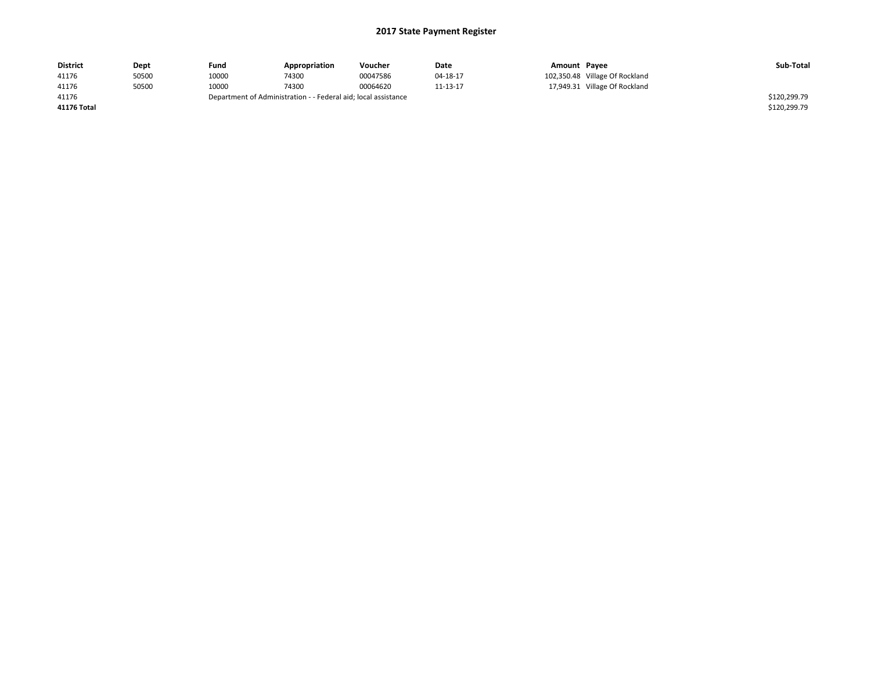| <b>District</b> | Dept  | Fund  | Appropriation                                                  | Voucher  | Date     | Amount Payee |                                | Sub-Total    |
|-----------------|-------|-------|----------------------------------------------------------------|----------|----------|--------------|--------------------------------|--------------|
| 41176           | 50500 | 10000 | 74300                                                          | 00047586 | 04-18-17 |              | 102,350.48 Village Of Rockland |              |
| 41176           | 50500 | 10000 | 74300                                                          | 00064620 | 11-13-17 |              | 17,949.31 Village Of Rockland  |              |
| 41176           |       |       | Department of Administration - - Federal aid; local assistance |          |          |              |                                | \$120,299.79 |
| 41176 Total     |       |       |                                                                |          |          |              |                                | \$120,299.79 |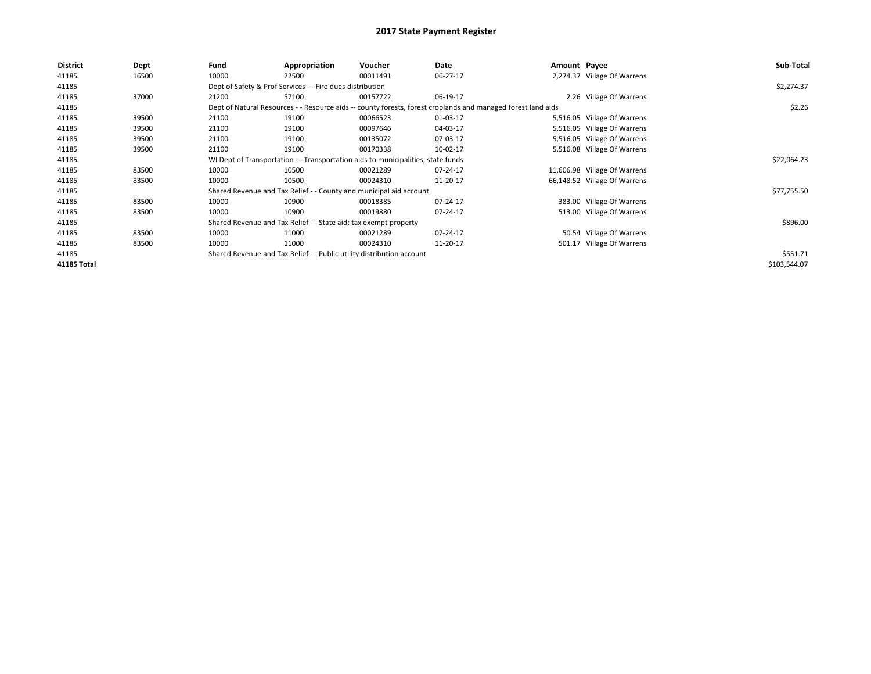| District    | Dept  | Fund  | Appropriation                                                                    | Voucher  | Date                                                                                                         | Amount Payee |                              | Sub-Total    |  |  |  |
|-------------|-------|-------|----------------------------------------------------------------------------------|----------|--------------------------------------------------------------------------------------------------------------|--------------|------------------------------|--------------|--|--|--|
| 41185       | 16500 | 10000 | 22500                                                                            | 00011491 | 06-27-17                                                                                                     |              | 2,274.37 Village Of Warrens  |              |  |  |  |
| 41185       |       |       | Dept of Safety & Prof Services - - Fire dues distribution                        |          |                                                                                                              |              |                              | \$2,274.37   |  |  |  |
| 41185       | 37000 | 21200 | 57100                                                                            | 00157722 | 06-19-17                                                                                                     |              | 2.26 Village Of Warrens      |              |  |  |  |
| 41185       |       |       |                                                                                  |          | Dept of Natural Resources - - Resource aids -- county forests, forest croplands and managed forest land aids |              |                              | \$2.26       |  |  |  |
| 41185       | 39500 | 21100 | 19100                                                                            | 00066523 | 01-03-17                                                                                                     |              | 5,516.05 Village Of Warrens  |              |  |  |  |
| 41185       | 39500 | 21100 | 19100                                                                            | 00097646 | 04-03-17                                                                                                     |              | 5,516.05 Village Of Warrens  |              |  |  |  |
| 41185       | 39500 | 21100 | 19100                                                                            | 00135072 | 07-03-17                                                                                                     |              | 5,516.05 Village Of Warrens  |              |  |  |  |
| 41185       | 39500 | 21100 | 19100                                                                            | 00170338 | 10-02-17                                                                                                     |              | 5,516.08 Village Of Warrens  |              |  |  |  |
| 41185       |       |       | WI Dept of Transportation - - Transportation aids to municipalities, state funds |          |                                                                                                              |              |                              |              |  |  |  |
| 41185       | 83500 | 10000 | 10500                                                                            | 00021289 | 07-24-17                                                                                                     |              | 11,606.98 Village Of Warrens |              |  |  |  |
| 41185       | 83500 | 10000 | 10500                                                                            | 00024310 | 11-20-17                                                                                                     |              | 66,148.52 Village Of Warrens |              |  |  |  |
| 41185       |       |       | Shared Revenue and Tax Relief - - County and municipal aid account               |          |                                                                                                              |              |                              | \$77,755.50  |  |  |  |
| 41185       | 83500 | 10000 | 10900                                                                            | 00018385 | 07-24-17                                                                                                     |              | 383.00 Village Of Warrens    |              |  |  |  |
| 41185       | 83500 | 10000 | 10900                                                                            | 00019880 | 07-24-17                                                                                                     |              | 513.00 Village Of Warrens    |              |  |  |  |
| 41185       |       |       | Shared Revenue and Tax Relief - - State aid; tax exempt property                 |          |                                                                                                              |              |                              | \$896.00     |  |  |  |
| 41185       | 83500 | 10000 | 11000                                                                            | 00021289 | 07-24-17                                                                                                     |              | 50.54 Village Of Warrens     |              |  |  |  |
| 41185       | 83500 | 10000 | 11000                                                                            | 00024310 | 11-20-17                                                                                                     |              | 501.17 Village Of Warrens    |              |  |  |  |
| 41185       |       |       | Shared Revenue and Tax Relief - - Public utility distribution account            |          |                                                                                                              |              |                              | \$551.71     |  |  |  |
| 41185 Total |       |       |                                                                                  |          |                                                                                                              |              |                              | \$103,544.07 |  |  |  |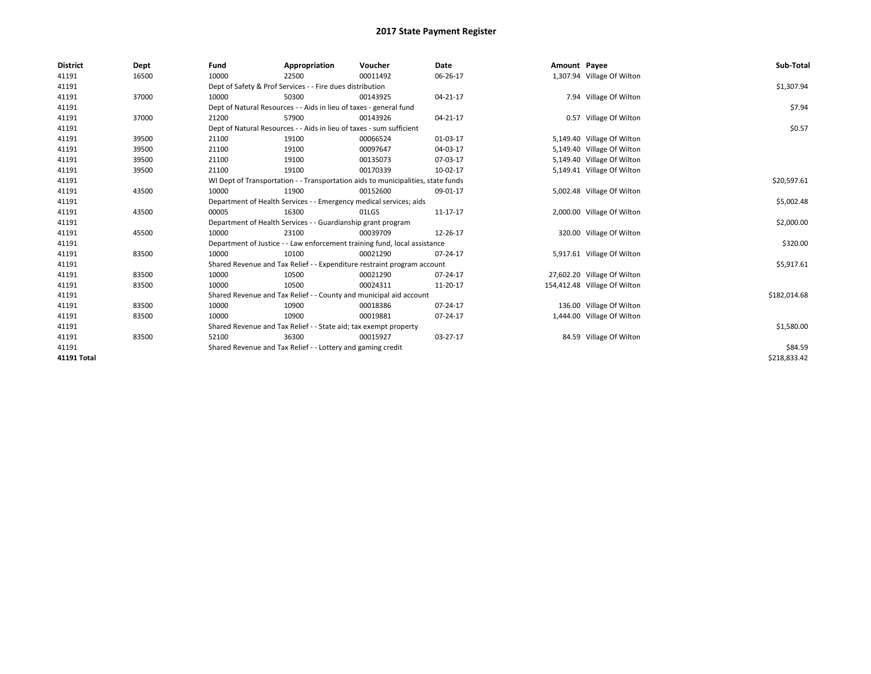| <b>District</b>    | Dept  | Fund  | Appropriation                                                                    | Voucher  | Date     | Amount Payee |                              | Sub-Total    |
|--------------------|-------|-------|----------------------------------------------------------------------------------|----------|----------|--------------|------------------------------|--------------|
| 41191              | 16500 | 10000 | 22500                                                                            | 00011492 | 06-26-17 |              | 1,307.94 Village Of Wilton   |              |
| 41191              |       |       | Dept of Safety & Prof Services - - Fire dues distribution                        |          |          |              |                              |              |
| 41191              | 37000 | 10000 | 50300                                                                            | 00143925 | 04-21-17 |              | 7.94 Village Of Wilton       |              |
| 41191              |       |       | Dept of Natural Resources - - Aids in lieu of taxes - general fund               |          |          |              |                              | \$7.94       |
| 41191              | 37000 | 21200 | 57900                                                                            | 00143926 | 04-21-17 |              | 0.57 Village Of Wilton       |              |
| 41191              |       |       | Dept of Natural Resources - - Aids in lieu of taxes - sum sufficient             |          |          |              |                              | \$0.57       |
| 41191              | 39500 | 21100 | 19100                                                                            | 00066524 | 01-03-17 |              | 5,149.40 Village Of Wilton   |              |
| 41191              | 39500 | 21100 | 19100                                                                            | 00097647 | 04-03-17 |              | 5,149.40 Village Of Wilton   |              |
| 41191              | 39500 | 21100 | 19100                                                                            | 00135073 | 07-03-17 |              | 5,149.40 Village Of Wilton   |              |
| 41191              | 39500 | 21100 | 19100                                                                            | 00170339 | 10-02-17 |              | 5,149.41 Village Of Wilton   |              |
| 41191              |       |       | WI Dept of Transportation - - Transportation aids to municipalities, state funds |          |          |              |                              | \$20,597.61  |
| 41191              | 43500 | 10000 | 11900                                                                            | 00152600 | 09-01-17 |              | 5,002.48 Village Of Wilton   |              |
| 41191              |       |       | Department of Health Services - - Emergency medical services; aids               |          |          |              |                              | \$5,002.48   |
| 41191              | 43500 | 00005 | 16300                                                                            | 01LGS    | 11-17-17 |              | 2,000.00 Village Of Wilton   |              |
| 41191              |       |       | Department of Health Services - - Guardianship grant program                     |          |          |              |                              | \$2,000.00   |
| 41191              | 45500 | 10000 | 23100                                                                            | 00039709 | 12-26-17 |              | 320.00 Village Of Wilton     |              |
| 41191              |       |       | Department of Justice - - Law enforcement training fund, local assistance        |          |          |              |                              | \$320.00     |
| 41191              | 83500 | 10000 | 10100                                                                            | 00021290 | 07-24-17 |              | 5,917.61 Village Of Wilton   |              |
| 41191              |       |       | Shared Revenue and Tax Relief - - Expenditure restraint program account          |          |          |              |                              | \$5,917.61   |
| 41191              | 83500 | 10000 | 10500                                                                            | 00021290 | 07-24-17 |              | 27,602.20 Village Of Wilton  |              |
| 41191              | 83500 | 10000 | 10500                                                                            | 00024311 | 11-20-17 |              | 154,412.48 Village Of Wilton |              |
| 41191              |       |       | Shared Revenue and Tax Relief - - County and municipal aid account               |          |          |              |                              | \$182,014.68 |
| 41191              | 83500 | 10000 | 10900                                                                            | 00018386 | 07-24-17 |              | 136.00 Village Of Wilton     |              |
| 41191              | 83500 | 10000 | 10900                                                                            | 00019881 | 07-24-17 |              | 1,444.00 Village Of Wilton   |              |
| 41191              |       |       | Shared Revenue and Tax Relief - - State aid; tax exempt property                 |          |          |              |                              | \$1,580.00   |
| 41191              | 83500 | 52100 | 36300                                                                            | 00015927 | 03-27-17 |              | 84.59 Village Of Wilton      |              |
| 41191              |       |       | Shared Revenue and Tax Relief - - Lottery and gaming credit                      |          |          |              |                              | \$84.59      |
| <b>41191 Total</b> |       |       |                                                                                  |          |          |              |                              | \$218,833.42 |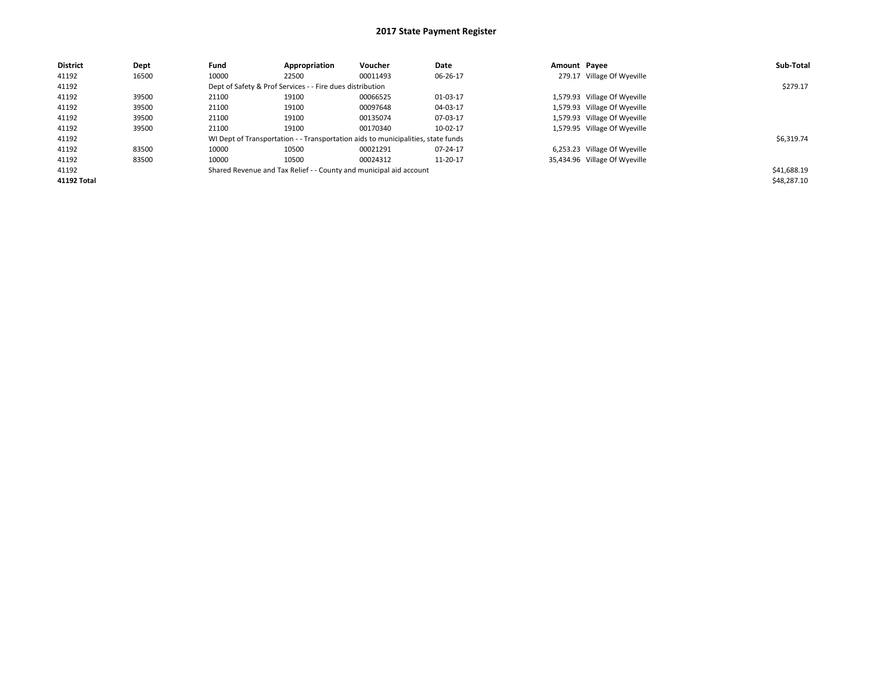| <b>District</b> | Dept  | Fund  | Appropriation                                             | Voucher                                                                          | Date     | Amount Pavee |                               | Sub-Total   |
|-----------------|-------|-------|-----------------------------------------------------------|----------------------------------------------------------------------------------|----------|--------------|-------------------------------|-------------|
| 41192           | 16500 | 10000 | 22500                                                     | 00011493                                                                         | 06-26-17 |              | 279.17 Village Of Wyeville    |             |
| 41192           |       |       | Dept of Safety & Prof Services - - Fire dues distribution |                                                                                  |          |              |                               | \$279.17    |
| 41192           | 39500 | 21100 | 19100                                                     | 00066525                                                                         | 01-03-17 |              | 1,579.93 Village Of Wyeville  |             |
| 41192           | 39500 | 21100 | 19100                                                     | 00097648                                                                         | 04-03-17 |              | 1,579.93 Village Of Wyeville  |             |
| 41192           | 39500 | 21100 | 19100                                                     | 00135074                                                                         | 07-03-17 |              | 1,579.93 Village Of Wyeville  |             |
| 41192           | 39500 | 21100 | 19100                                                     | 00170340                                                                         | 10-02-17 |              | 1,579.95 Village Of Wyeville  |             |
| 41192           |       |       |                                                           | WI Dept of Transportation - - Transportation aids to municipalities, state funds |          |              |                               | \$6,319.74  |
| 41192           | 83500 | 10000 | 10500                                                     | 00021291                                                                         | 07-24-17 |              | 6,253.23 Village Of Wyeville  |             |
| 41192           | 83500 | 10000 | 10500                                                     | 00024312                                                                         | 11-20-17 |              | 35,434.96 Village Of Wyeville |             |
| 41192           |       |       |                                                           | Shared Revenue and Tax Relief - - County and municipal aid account               |          |              |                               | \$41,688.19 |
| 41192 Total     |       |       |                                                           |                                                                                  |          |              |                               | \$48,287.10 |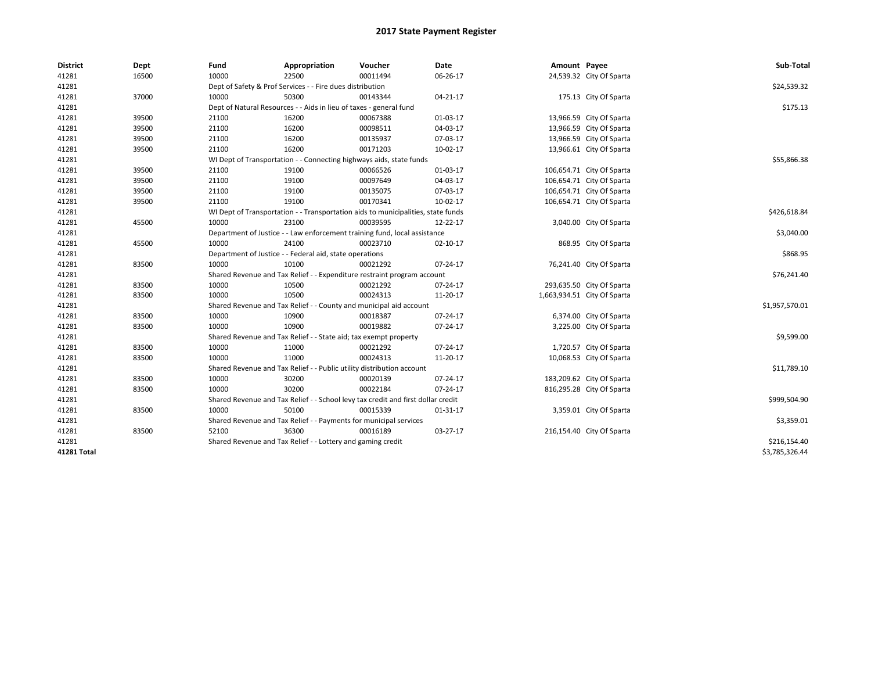| <b>District</b> | Dept  | Fund                                                      | Appropriation                                                                    | Voucher  | Date     | Amount Payee |                             | Sub-Total      |  |  |
|-----------------|-------|-----------------------------------------------------------|----------------------------------------------------------------------------------|----------|----------|--------------|-----------------------------|----------------|--|--|
| 41281           | 16500 | 10000                                                     | 22500                                                                            | 00011494 | 06-26-17 |              | 24,539.32 City Of Sparta    |                |  |  |
| 41281           |       | Dept of Safety & Prof Services - - Fire dues distribution | \$24,539.32                                                                      |          |          |              |                             |                |  |  |
| 41281           | 37000 | 10000                                                     | 50300                                                                            | 00143344 | 04-21-17 |              | 175.13 City Of Sparta       |                |  |  |
| 41281           |       |                                                           | Dept of Natural Resources - - Aids in lieu of taxes - general fund               |          |          |              |                             |                |  |  |
| 41281           | 39500 | 21100                                                     | 16200                                                                            | 00067388 | 01-03-17 |              | 13,966.59 City Of Sparta    |                |  |  |
| 41281           | 39500 | 21100                                                     | 16200                                                                            | 00098511 | 04-03-17 |              | 13,966.59 City Of Sparta    |                |  |  |
| 41281           | 39500 | 21100                                                     | 16200                                                                            | 00135937 | 07-03-17 |              | 13,966.59 City Of Sparta    |                |  |  |
| 41281           | 39500 | 21100                                                     | 16200                                                                            | 00171203 | 10-02-17 |              | 13,966.61 City Of Sparta    |                |  |  |
| 41281           |       |                                                           | WI Dept of Transportation - - Connecting highways aids, state funds              |          |          |              |                             | \$55,866.38    |  |  |
| 41281           | 39500 | 21100                                                     | 19100                                                                            | 00066526 | 01-03-17 |              | 106,654.71 City Of Sparta   |                |  |  |
| 41281           | 39500 | 21100                                                     | 19100                                                                            | 00097649 | 04-03-17 |              | 106,654.71 City Of Sparta   |                |  |  |
| 41281           | 39500 | 21100                                                     | 19100                                                                            | 00135075 | 07-03-17 |              | 106,654.71 City Of Sparta   |                |  |  |
| 41281           | 39500 | 21100                                                     | 19100                                                                            | 00170341 | 10-02-17 |              | 106,654.71 City Of Sparta   |                |  |  |
| 41281           |       |                                                           | WI Dept of Transportation - - Transportation aids to municipalities, state funds |          |          |              |                             | \$426,618.84   |  |  |
| 41281           | 45500 | 10000                                                     | 23100                                                                            | 00039595 | 12-22-17 |              | 3,040.00 City Of Sparta     |                |  |  |
| 41281           |       |                                                           | Department of Justice - - Law enforcement training fund, local assistance        |          |          |              |                             | \$3,040.00     |  |  |
| 41281           | 45500 | 10000                                                     | 24100                                                                            | 00023710 | 02-10-17 |              | 868.95 City Of Sparta       |                |  |  |
| 41281           |       |                                                           | Department of Justice - - Federal aid, state operations                          |          |          |              |                             | \$868.95       |  |  |
| 41281           | 83500 | 10000                                                     | 10100                                                                            | 00021292 | 07-24-17 |              | 76,241.40 City Of Sparta    |                |  |  |
| 41281           |       |                                                           | Shared Revenue and Tax Relief - - Expenditure restraint program account          |          |          |              |                             | \$76,241.40    |  |  |
| 41281           | 83500 | 10000                                                     | 10500                                                                            | 00021292 | 07-24-17 |              | 293,635.50 City Of Sparta   |                |  |  |
| 41281           | 83500 | 10000                                                     | 10500                                                                            | 00024313 | 11-20-17 |              | 1,663,934.51 City Of Sparta |                |  |  |
| 41281           |       |                                                           | Shared Revenue and Tax Relief - - County and municipal aid account               |          |          |              |                             | \$1,957,570.01 |  |  |
| 41281           | 83500 | 10000                                                     | 10900                                                                            | 00018387 | 07-24-17 |              | 6,374.00 City Of Sparta     |                |  |  |
| 41281           | 83500 | 10000                                                     | 10900                                                                            | 00019882 | 07-24-17 |              | 3,225.00 City Of Sparta     |                |  |  |
| 41281           |       |                                                           | Shared Revenue and Tax Relief - - State aid; tax exempt property                 |          |          |              |                             | \$9,599.00     |  |  |
| 41281           | 83500 | 10000                                                     | 11000                                                                            | 00021292 | 07-24-17 |              | 1,720.57 City Of Sparta     |                |  |  |
| 41281           | 83500 | 10000                                                     | 11000                                                                            | 00024313 | 11-20-17 |              | 10,068.53 City Of Sparta    |                |  |  |
| 41281           |       |                                                           | Shared Revenue and Tax Relief - - Public utility distribution account            |          |          |              |                             | \$11,789.10    |  |  |
| 41281           | 83500 | 10000                                                     | 30200                                                                            | 00020139 | 07-24-17 |              | 183,209.62 City Of Sparta   |                |  |  |
| 41281           | 83500 | 10000                                                     | 30200                                                                            | 00022184 | 07-24-17 |              | 816,295.28 City Of Sparta   |                |  |  |
| 41281           |       |                                                           | Shared Revenue and Tax Relief - - School levy tax credit and first dollar credit |          |          |              |                             | \$999,504.90   |  |  |
| 41281           | 83500 | 10000                                                     | 50100                                                                            | 00015339 | 01-31-17 |              | 3,359.01 City Of Sparta     |                |  |  |
| 41281           |       |                                                           | Shared Revenue and Tax Relief - - Payments for municipal services                |          |          |              |                             | \$3,359.01     |  |  |
| 41281           | 83500 | 52100                                                     | 36300                                                                            | 00016189 | 03-27-17 |              | 216,154.40 City Of Sparta   |                |  |  |
| 41281           |       |                                                           | Shared Revenue and Tax Relief - - Lottery and gaming credit                      |          |          |              |                             | \$216,154.40   |  |  |
| 41281 Total     |       |                                                           |                                                                                  |          |          |              |                             | \$3.785.326.44 |  |  |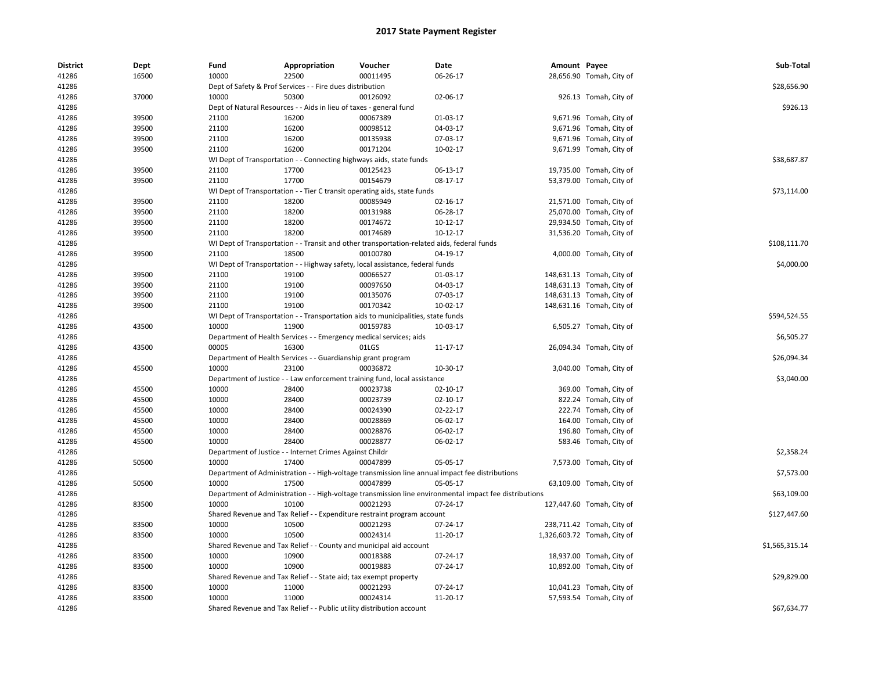| <b>District</b> | Dept  | Fund  | Appropriation                                                             | Voucher                                                                                    | <b>Date</b>                                                                                            | Amount Payee |                             | Sub-Total      |
|-----------------|-------|-------|---------------------------------------------------------------------------|--------------------------------------------------------------------------------------------|--------------------------------------------------------------------------------------------------------|--------------|-----------------------------|----------------|
| 41286           | 16500 | 10000 | 22500                                                                     | 00011495                                                                                   | 06-26-17                                                                                               |              | 28,656.90 Tomah, City of    |                |
| 41286           |       |       | Dept of Safety & Prof Services - - Fire dues distribution                 |                                                                                            |                                                                                                        |              |                             | \$28,656.90    |
| 41286           | 37000 | 10000 | 50300                                                                     | 00126092                                                                                   | 02-06-17                                                                                               |              | 926.13 Tomah, City of       |                |
| 41286           |       |       | Dept of Natural Resources - - Aids in lieu of taxes - general fund        |                                                                                            |                                                                                                        |              |                             | \$926.13       |
| 41286           | 39500 | 21100 | 16200                                                                     | 00067389                                                                                   | 01-03-17                                                                                               |              | 9,671.96 Tomah, City of     |                |
| 41286           | 39500 | 21100 | 16200                                                                     | 00098512                                                                                   | 04-03-17                                                                                               |              | 9,671.96 Tomah, City of     |                |
| 41286           | 39500 | 21100 | 16200                                                                     | 00135938                                                                                   | 07-03-17                                                                                               |              | 9,671.96 Tomah, City of     |                |
| 41286           | 39500 | 21100 | 16200                                                                     | 00171204                                                                                   | 10-02-17                                                                                               |              | 9,671.99 Tomah, City of     |                |
| 41286           |       |       | WI Dept of Transportation - - Connecting highways aids, state funds       |                                                                                            |                                                                                                        |              |                             | \$38,687.87    |
| 41286           | 39500 | 21100 | 17700                                                                     | 00125423                                                                                   | 06-13-17                                                                                               |              | 19,735.00 Tomah, City of    |                |
| 41286           | 39500 | 21100 | 17700                                                                     | 00154679                                                                                   | 08-17-17                                                                                               |              | 53,379.00 Tomah, City of    |                |
| 41286           |       |       |                                                                           | WI Dept of Transportation - - Tier C transit operating aids, state funds                   |                                                                                                        |              |                             | \$73,114.00    |
| 41286           | 39500 | 21100 | 18200                                                                     | 00085949                                                                                   | 02-16-17                                                                                               |              | 21,571.00 Tomah, City of    |                |
| 41286           | 39500 | 21100 | 18200                                                                     | 00131988                                                                                   | 06-28-17                                                                                               |              | 25,070.00 Tomah, City of    |                |
| 41286           | 39500 | 21100 | 18200                                                                     | 00174672                                                                                   | 10-12-17                                                                                               |              | 29,934.50 Tomah, City of    |                |
| 41286           | 39500 | 21100 | 18200                                                                     | 00174689                                                                                   | $10-12-17$                                                                                             |              | 31,536.20 Tomah, City of    |                |
| 41286           |       |       |                                                                           | WI Dept of Transportation - - Transit and other transportation-related aids, federal funds |                                                                                                        |              |                             | \$108,111.70   |
| 41286           | 39500 | 21100 | 18500                                                                     | 00100780                                                                                   | 04-19-17                                                                                               |              | 4,000.00 Tomah, City of     |                |
| 41286           |       |       |                                                                           | WI Dept of Transportation - - Highway safety, local assistance, federal funds              |                                                                                                        |              |                             | \$4,000.00     |
| 41286           | 39500 | 21100 | 19100                                                                     | 00066527                                                                                   | 01-03-17                                                                                               |              | 148,631.13 Tomah, City of   |                |
| 41286           | 39500 | 21100 | 19100                                                                     | 00097650                                                                                   | 04-03-17                                                                                               |              | 148,631.13 Tomah, City of   |                |
| 41286           | 39500 | 21100 | 19100                                                                     | 00135076                                                                                   | 07-03-17                                                                                               |              | 148,631.13 Tomah, City of   |                |
| 41286           | 39500 | 21100 | 19100                                                                     | 00170342                                                                                   | 10-02-17                                                                                               |              | 148,631.16 Tomah, City of   |                |
| 41286           |       |       |                                                                           | WI Dept of Transportation - - Transportation aids to municipalities, state funds           |                                                                                                        |              |                             | \$594,524.55   |
| 41286           | 43500 | 10000 | 11900                                                                     | 00159783                                                                                   | 10-03-17                                                                                               |              | 6,505.27 Tomah, City of     |                |
| 41286           |       |       | Department of Health Services - - Emergency medical services; aids        |                                                                                            |                                                                                                        |              |                             | \$6,505.27     |
| 41286           | 43500 | 00005 | 16300                                                                     | 01LGS                                                                                      | 11-17-17                                                                                               |              | 26,094.34 Tomah, City of    |                |
| 41286           |       |       | Department of Health Services - - Guardianship grant program              |                                                                                            |                                                                                                        |              |                             | \$26,094.34    |
| 41286           | 45500 | 10000 | 23100                                                                     | 00036872                                                                                   | 10-30-17                                                                                               |              | 3,040.00 Tomah, City of     |                |
| 41286           |       |       |                                                                           | Department of Justice - - Law enforcement training fund, local assistance                  |                                                                                                        |              |                             | \$3,040.00     |
| 41286           | 45500 | 10000 | 28400                                                                     | 00023738                                                                                   | 02-10-17                                                                                               |              | 369.00 Tomah, City of       |                |
| 41286           | 45500 | 10000 | 28400                                                                     | 00023739                                                                                   | 02-10-17                                                                                               |              | 822.24 Tomah, City of       |                |
| 41286           | 45500 | 10000 | 28400                                                                     | 00024390                                                                                   | 02-22-17                                                                                               |              | 222.74 Tomah, City of       |                |
| 41286           | 45500 | 10000 | 28400                                                                     | 00028869                                                                                   | 06-02-17                                                                                               |              | 164.00 Tomah, City of       |                |
| 41286           | 45500 | 10000 | 28400                                                                     | 00028876                                                                                   | 06-02-17                                                                                               |              | 196.80 Tomah, City of       |                |
| 41286           | 45500 | 10000 | 28400                                                                     | 00028877                                                                                   | 06-02-17                                                                                               |              | 583.46 Tomah, City of       |                |
| 41286           |       |       | Department of Justice - - Internet Crimes Against Childr                  |                                                                                            |                                                                                                        |              |                             | \$2,358.24     |
| 41286           | 50500 | 10000 | 17400                                                                     | 00047899                                                                                   | 05-05-17                                                                                               |              | 7,573.00 Tomah, City of     |                |
| 41286           |       |       |                                                                           |                                                                                            | Department of Administration - - High-voltage transmission line annual impact fee distributions        |              |                             | \$7,573.00     |
| 41286           | 50500 | 10000 | 17500                                                                     | 00047899                                                                                   | 05-05-17                                                                                               |              | 63,109.00 Tomah, City of    |                |
| 41286           |       |       |                                                                           |                                                                                            | Department of Administration - - High-voltage transmission line environmental impact fee distributions |              |                             | \$63,109.00    |
| 41286           | 83500 | 10000 | 10100                                                                     | 00021293                                                                                   | 07-24-17                                                                                               |              | 127,447.60 Tomah, City of   |                |
| 41286           |       |       |                                                                           | Shared Revenue and Tax Relief - - Expenditure restraint program account                    |                                                                                                        |              |                             | \$127,447.60   |
| 41286           | 83500 | 10000 | 10500                                                                     | 00021293                                                                                   | 07-24-17                                                                                               |              | 238,711.42 Tomah, City of   |                |
| 41286           | 83500 | 10000 | 10500                                                                     | 00024314                                                                                   | 11-20-17                                                                                               |              | 1,326,603.72 Tomah, City of |                |
| 41286           |       |       |                                                                           | Shared Revenue and Tax Relief - - County and municipal aid account                         |                                                                                                        |              |                             | \$1,565,315.14 |
| 41286           | 83500 | 10000 | 10900                                                                     | 00018388                                                                                   | 07-24-17                                                                                               |              | 18,937.00 Tomah, City of    |                |
|                 |       | 10000 |                                                                           |                                                                                            |                                                                                                        |              |                             |                |
| 41286           | 83500 |       | 10900                                                                     | 00019883                                                                                   | 07-24-17                                                                                               |              | 10,892.00 Tomah, City of    | \$29,829.00    |
| 41286<br>41286  | 83500 | 10000 | Shared Revenue and Tax Relief - - State aid; tax exempt property<br>11000 | 00021293                                                                                   | 07-24-17                                                                                               |              | 10,041.23 Tomah, City of    |                |
|                 | 83500 | 10000 |                                                                           | 00024314                                                                                   | 11-20-17                                                                                               |              | 57,593.54 Tomah, City of    |                |
| 41286           |       |       | 11000                                                                     |                                                                                            |                                                                                                        |              |                             |                |
| 41286           |       |       | Shared Revenue and Tax Relief - - Public utility distribution account     |                                                                                            |                                                                                                        |              |                             | \$67,634.77    |